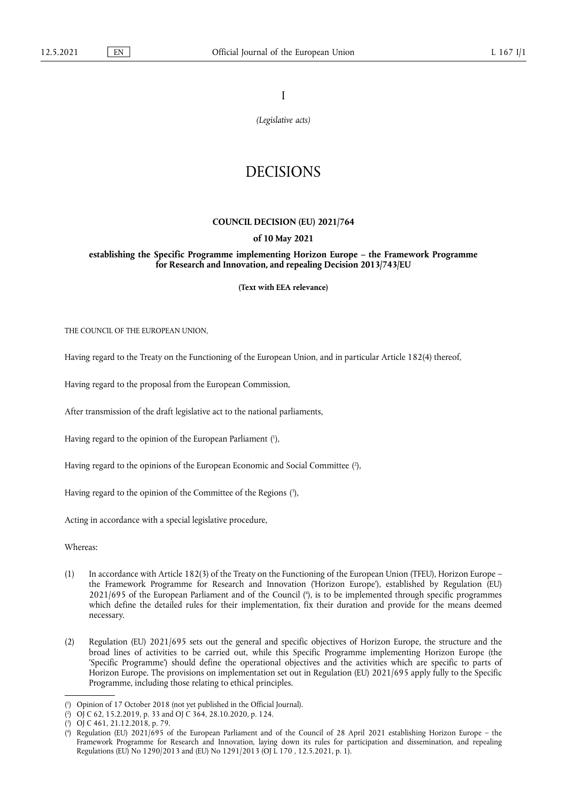I

*(Legislative acts)*

# DECISIONS

## **COUNCIL DECISION (EU) 2021/764**

## **of 10 May 2021**

**establishing the Specific Programme implementing Horizon Europe – the Framework Programme for Research and Innovation, and repealing Decision 2013/743/EU** 

**(Text with EEA relevance)** 

THE COUNCIL OF THE EUROPEAN UNION,

Having regard to the Treaty on the Functioning of the European Union, and in particular Article 182(4) thereof,

Having regard to the proposal from the European Commission,

After transmission of the draft legislative act to the national parliaments,

<span id="page-0-4"></span>Having regard to the opinion of the European Parliament ( 1 [\),](#page-0-0)

<span id="page-0-5"></span>Having regard to the opinions of the European Economic and Social Committee [\(](#page-0-1) 2 ),

<span id="page-0-6"></span>Having regard to the opinion of the Committee of the Regions ( 3 [\),](#page-0-2)

Acting in accordance with a special legislative procedure,

Whereas:

- <span id="page-0-7"></span>(1) In accordance with Article 182(3) of the Treaty on the Functioning of the European Union (TFEU), Horizon Europe – the Framework Programme for Research and Innovation ('Horizon Europe'), established by Regulation (EU) 2021/695 of the European Parliament and of the Council ( 4 [\),](#page-0-3) is to be implemented through specific programmes which define the detailed rules for their implementation, fix their duration and provide for the means deemed necessary.
- (2) Regulation (EU) 2021/695 sets out the general and specific objectives of Horizon Europe, the structure and the broad lines of activities to be carried out, while this Specific Programme implementing Horizon Europe (the 'Specific Programme') should define the operational objectives and the activities which are specific to parts of Horizon Europe. The provisions on implementation set out in Regulation (EU) 2021/695 apply fully to the Specific Programme, including those relating to ethical principles.

<span id="page-0-0"></span>[<sup>\(</sup>](#page-0-4) 1 ) Opinion of 17 October 2018 (not yet published in the Official Journal).

<span id="page-0-1"></span>[<sup>\(</sup>](#page-0-5) 2 ) OJ C 62, 15.2.2019, p. 33 and OJ C 364, 28.10.2020, p. 124.

<span id="page-0-2"></span>[<sup>\(</sup>](#page-0-6) 3 ) OJ C 461, 21.12.2018, p. 79.

<span id="page-0-3"></span>[<sup>\(</sup>](#page-0-7) 4 ) Regulation (EU) 2021/695 of the European Parliament and of the Council of 28 April 2021 establishing Horizon Europe – the Framework Programme for Research and Innovation, laying down its rules for participation and dissemination, and repealing Regulations (EU) No 1290/2013 and (EU) No 1291/2013 (OJ L 170 , 12.5.2021, p. 1).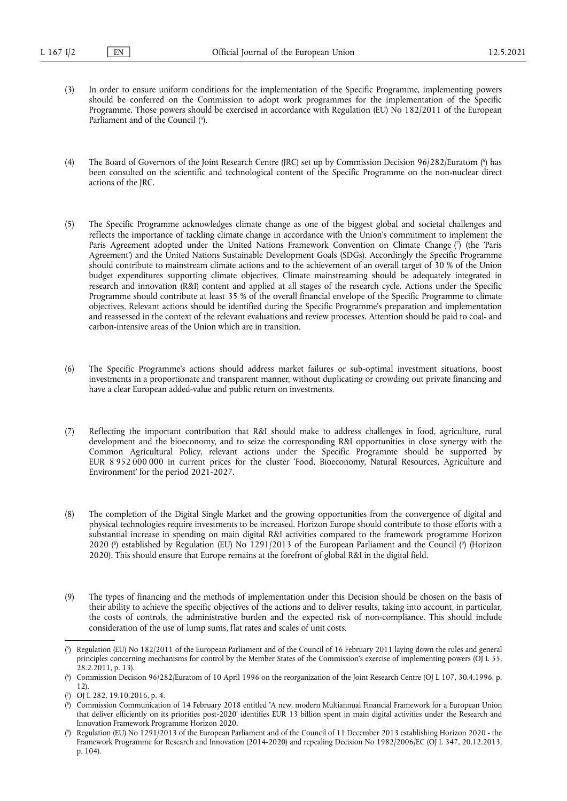- <span id="page-1-5"></span>(3) In order to ensure uniform conditions for the implementation of the Specific Programme, implementing powers should be conferred on the Commission to adopt work programmes for the implementation of the Specific Programme. Those powers should be exercised in accordance with Regulation (EU) No 182/2011 of the European Parliament and of the Council (5[\).](#page-1-0)
- <span id="page-1-6"></span>[\(](#page-1-1)4) The Board of Governors of the Joint Research Centre (JRC) set up by Commission Decision 96/282/Euratom (\*) has been consulted on the scientific and technological content of the Specific Programme on the non-nuclear direct actions of the JRC.
- <span id="page-1-7"></span>(5) The Specific Programme acknowledges climate change as one of the biggest global and societal challenges and reflects the importance of tackling climate change in accordance with the Union's commitment to implement the Paris Agreement adopted under the United Nations Framework Convention on Climate Change [\(](#page-1-2) 7 ) (the 'Paris Agreement') and the United Nations Sustainable Development Goals (SDGs). Accordingly the Specific Programme should contribute to mainstream climate actions and to the achievement of an overall target of 30 % of the Union budget expenditures supporting climate objectives. Climate mainstreaming should be adequately integrated in research and innovation (R&I) content and applied at all stages of the research cycle. Actions under the Specific Programme should contribute at least 35 % of the overall financial envelope of the Specific Programme to climate objectives. Relevant actions should be identified during the Specific Programme's preparation and implementation and reassessed in the context of the relevant evaluations and review processes. Attention should be paid to coal- and carbon-intensive areas of the Union which are in transition.
- (6) The Specific Programme's actions should address market failures or sub-optimal investment situations, boost investments in a proportionate and transparent manner, without duplicating or crowding out private financing and have a clear European added-value and public return on investments.
- (7) Reflecting the important contribution that R&I should make to address challenges in food, agriculture, rural development and the bioeconomy, and to seize the corresponding R&I opportunities in close synergy with the Common Agricultural Policy, relevant actions under the Specific Programme should be supported by EUR 8 952 000 000 in current prices for the cluster 'Food, Bioeconomy, Natural Resources, Agriculture and Environment' for the period 2021-2027.
- <span id="page-1-8"></span>(8) The completion of the Digital Single Market and the growing opportunities from the convergence of digital and physical technologies require investments to be increased. Horizon Europe should contribute to those efforts with a substantial increase in spending on main digital R&I activities compared to the framework programme Horizon 2020 [\(](#page-1-4)\*) established by Regulation (EU) No 1291/2013 of the European Parliament and the Council (\*) (Horizon 2020). This should ensure that Europe remains at the forefront of global R&I in the digital field.
- (9) The types of financing and the methods of implementation under this Decision should be chosen on the basis of their ability to achieve the specific objectives of the actions and to deliver results, taking into account, in particular, the costs of controls, the administrative burden and the expected risk of non-compliance. This should include consideration of the use of lump sums, flat rates and scales of unit costs.

<span id="page-1-0"></span>[<sup>\(</sup>](#page-1-5) 5 ) Regulation (EU) No 182/2011 of the European Parliament and of the Council of 16 February 2011 laying down the rules and general principles concerning mechanisms for control by the Member States of the Commission's exercise of implementing powers (OJ L 55, 28.2.2011, p. 13).

<span id="page-1-1"></span>[<sup>\(</sup>](#page-1-6) 6 ) Commission Decision 96/282/Euratom of 10 April 1996 on the reorganization of the Joint Research Centre (OJ L 107, 30.4.1996, p. 12).

<span id="page-1-2"></span>[<sup>\(</sup>](#page-1-7) 7 ) OJ L 282, 19.10.2016, p. 4.

<span id="page-1-3"></span>[<sup>\(</sup>](#page-1-8) 8 ) Commission Communication of 14 February 2018 entitled 'A new, modern Multiannual Financial Framework for a European Union that deliver efficiently on its priorities post-2020' identifies EUR 13 billion spent in main digital activities under the Research and Innovation Framework Programme Horizon 2020.

<span id="page-1-4"></span>[<sup>\(</sup>](#page-1-8) 9 ) Regulation (EU) No 1291/2013 of the European Parliament and of the Council of 11 December 2013 establishing Horizon 2020 - the Framework Programme for Research and Innovation (2014-2020) and repealing Decision No 1982/2006/EC (OJ L 347, 20.12.2013, p. 104).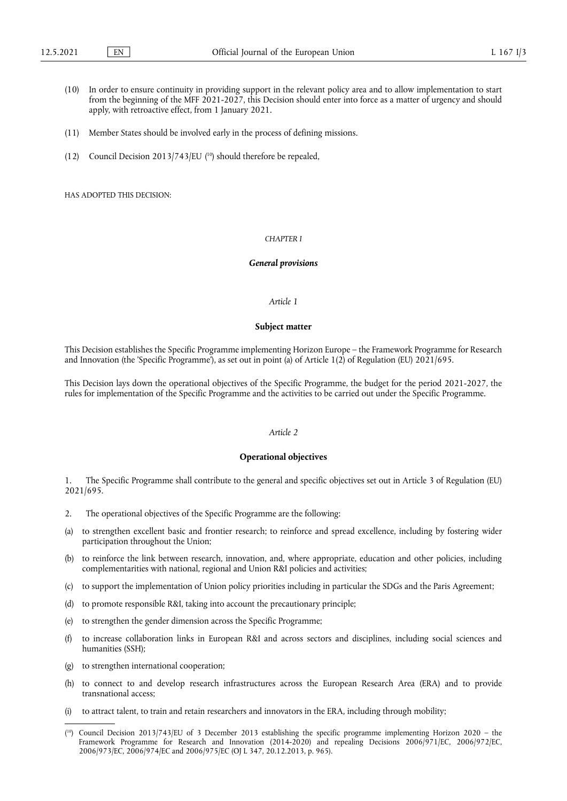- (10) In order to ensure continuity in providing support in the relevant policy area and to allow implementation to start from the beginning of the MFF 2021-2027, this Decision should enter into force as a matter of urgency and should apply, with retroactive effect, from 1 January 2021.
- (11) Member States should be involved early in the process of defining missions.
- <span id="page-2-1"></span>(12) Council Decision 2013/743/EU  $(10)$  $(10)$  should therefore be repealed,

HAS ADOPTED THIS DECISION:

# *CHAPTER I*

#### *General provisions*

## *Article 1*

#### **Subject matter**

This Decision establishes the Specific Programme implementing Horizon Europe – the Framework Programme for Research and Innovation (the 'Specific Programme'), as set out in point (a) of Article 1(2) of Regulation (EU) 2021/695.

This Decision lays down the operational objectives of the Specific Programme, the budget for the period 2021-2027, the rules for implementation of the Specific Programme and the activities to be carried out under the Specific Programme.

# *Article 2*

## **Operational objectives**

1. The Specific Programme shall contribute to the general and specific objectives set out in Article 3 of Regulation (EU) 2021/695.

- 2. The operational objectives of the Specific Programme are the following:
- (a) to strengthen excellent basic and frontier research; to reinforce and spread excellence, including by fostering wider participation throughout the Union;
- (b) to reinforce the link between research, innovation, and, where appropriate, education and other policies, including complementarities with national, regional and Union R&I policies and activities;
- (c) to support the implementation of Union policy priorities including in particular the SDGs and the Paris Agreement;
- (d) to promote responsible R&I, taking into account the precautionary principle;
- (e) to strengthen the gender dimension across the Specific Programme;
- (f) to increase collaboration links in European R&I and across sectors and disciplines, including social sciences and humanities (SSH);
- (g) to strengthen international cooperation;
- (h) to connect to and develop research infrastructures across the European Research Area (ERA) and to provide transnational access;
- (i) to attract talent, to train and retain researchers and innovators in the ERA, including through mobility;

<span id="page-2-0"></span><sup>(</sup> [10\)](#page-2-1) Council Decision 2013/743/EU of 3 December 2013 establishing the specific programme implementing Horizon 2020 – the Framework Programme for Research and Innovation (2014-2020) and repealing Decisions 2006/971/EC, 2006/972/EC, 2006/973/EC, 2006/974/EC and 2006/975/EC (OJ L 347, 20.12.2013, p. 965).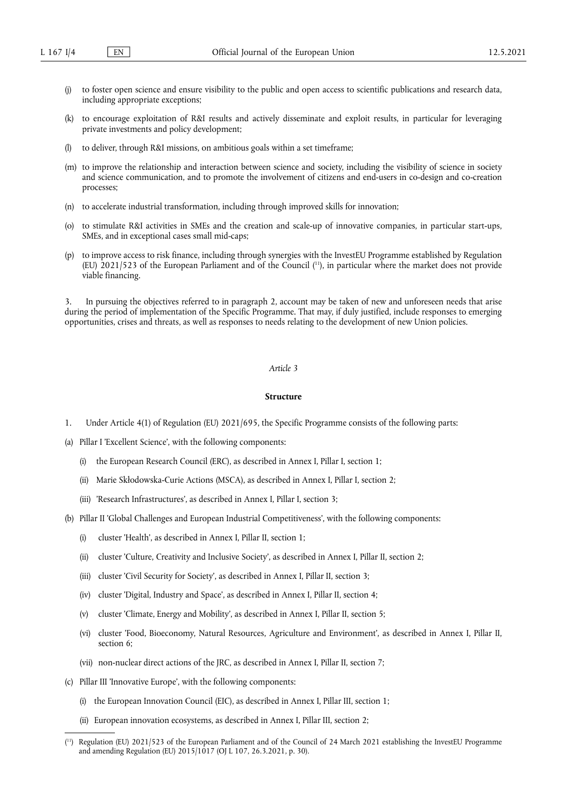- (j) to foster open science and ensure visibility to the public and open access to scientific publications and research data, including appropriate exceptions;
- (k) to encourage exploitation of R&I results and actively disseminate and exploit results, in particular for leveraging private investments and policy development;
- (l) to deliver, through R&I missions, on ambitious goals within a set timeframe;
- (m) to improve the relationship and interaction between science and society, including the visibility of science in society and science communication, and to promote the involvement of citizens and end-users in co-design and co-creation processes;
- (n) to accelerate industrial transformation, including through improved skills for innovation;
- (o) to stimulate R&I activities in SMEs and the creation and scale-up of innovative companies, in particular start-ups, SMEs, and in exceptional cases small mid-caps;
- <span id="page-3-1"></span>(p) to improve access to risk finance, including through synergies with the InvestEU Programme established by Regulation (EU) 2021/523 of the European Parliament and of the Council ( [11\)](#page-3-0), in particular where the market does not provide viable financing.

In pursuing the objectives referred to in paragraph 2, account may be taken of new and unforeseen needs that arise during the period of implementation of the Specific Programme. That may, if duly justified, include responses to emerging opportunities, crises and threats, as well as responses to needs relating to the development of new Union policies.

# *Article 3*

#### **Structure**

- 1. Under Article 4(1) of Regulation (EU) 2021/695, the Specific Programme consists of the following parts:
- (a) Pillar I 'Excellent Science', with the following components:
	- (i) the European Research Council (ERC), as described in Annex I, Pillar I, section 1;
	- (ii) Marie Skłodowska-Curie Actions (MSCA), as described in Annex I, Pillar I, section 2;
	- (iii) 'Research Infrastructures', as described in Annex I, Pillar I, section 3;
- (b) Pillar II 'Global Challenges and European Industrial Competitiveness', with the following components:
	- (i) cluster 'Health', as described in Annex I, Pillar II, section 1;
	- (ii) cluster 'Culture, Creativity and Inclusive Society', as described in Annex I, Pillar II, section 2;
	- (iii) cluster 'Civil Security for Society', as described in Annex I, Pillar II, section 3;
	- (iv) cluster 'Digital, Industry and Space', as described in Annex I, Pillar II, section 4;
	- (v) cluster 'Climate, Energy and Mobility', as described in Annex I, Pillar II, section 5;
	- (vi) cluster 'Food, Bioeconomy, Natural Resources, Agriculture and Environment', as described in Annex I, Pillar II, section 6;
	- (vii) non-nuclear direct actions of the JRC, as described in Annex I, Pillar II, section 7;
- (c) Pillar III 'Innovative Europe', with the following components:
	- (i) the European Innovation Council (EIC), as described in Annex I, Pillar III, section 1;
	- (ii) European innovation ecosystems, as described in Annex I, Pillar III, section 2;

<span id="page-3-0"></span><sup>(</sup> [11\)](#page-3-1) Regulation (EU) 2021/523 of the European Parliament and of the Council of 24 March 2021 establishing the InvestEU Programme and amending Regulation (EU) 2015/1017 (OJ L 107, 26.3.2021, p. 30).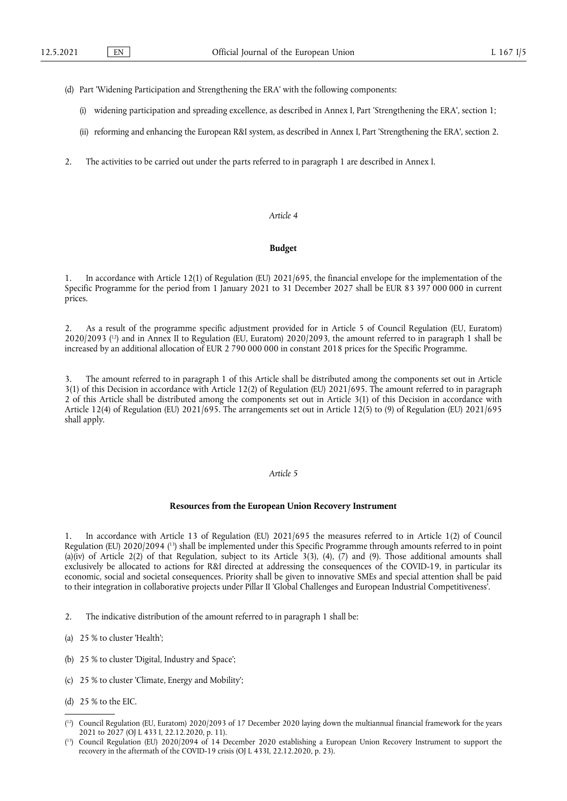- (d) Part 'Widening Participation and Strengthening the ERA' with the following components:
	- (i) widening participation and spreading excellence, as described in Annex I, Part 'Strengthening the ERA', section 1;
	- (ii) reforming and enhancing the European R&I system, as described in Annex I, Part 'Strengthening the ERA', section 2.
- 2. The activities to be carried out under the parts referred to in paragraph 1 are described in Annex I.

## *Article 4*

# **Budget**

1. In accordance with Article 12(1) of Regulation (EU) 2021/695, the financial envelope for the implementation of the Specific Programme for the period from 1 January 2021 to 31 December 2027 shall be EUR 83 397 000 000 in current prices.

<span id="page-4-2"></span>2. As a result of the programme specific adjustment provided for in Article 5 of Council Regulation (EU, Euratom) 2020/2093 ( [12\)](#page-4-0) and in Annex II to Regulation (EU, Euratom) 2020/2093, the amount referred to in paragraph 1 shall be increased by an additional allocation of EUR 2 790 000 000 in constant 2018 prices for the Specific Programme.

3. The amount referred to in paragraph 1 of this Article shall be distributed among the components set out in Article 3(1) of this Decision in accordance with Article 12(2) of Regulation (EU) 2021/695. The amount referred to in paragraph 2 of this Article shall be distributed among the components set out in Article 3(1) of this Decision in accordance with Article 12(4) of Regulation (EU) 2021/695. The arrangements set out in Article 12(5) to (9) of Regulation (EU) 2021/695 shall apply.

# *Article 5*

#### **Resources from the European Union Recovery Instrument**

<span id="page-4-3"></span>1. In accordance with Article 13 of Regulation (EU) 2021/695 the measures referred to in Article 1(2) of Council Regulation (EU) 2020/2094 ( [13\)](#page-4-1) shall be implemented under this Specific Programme through amounts referred to in point (a)(iv) of Article 2(2) of that Regulation, subject to its Article 3(3), (4),  $(7)$  and (9). Those additional amounts shall exclusively be allocated to actions for R&I directed at addressing the consequences of the COVID-19, in particular its economic, social and societal consequences. Priority shall be given to innovative SMEs and special attention shall be paid to their integration in collaborative projects under Pillar II 'Global Challenges and European Industrial Competitiveness'.

- 2. The indicative distribution of the amount referred to in paragraph 1 shall be:
- (a) 25 % to cluster 'Health';
- (b) 25 % to cluster 'Digital, Industry and Space';
- (c) 25 % to cluster 'Climate, Energy and Mobility';
- (d) 25 % to the EIC.

<span id="page-4-0"></span><sup>(</sup> [12\)](#page-4-2) Council Regulation (EU, Euratom) 2020/2093 of 17 December 2020 laying down the multiannual financial framework for the years 2021 to 2027 (OJ L 433 I, 22.12.2020, p. 11).

<span id="page-4-1"></span><sup>(</sup> [13\)](#page-4-3) Council Regulation (EU) 2020/2094 of 14 December 2020 establishing a European Union Recovery Instrument to support the recovery in the aftermath of the COVID-19 crisis (OJ L 433I, 22.12.2020, p. 23).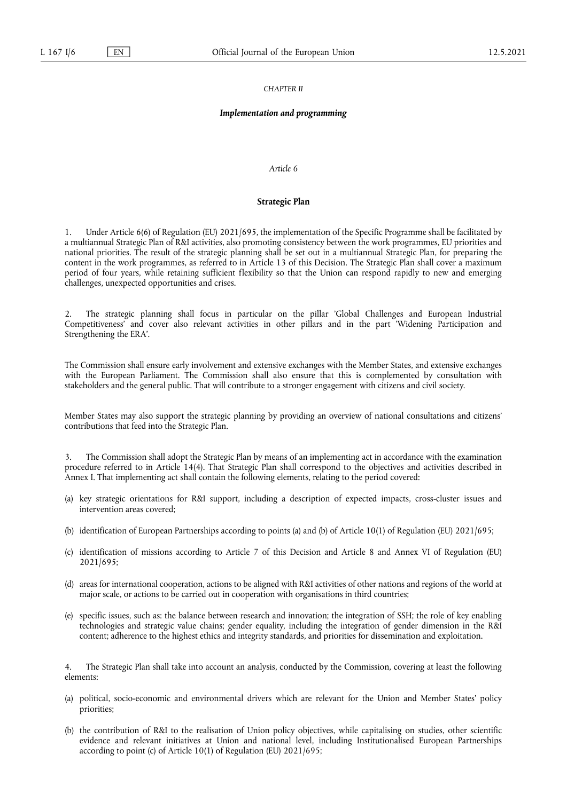#### *CHAPTER II*

## *Implementation and programming*

# *Article 6*

## **Strategic Plan**

Under Article 6(6) of Regulation (EU) 2021/695, the implementation of the Specific Programme shall be facilitated by a multiannual Strategic Plan of R&I activities, also promoting consistency between the work programmes, EU priorities and national priorities. The result of the strategic planning shall be set out in a multiannual Strategic Plan, for preparing the content in the work programmes, as referred to in Article 13 of this Decision. The Strategic Plan shall cover a maximum period of four years, while retaining sufficient flexibility so that the Union can respond rapidly to new and emerging challenges, unexpected opportunities and crises.

The strategic planning shall focus in particular on the pillar 'Global Challenges and European Industrial Competitiveness' and cover also relevant activities in other pillars and in the part 'Widening Participation and Strengthening the ERA'.

The Commission shall ensure early involvement and extensive exchanges with the Member States, and extensive exchanges with the European Parliament. The Commission shall also ensure that this is complemented by consultation with stakeholders and the general public. That will contribute to a stronger engagement with citizens and civil society.

Member States may also support the strategic planning by providing an overview of national consultations and citizens' contributions that feed into the Strategic Plan.

3. The Commission shall adopt the Strategic Plan by means of an implementing act in accordance with the examination procedure referred to in Article 14(4). That Strategic Plan shall correspond to the objectives and activities described in Annex I. That implementing act shall contain the following elements, relating to the period covered:

- (a) key strategic orientations for R&I support, including a description of expected impacts, cross-cluster issues and intervention areas covered;
- (b) identification of European Partnerships according to points (a) and (b) of Article 10(1) of Regulation (EU) 2021/695;
- (c) identification of missions according to Article 7 of this Decision and Article 8 and Annex VI of Regulation (EU) 2021/695;
- (d) areas for international cooperation, actions to be aligned with R&I activities of other nations and regions of the world at major scale, or actions to be carried out in cooperation with organisations in third countries;
- (e) specific issues, such as: the balance between research and innovation; the integration of SSH; the role of key enabling technologies and strategic value chains; gender equality, including the integration of gender dimension in the R&I content; adherence to the highest ethics and integrity standards, and priorities for dissemination and exploitation.

4. The Strategic Plan shall take into account an analysis, conducted by the Commission, covering at least the following elements:

- (a) political, socio-economic and environmental drivers which are relevant for the Union and Member States' policy priorities;
- (b) the contribution of R&I to the realisation of Union policy objectives, while capitalising on studies, other scientific evidence and relevant initiatives at Union and national level, including Institutionalised European Partnerships according to point (c) of Article 10(1) of Regulation (EU) 2021/695;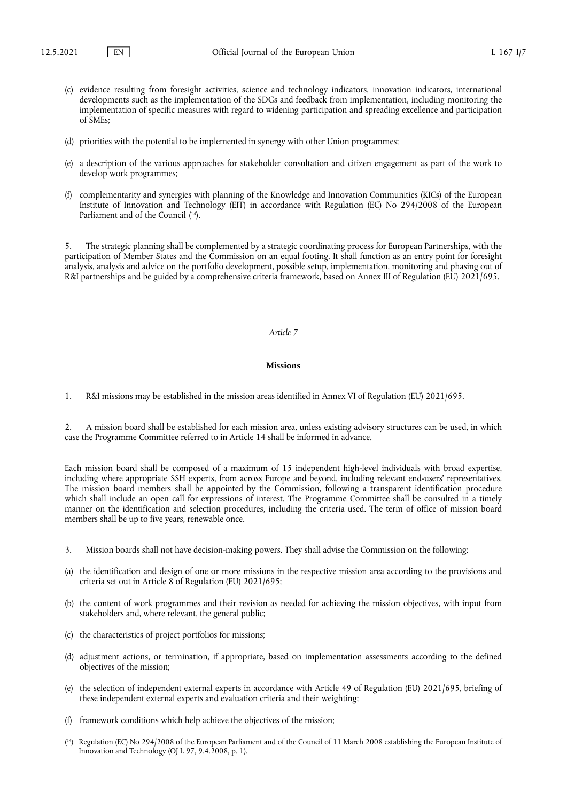- (c) evidence resulting from foresight activities, science and technology indicators, innovation indicators, international developments such as the implementation of the SDGs and feedback from implementation, including monitoring the implementation of specific measures with regard to widening participation and spreading excellence and participation of SMEs;
- (d) priorities with the potential to be implemented in synergy with other Union programmes;
- (e) a description of the various approaches for stakeholder consultation and citizen engagement as part of the work to develop work programmes;
- <span id="page-6-1"></span>(f) complementarity and synergies with planning of the Knowledge and Innovation Communities (KICs) of the European Institute of Innovation and Technology (EIT) in accordance with Regulation (EC) No 294/2008 of the European Parliament and of the Council ( [14\).](#page-6-0)

5. The strategic planning shall be complemented by a strategic coordinating process for European Partnerships, with the participation of Member States and the Commission on an equal footing. It shall function as an entry point for foresight analysis, analysis and advice on the portfolio development, possible setup, implementation, monitoring and phasing out of R&I partnerships and be guided by a comprehensive criteria framework, based on Annex III of Regulation (EU) 2021/695.

#### *Article 7*

#### **Missions**

1. R&I missions may be established in the mission areas identified in Annex VI of Regulation (EU) 2021/695.

2. A mission board shall be established for each mission area, unless existing advisory structures can be used, in which case the Programme Committee referred to in Article 14 shall be informed in advance.

Each mission board shall be composed of a maximum of 15 independent high-level individuals with broad expertise, including where appropriate SSH experts, from across Europe and beyond, including relevant end-users' representatives. The mission board members shall be appointed by the Commission, following a transparent identification procedure which shall include an open call for expressions of interest. The Programme Committee shall be consulted in a timely manner on the identification and selection procedures, including the criteria used. The term of office of mission board members shall be up to five years, renewable once.

- 3. Mission boards shall not have decision-making powers. They shall advise the Commission on the following:
- (a) the identification and design of one or more missions in the respective mission area according to the provisions and criteria set out in Article 8 of Regulation (EU) 2021/695;
- (b) the content of work programmes and their revision as needed for achieving the mission objectives, with input from stakeholders and, where relevant, the general public;
- (c) the characteristics of project portfolios for missions;
- (d) adjustment actions, or termination, if appropriate, based on implementation assessments according to the defined objectives of the mission;
- (e) the selection of independent external experts in accordance with Article 49 of Regulation (EU) 2021/695, briefing of these independent external experts and evaluation criteria and their weighting;
- (f) framework conditions which help achieve the objectives of the mission;

<span id="page-6-0"></span><sup>(</sup> [14\)](#page-6-1) Regulation (EC) No 294/2008 of the European Parliament and of the Council of 11 March 2008 establishing the European Institute of Innovation and Technology (OJ L 97, 9.4.2008, p. 1).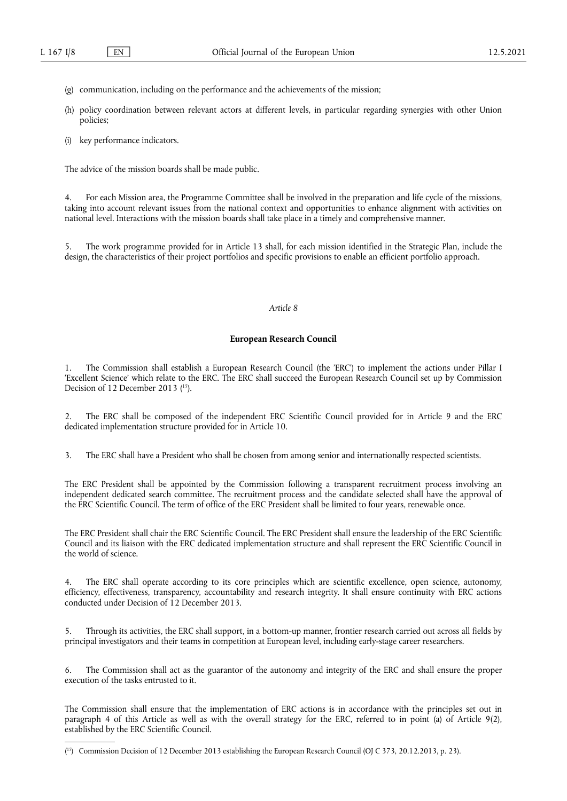- (g) communication, including on the performance and the achievements of the mission;
- (h) policy coordination between relevant actors at different levels, in particular regarding synergies with other Union policies;
- (i) key performance indicators.

The advice of the mission boards shall be made public.

4. For each Mission area, the Programme Committee shall be involved in the preparation and life cycle of the missions, taking into account relevant issues from the national context and opportunities to enhance alignment with activities on national level. Interactions with the mission boards shall take place in a timely and comprehensive manner.

5. The work programme provided for in Article 13 shall, for each mission identified in the Strategic Plan, include the design, the characteristics of their project portfolios and specific provisions to enable an efficient portfolio approach.

# *Article 8*

#### **European Research Council**

<span id="page-7-1"></span>1. The Commission shall establish a European Research Council (the 'ERC') to implement the actions under Pillar I 'Excellent Science' which relate to the ERC. The ERC shall succeed the European Research Council set up by Commission Decision of 12 December 2013 ( [15\).](#page-7-0)

2. The ERC shall be composed of the independent ERC Scientific Council provided for in Article 9 and the ERC dedicated implementation structure provided for in Article 10.

3. The ERC shall have a President who shall be chosen from among senior and internationally respected scientists.

The ERC President shall be appointed by the Commission following a transparent recruitment process involving an independent dedicated search committee. The recruitment process and the candidate selected shall have the approval of the ERC Scientific Council. The term of office of the ERC President shall be limited to four years, renewable once.

The ERC President shall chair the ERC Scientific Council. The ERC President shall ensure the leadership of the ERC Scientific Council and its liaison with the ERC dedicated implementation structure and shall represent the ERC Scientific Council in the world of science.

4. The ERC shall operate according to its core principles which are scientific excellence, open science, autonomy, efficiency, effectiveness, transparency, accountability and research integrity. It shall ensure continuity with ERC actions conducted under Decision of 12 December 2013.

5. Through its activities, the ERC shall support, in a bottom-up manner, frontier research carried out across all fields by principal investigators and their teams in competition at European level, including early-stage career researchers.

6. The Commission shall act as the guarantor of the autonomy and integrity of the ERC and shall ensure the proper execution of the tasks entrusted to it.

The Commission shall ensure that the implementation of ERC actions is in accordance with the principles set out in paragraph 4 of this Article as well as with the overall strategy for the ERC, referred to in point (a) of Article 9(2), established by the ERC Scientific Council.

<span id="page-7-0"></span><sup>(</sup> [15\)](#page-7-1) Commission Decision of 12 December 2013 establishing the European Research Council (OJ C 373, 20.12.2013, p. 23).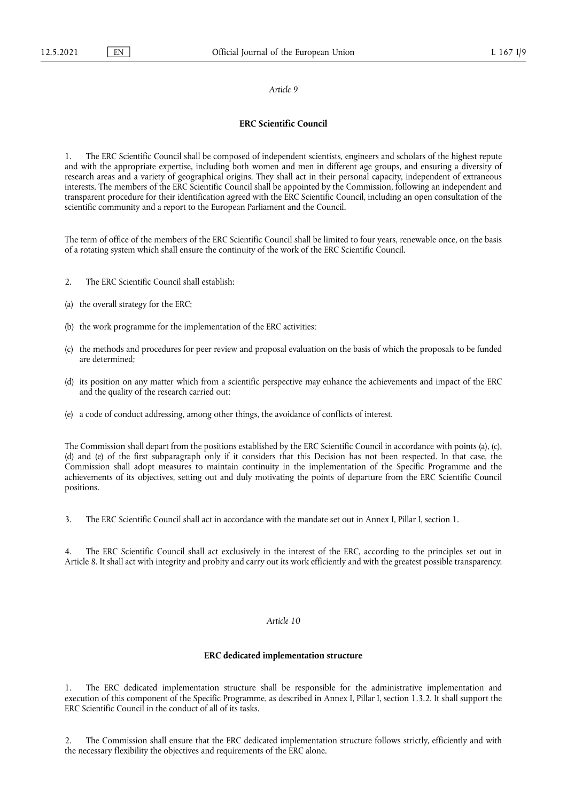#### *Article 9*

# **ERC Scientific Council**

1. The ERC Scientific Council shall be composed of independent scientists, engineers and scholars of the highest repute and with the appropriate expertise, including both women and men in different age groups, and ensuring a diversity of research areas and a variety of geographical origins. They shall act in their personal capacity, independent of extraneous interests. The members of the ERC Scientific Council shall be appointed by the Commission, following an independent and transparent procedure for their identification agreed with the ERC Scientific Council, including an open consultation of the scientific community and a report to the European Parliament and the Council.

The term of office of the members of the ERC Scientific Council shall be limited to four years, renewable once, on the basis of a rotating system which shall ensure the continuity of the work of the ERC Scientific Council.

- 2. The ERC Scientific Council shall establish:
- (a) the overall strategy for the ERC;
- (b) the work programme for the implementation of the ERC activities;
- (c) the methods and procedures for peer review and proposal evaluation on the basis of which the proposals to be funded are determined;
- (d) its position on any matter which from a scientific perspective may enhance the achievements and impact of the ERC and the quality of the research carried out;
- (e) a code of conduct addressing, among other things, the avoidance of conflicts of interest.

The Commission shall depart from the positions established by the ERC Scientific Council in accordance with points (a), (c), (d) and (e) of the first subparagraph only if it considers that this Decision has not been respected. In that case, the Commission shall adopt measures to maintain continuity in the implementation of the Specific Programme and the achievements of its objectives, setting out and duly motivating the points of departure from the ERC Scientific Council positions.

3. The ERC Scientific Council shall act in accordance with the mandate set out in Annex I, Pillar I, section 1.

The ERC Scientific Council shall act exclusively in the interest of the ERC, according to the principles set out in Article 8. It shall act with integrity and probity and carry out its work efficiently and with the greatest possible transparency.

#### *Article 10*

#### **ERC dedicated implementation structure**

1. The ERC dedicated implementation structure shall be responsible for the administrative implementation and execution of this component of the Specific Programme, as described in Annex I, Pillar I, section 1.3.2. It shall support the ERC Scientific Council in the conduct of all of its tasks.

2. The Commission shall ensure that the ERC dedicated implementation structure follows strictly, efficiently and with the necessary flexibility the objectives and requirements of the ERC alone.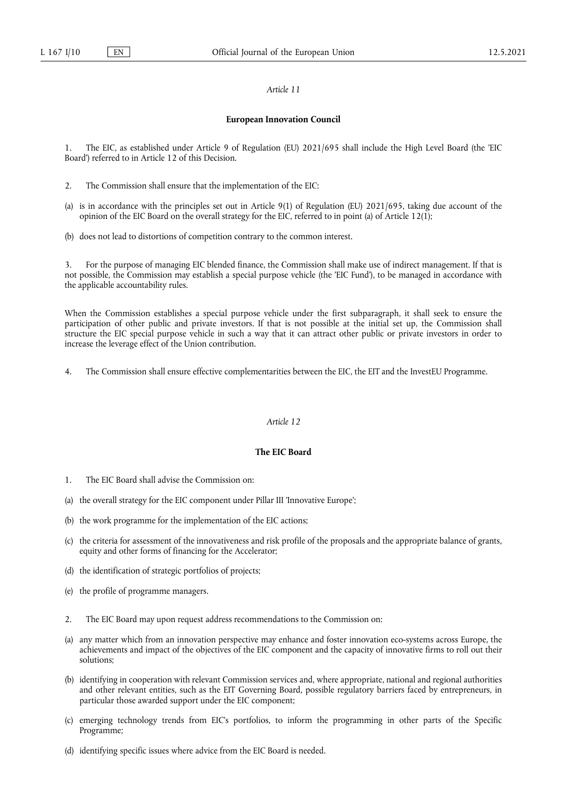#### *Article 11*

#### **European Innovation Council**

1. The EIC, as established under Article 9 of Regulation (EU) 2021/695 shall include the High Level Board (the 'EIC Board') referred to in Article 12 of this Decision.

- 2. The Commission shall ensure that the implementation of the EIC:
- (a) is in accordance with the principles set out in Article 9(1) of Regulation (EU) 2021/695, taking due account of the opinion of the EIC Board on the overall strategy for the EIC, referred to in point (a) of Article 12(1);
- (b) does not lead to distortions of competition contrary to the common interest.

3. For the purpose of managing EIC blended finance, the Commission shall make use of indirect management. If that is not possible, the Commission may establish a special purpose vehicle (the 'EIC Fund'), to be managed in accordance with the applicable accountability rules.

When the Commission establishes a special purpose vehicle under the first subparagraph, it shall seek to ensure the participation of other public and private investors. If that is not possible at the initial set up, the Commission shall structure the EIC special purpose vehicle in such a way that it can attract other public or private investors in order to increase the leverage effect of the Union contribution.

4. The Commission shall ensure effective complementarities between the EIC, the EIT and the InvestEU Programme.

# *Article 12*

# **The EIC Board**

- 1. The EIC Board shall advise the Commission on:
- (a) the overall strategy for the EIC component under Pillar III 'Innovative Europe';
- (b) the work programme for the implementation of the EIC actions;
- (c) the criteria for assessment of the innovativeness and risk profile of the proposals and the appropriate balance of grants, equity and other forms of financing for the Accelerator;
- (d) the identification of strategic portfolios of projects;
- (e) the profile of programme managers.
- 2. The EIC Board may upon request address recommendations to the Commission on:
- (a) any matter which from an innovation perspective may enhance and foster innovation eco-systems across Europe, the achievements and impact of the objectives of the EIC component and the capacity of innovative firms to roll out their solutions;
- (b) identifying in cooperation with relevant Commission services and, where appropriate, national and regional authorities and other relevant entities, such as the EIT Governing Board, possible regulatory barriers faced by entrepreneurs, in particular those awarded support under the EIC component;
- (c) emerging technology trends from EIC's portfolios, to inform the programming in other parts of the Specific Programme;
- (d) identifying specific issues where advice from the EIC Board is needed.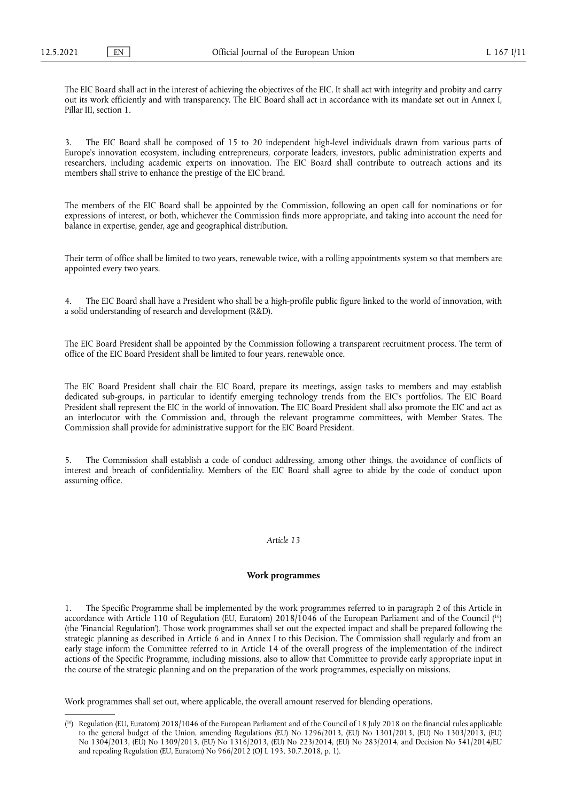The EIC Board shall act in the interest of achieving the objectives of the EIC. It shall act with integrity and probity and carry out its work efficiently and with transparency. The EIC Board shall act in accordance with its mandate set out in Annex I, Pillar III, section 1.

3. The EIC Board shall be composed of 15 to 20 independent high-level individuals drawn from various parts of Europe's innovation ecosystem, including entrepreneurs, corporate leaders, investors, public administration experts and researchers, including academic experts on innovation. The EIC Board shall contribute to outreach actions and its members shall strive to enhance the prestige of the EIC brand.

The members of the EIC Board shall be appointed by the Commission, following an open call for nominations or for expressions of interest, or both, whichever the Commission finds more appropriate, and taking into account the need for balance in expertise, gender, age and geographical distribution.

Their term of office shall be limited to two years, renewable twice, with a rolling appointments system so that members are appointed every two years.

The EIC Board shall have a President who shall be a high-profile public figure linked to the world of innovation, with a solid understanding of research and development (R&D).

The EIC Board President shall be appointed by the Commission following a transparent recruitment process. The term of office of the EIC Board President shall be limited to four years, renewable once.

The EIC Board President shall chair the EIC Board, prepare its meetings, assign tasks to members and may establish dedicated sub-groups, in particular to identify emerging technology trends from the EIC's portfolios. The EIC Board President shall represent the EIC in the world of innovation. The EIC Board President shall also promote the EIC and act as an interlocutor with the Commission and, through the relevant programme committees, with Member States. The Commission shall provide for administrative support for the EIC Board President.

5. The Commission shall establish a code of conduct addressing, among other things, the avoidance of conflicts of interest and breach of confidentiality. Members of the EIC Board shall agree to abide by the code of conduct upon assuming office.

# *Article 13*

#### **Work programmes**

<span id="page-10-1"></span>1. The Specific Programme shall be implemented by the work programmes referred to in paragraph 2 of this Article in accordance with Article 110 of Regulation (EU, Euratom) 2018/1046 of the European Parliament and of the Council ( [16\)](#page-10-0) (the 'Financial Regulation'). Those work programmes shall set out the expected impact and shall be prepared following the strategic planning as described in Article 6 and in Annex I to this Decision. The Commission shall regularly and from an early stage inform the Committee referred to in Article 14 of the overall progress of the implementation of the indirect actions of the Specific Programme, including missions, also to allow that Committee to provide early appropriate input in the course of the strategic planning and on the preparation of the work programmes, especially on missions.

Work programmes shall set out, where applicable, the overall amount reserved for blending operations.

<span id="page-10-0"></span><sup>(</sup> [16\)](#page-10-1) Regulation (EU, Euratom) 2018/1046 of the European Parliament and of the Council of 18 July 2018 on the financial rules applicable to the general budget of the Union, amending Regulations (EU) No 1296/2013, (EU) No 1301/2013, (EU) No 1303/2013, (EU) No 1304/2013, (EU) No 1309/2013, (EU) No 1316/2013, (EU) No 223/2014, (EU) No 283/2014, and Decision No 541/2014/EU and repealing Regulation (EU, Euratom) No 966/2012 (OJ L 193, 30.7.2018, p. 1).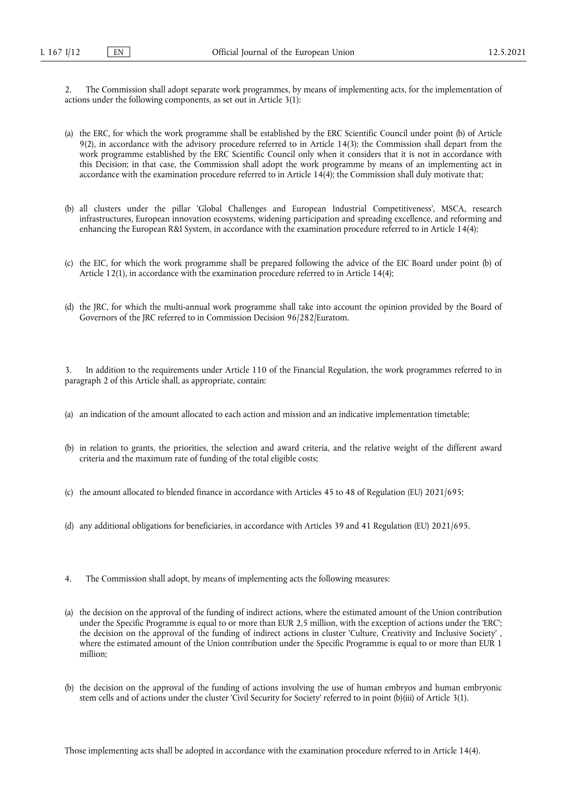2. The Commission shall adopt separate work programmes, by means of implementing acts, for the implementation of actions under the following components, as set out in Article 3(1):

- (a) the ERC, for which the work programme shall be established by the ERC Scientific Council under point (b) of Article 9(2), in accordance with the advisory procedure referred to in Article 14(3); the Commission shall depart from the work programme established by the ERC Scientific Council only when it considers that it is not in accordance with this Decision; in that case, the Commission shall adopt the work programme by means of an implementing act in accordance with the examination procedure referred to in Article  $14(4)$ ; the Commission shall duly motivate that;
- (b) all clusters under the pillar 'Global Challenges and European Industrial Competitiveness', MSCA, research infrastructures, European innovation ecosystems, widening participation and spreading excellence, and reforming and enhancing the European R&I System, in accordance with the examination procedure referred to in Article 14(4);
- (c) the EIC, for which the work programme shall be prepared following the advice of the EIC Board under point (b) of Article 12(1), in accordance with the examination procedure referred to in Article 14(4);
- (d) the JRC, for which the multi-annual work programme shall take into account the opinion provided by the Board of Governors of the JRC referred to in Commission Decision 96/282/Euratom.

3. In addition to the requirements under Article 110 of the Financial Regulation, the work programmes referred to in paragraph 2 of this Article shall, as appropriate, contain:

- (a) an indication of the amount allocated to each action and mission and an indicative implementation timetable;
- (b) in relation to grants, the priorities, the selection and award criteria, and the relative weight of the different award criteria and the maximum rate of funding of the total eligible costs;
- (c) the amount allocated to blended finance in accordance with Articles 45 to 48 of Regulation (EU) 2021/695;
- (d) any additional obligations for beneficiaries, in accordance with Articles 39 and 41 Regulation (EU) 2021/695.
- 4. The Commission shall adopt, by means of implementing acts the following measures:
- (a) the decision on the approval of the funding of indirect actions, where the estimated amount of the Union contribution under the Specific Programme is equal to or more than EUR 2,5 million, with the exception of actions under the 'ERC'; the decision on the approval of the funding of indirect actions in cluster 'Culture, Creativity and Inclusive Society' , where the estimated amount of the Union contribution under the Specific Programme is equal to or more than EUR 1 million;
- (b) the decision on the approval of the funding of actions involving the use of human embryos and human embryonic stem cells and of actions under the cluster 'Civil Security for Society' referred to in point (b)(iii) of Article 3(1).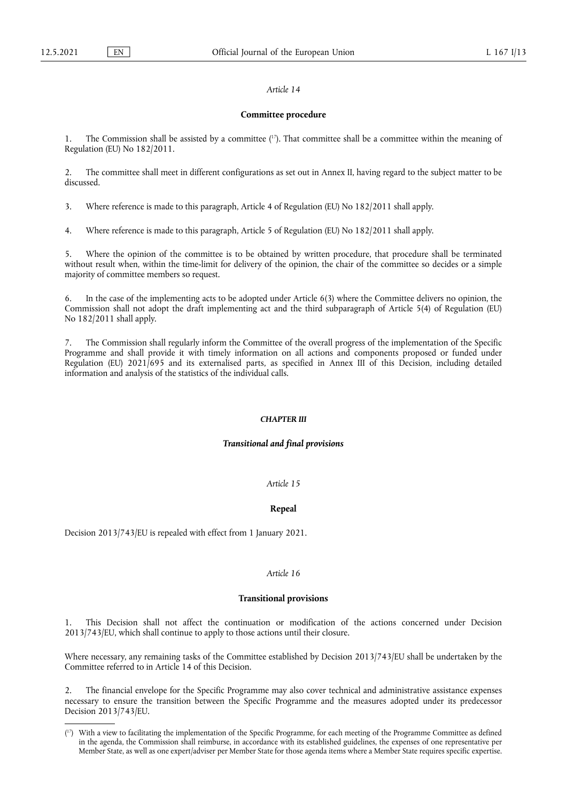#### *Article 14*

#### **Committee procedure**

<span id="page-12-1"></span>1. The Commission shall be assisted by a committee  $(1)$ . That committee shall be a committee within the meaning of Regulation (EU) No 182/2011.

2. The committee shall meet in different configurations as set out in Annex II, having regard to the subject matter to be discussed.

3. Where reference is made to this paragraph, Article 4 of Regulation (EU) No 182/2011 shall apply.

4. Where reference is made to this paragraph, Article 5 of Regulation (EU) No 182/2011 shall apply.

5. Where the opinion of the committee is to be obtained by written procedure, that procedure shall be terminated without result when, within the time-limit for delivery of the opinion, the chair of the committee so decides or a simple majority of committee members so request.

6. In the case of the implementing acts to be adopted under Article 6(3) where the Committee delivers no opinion, the Commission shall not adopt the draft implementing act and the third subparagraph of Article 5(4) of Regulation (EU) No 182/2011 shall apply.

7. The Commission shall regularly inform the Committee of the overall progress of the implementation of the Specific Programme and shall provide it with timely information on all actions and components proposed or funded under Regulation (EU) 2021/695 and its externalised parts, as specified in Annex III of this Decision, including detailed information and analysis of the statistics of the individual calls.

#### *CHAPTER III*

## *Transitional and final provisions*

# *Article 15*

#### **Repeal**

Decision 2013/743/EU is repealed with effect from 1 January 2021.

#### *Article 16*

#### **Transitional provisions**

1. This Decision shall not affect the continuation or modification of the actions concerned under Decision 2013/743/EU, which shall continue to apply to those actions until their closure.

Where necessary, any remaining tasks of the Committee established by Decision 2013/743/EU shall be undertaken by the Committee referred to in Article 14 of this Decision.

2. The financial envelope for the Specific Programme may also cover technical and administrative assistance expenses necessary to ensure the transition between the Specific Programme and the measures adopted under its predecessor Decision 2013/743/EU.

<span id="page-12-0"></span><sup>(</sup> [17\)](#page-12-1) With a view to facilitating the implementation of the Specific Programme, for each meeting of the Programme Committee as defined in the agenda, the Commission shall reimburse, in accordance with its established guidelines, the expenses of one representative per Member State, as well as one expert/adviser per Member State for those agenda items where a Member State requires specific expertise.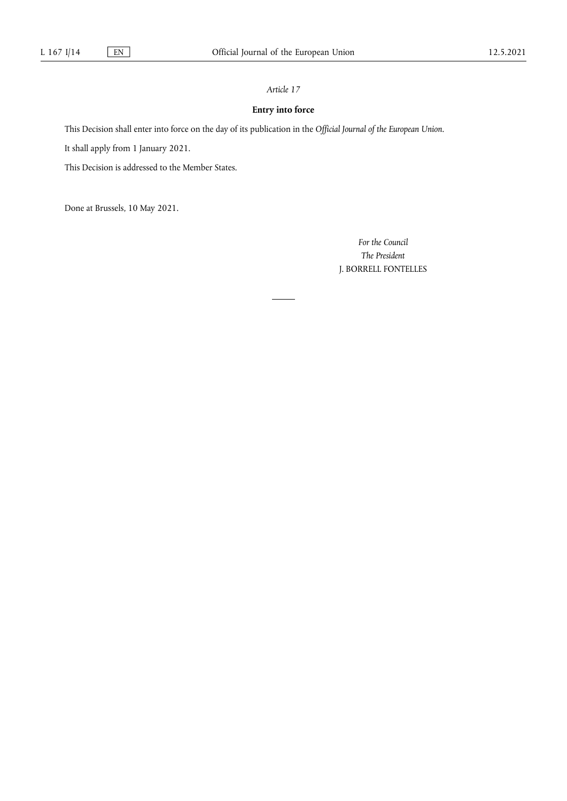# *Article 17*

# **Entry into force**

This Decision shall enter into force on the day of its publication in the *Official Journal of the European Union*.

It shall apply from 1 January 2021.

This Decision is addressed to the Member States.

Done at Brussels, 10 May 2021.

*For the Council The President* J. BORRELL FONTELLES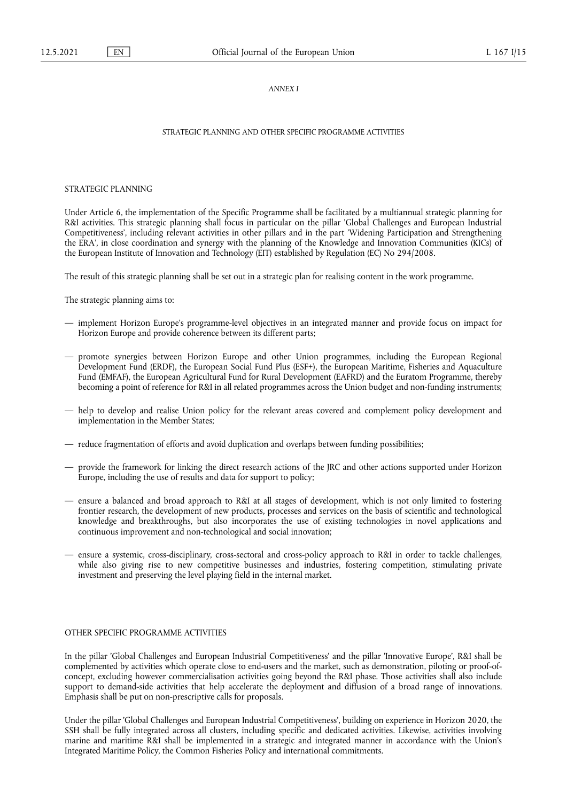## *ANNEX I*

# STRATEGIC PLANNING AND OTHER SPECIFIC PROGRAMME ACTIVITIES

#### STRATEGIC PLANNING

Under Article 6, the implementation of the Specific Programme shall be facilitated by a multiannual strategic planning for R&I activities. This strategic planning shall focus in particular on the pillar 'Global Challenges and European Industrial Competitiveness', including relevant activities in other pillars and in the part 'Widening Participation and Strengthening the ERA', in close coordination and synergy with the planning of the Knowledge and Innovation Communities (KICs) of the European Institute of Innovation and Technology (EIT) established by Regulation (EC) No 294/2008.

The result of this strategic planning shall be set out in a strategic plan for realising content in the work programme.

The strategic planning aims to:

- implement Horizon Europe's programme-level objectives in an integrated manner and provide focus on impact for Horizon Europe and provide coherence between its different parts;
- promote synergies between Horizon Europe and other Union programmes, including the European Regional Development Fund (ERDF), the European Social Fund Plus (ESF+), the European Maritime, Fisheries and Aquaculture Fund (EMFAF), the European Agricultural Fund for Rural Development (EAFRD) and the Euratom Programme, thereby becoming a point of reference for R&I in all related programmes across the Union budget and non-funding instruments;
- help to develop and realise Union policy for the relevant areas covered and complement policy development and implementation in the Member States;
- reduce fragmentation of efforts and avoid duplication and overlaps between funding possibilities;
- provide the framework for linking the direct research actions of the JRC and other actions supported under Horizon Europe, including the use of results and data for support to policy;
- ensure a balanced and broad approach to R&I at all stages of development, which is not only limited to fostering frontier research, the development of new products, processes and services on the basis of scientific and technological knowledge and breakthroughs, but also incorporates the use of existing technologies in novel applications and continuous improvement and non-technological and social innovation;
- ensure a systemic, cross-disciplinary, cross-sectoral and cross-policy approach to R&I in order to tackle challenges, while also giving rise to new competitive businesses and industries, fostering competition, stimulating private investment and preserving the level playing field in the internal market.

## OTHER SPECIFIC PROGRAMME ACTIVITIES

In the pillar 'Global Challenges and European Industrial Competitiveness' and the pillar 'Innovative Europe', R&I shall be complemented by activities which operate close to end-users and the market, such as demonstration, piloting or proof-ofconcept, excluding however commercialisation activities going beyond the R&I phase. Those activities shall also include support to demand-side activities that help accelerate the deployment and diffusion of a broad range of innovations. Emphasis shall be put on non-prescriptive calls for proposals.

Under the pillar 'Global Challenges and European Industrial Competitiveness', building on experience in Horizon 2020, the SSH shall be fully integrated across all clusters, including specific and dedicated activities. Likewise, activities involving marine and maritime R&I shall be implemented in a strategic and integrated manner in accordance with the Union's Integrated Maritime Policy, the Common Fisheries Policy and international commitments.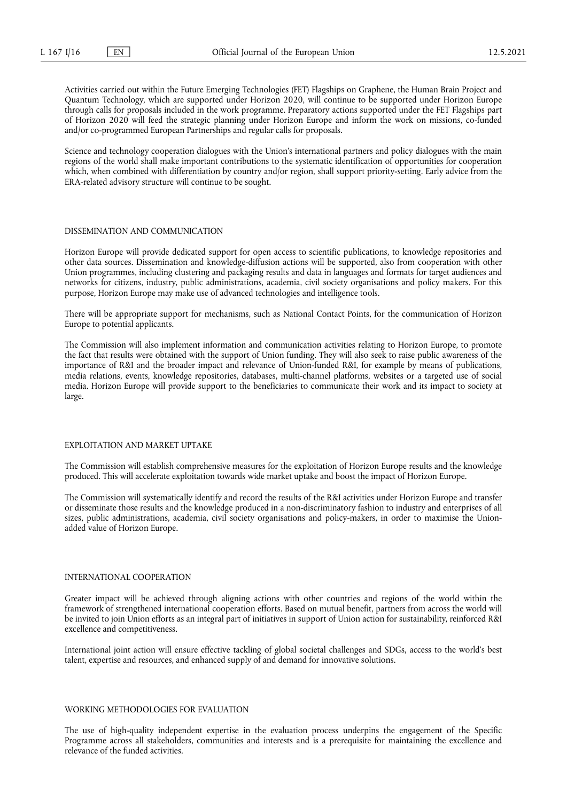Activities carried out within the Future Emerging Technologies (FET) Flagships on Graphene, the Human Brain Project and Quantum Technology, which are supported under Horizon 2020, will continue to be supported under Horizon Europe through calls for proposals included in the work programme. Preparatory actions supported under the FET Flagships part of Horizon 2020 will feed the strategic planning under Horizon Europe and inform the work on missions, co-funded and/or co-programmed European Partnerships and regular calls for proposals.

Science and technology cooperation dialogues with the Union's international partners and policy dialogues with the main regions of the world shall make important contributions to the systematic identification of opportunities for cooperation which, when combined with differentiation by country and/or region, shall support priority-setting. Early advice from the ERA-related advisory structure will continue to be sought.

#### DISSEMINATION AND COMMUNICATION

Horizon Europe will provide dedicated support for open access to scientific publications, to knowledge repositories and other data sources. Dissemination and knowledge-diffusion actions will be supported, also from cooperation with other Union programmes, including clustering and packaging results and data in languages and formats for target audiences and networks for citizens, industry, public administrations, academia, civil society organisations and policy makers. For this purpose, Horizon Europe may make use of advanced technologies and intelligence tools.

There will be appropriate support for mechanisms, such as National Contact Points, for the communication of Horizon Europe to potential applicants.

The Commission will also implement information and communication activities relating to Horizon Europe, to promote the fact that results were obtained with the support of Union funding. They will also seek to raise public awareness of the importance of R&I and the broader impact and relevance of Union-funded R&I, for example by means of publications, media relations, events, knowledge repositories, databases, multi-channel platforms, websites or a targeted use of social media. Horizon Europe will provide support to the beneficiaries to communicate their work and its impact to society at large.

# EXPLOITATION AND MARKET UPTAKE

The Commission will establish comprehensive measures for the exploitation of Horizon Europe results and the knowledge produced. This will accelerate exploitation towards wide market uptake and boost the impact of Horizon Europe.

The Commission will systematically identify and record the results of the R&I activities under Horizon Europe and transfer or disseminate those results and the knowledge produced in a non-discriminatory fashion to industry and enterprises of all sizes, public administrations, academia, civil society organisations and policy-makers, in order to maximise the Unionadded value of Horizon Europe.

## INTERNATIONAL COOPERATION

Greater impact will be achieved through aligning actions with other countries and regions of the world within the framework of strengthened international cooperation efforts. Based on mutual benefit, partners from across the world will be invited to join Union efforts as an integral part of initiatives in support of Union action for sustainability, reinforced R&I excellence and competitiveness.

International joint action will ensure effective tackling of global societal challenges and SDGs, access to the world's best talent, expertise and resources, and enhanced supply of and demand for innovative solutions.

#### WORKING METHODOLOGIES FOR EVALUATION

The use of high-quality independent expertise in the evaluation process underpins the engagement of the Specific Programme across all stakeholders, communities and interests and is a prerequisite for maintaining the excellence and relevance of the funded activities.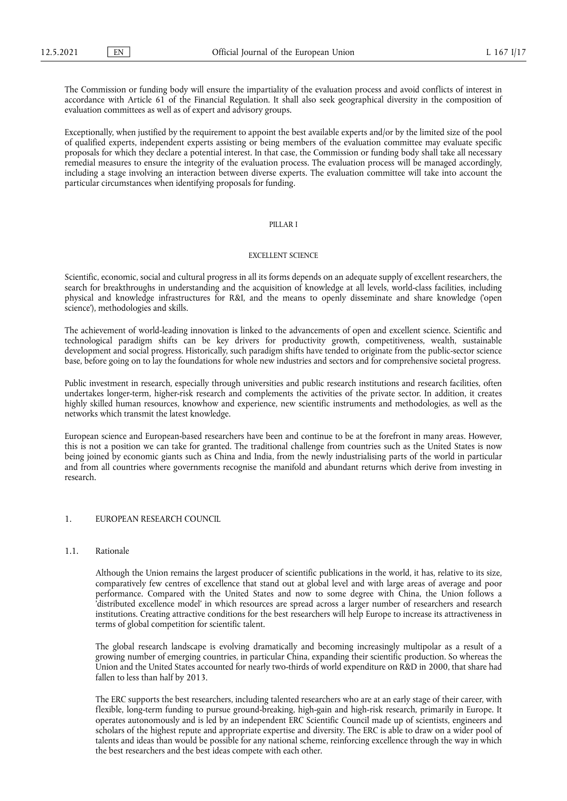The Commission or funding body will ensure the impartiality of the evaluation process and avoid conflicts of interest in accordance with Article 61 of the Financial Regulation. It shall also seek geographical diversity in the composition of evaluation committees as well as of expert and advisory groups.

Exceptionally, when justified by the requirement to appoint the best available experts and/or by the limited size of the pool of qualified experts, independent experts assisting or being members of the evaluation committee may evaluate specific proposals for which they declare a potential interest. In that case, the Commission or funding body shall take all necessary remedial measures to ensure the integrity of the evaluation process. The evaluation process will be managed accordingly, including a stage involving an interaction between diverse experts. The evaluation committee will take into account the particular circumstances when identifying proposals for funding.

## PILLAR I

#### EXCELLENT SCIENCE

Scientific, economic, social and cultural progress in all its forms depends on an adequate supply of excellent researchers, the search for breakthroughs in understanding and the acquisition of knowledge at all levels, world-class facilities, including physical and knowledge infrastructures for R&I, and the means to openly disseminate and share knowledge ('open science'), methodologies and skills.

The achievement of world-leading innovation is linked to the advancements of open and excellent science. Scientific and technological paradigm shifts can be key drivers for productivity growth, competitiveness, wealth, sustainable development and social progress. Historically, such paradigm shifts have tended to originate from the public-sector science base, before going on to lay the foundations for whole new industries and sectors and for comprehensive societal progress.

Public investment in research, especially through universities and public research institutions and research facilities, often undertakes longer-term, higher-risk research and complements the activities of the private sector. In addition, it creates highly skilled human resources, knowhow and experience, new scientific instruments and methodologies, as well as the networks which transmit the latest knowledge.

European science and European-based researchers have been and continue to be at the forefront in many areas. However, this is not a position we can take for granted. The traditional challenge from countries such as the United States is now being joined by economic giants such as China and India, from the newly industrialising parts of the world in particular and from all countries where governments recognise the manifold and abundant returns which derive from investing in research.

# 1. EUROPEAN RESEARCH COUNCIL

# 1.1. Rationale

Although the Union remains the largest producer of scientific publications in the world, it has, relative to its size, comparatively few centres of excellence that stand out at global level and with large areas of average and poor performance. Compared with the United States and now to some degree with China, the Union follows a 'distributed excellence model' in which resources are spread across a larger number of researchers and research institutions. Creating attractive conditions for the best researchers will help Europe to increase its attractiveness in terms of global competition for scientific talent.

The global research landscape is evolving dramatically and becoming increasingly multipolar as a result of a growing number of emerging countries, in particular China, expanding their scientific production. So whereas the Union and the United States accounted for nearly two-thirds of world expenditure on R&D in 2000, that share had fallen to less than half by 2013.

The ERC supports the best researchers, including talented researchers who are at an early stage of their career, with flexible, long-term funding to pursue ground-breaking, high-gain and high-risk research, primarily in Europe. It operates autonomously and is led by an independent ERC Scientific Council made up of scientists, engineers and scholars of the highest repute and appropriate expertise and diversity. The ERC is able to draw on a wider pool of talents and ideas than would be possible for any national scheme, reinforcing excellence through the way in which the best researchers and the best ideas compete with each other.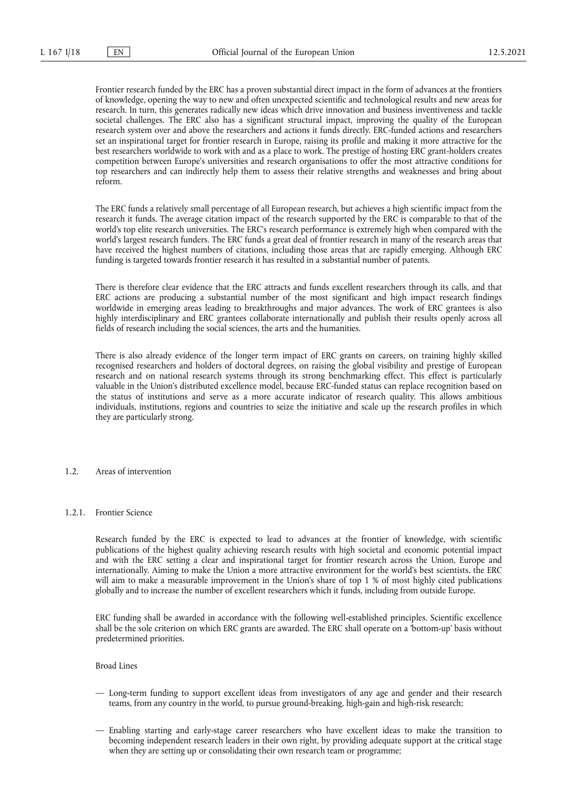Frontier research funded by the ERC has a proven substantial direct impact in the form of advances at the frontiers of knowledge, opening the way to new and often unexpected scientific and technological results and new areas for research. In turn, this generates radically new ideas which drive innovation and business inventiveness and tackle societal challenges. The ERC also has a significant structural impact, improving the quality of the European research system over and above the researchers and actions it funds directly. ERC-funded actions and researchers set an inspirational target for frontier research in Europe, raising its profile and making it more attractive for the best researchers worldwide to work with and as a place to work. The prestige of hosting ERC grant-holders creates competition between Europe's universities and research organisations to offer the most attractive conditions for top researchers and can indirectly help them to assess their relative strengths and weaknesses and bring about reform.

The ERC funds a relatively small percentage of all European research, but achieves a high scientific impact from the research it funds. The average citation impact of the research supported by the ERC is comparable to that of the world's top elite research universities. The ERC's research performance is extremely high when compared with the world's largest research funders. The ERC funds a great deal of frontier research in many of the research areas that have received the highest numbers of citations, including those areas that are rapidly emerging. Although ERC funding is targeted towards frontier research it has resulted in a substantial number of patents.

There is therefore clear evidence that the ERC attracts and funds excellent researchers through its calls, and that ERC actions are producing a substantial number of the most significant and high impact research findings worldwide in emerging areas leading to breakthroughs and major advances. The work of ERC grantees is also highly interdisciplinary and ERC grantees collaborate internationally and publish their results openly across all fields of research including the social sciences, the arts and the humanities.

There is also already evidence of the longer term impact of ERC grants on careers, on training highly skilled recognised researchers and holders of doctoral degrees, on raising the global visibility and prestige of European research and on national research systems through its strong benchmarking effect. This effect is particularly valuable in the Union's distributed excellence model, because ERC-funded status can replace recognition based on the status of institutions and serve as a more accurate indicator of research quality. This allows ambitious individuals, institutions, regions and countries to seize the initiative and scale up the research profiles in which they are particularly strong.

1.2. Areas of intervention

#### 1.2.1. Frontier Science

Research funded by the ERC is expected to lead to advances at the frontier of knowledge, with scientific publications of the highest quality achieving research results with high societal and economic potential impact and with the ERC setting a clear and inspirational target for frontier research across the Union, Europe and internationally. Aiming to make the Union a more attractive environment for the world's best scientists, the ERC will aim to make a measurable improvement in the Union's share of top 1 % of most highly cited publications globally and to increase the number of excellent researchers which it funds, including from outside Europe.

ERC funding shall be awarded in accordance with the following well-established principles. Scientific excellence shall be the sole criterion on which ERC grants are awarded. The ERC shall operate on a 'bottom-up' basis without predetermined priorities.

Broad Lines

- Long-term funding to support excellent ideas from investigators of any age and gender and their research teams, from any country in the world, to pursue ground-breaking, high-gain and high-risk research;
- Enabling starting and early-stage career researchers who have excellent ideas to make the transition to becoming independent research leaders in their own right, by providing adequate support at the critical stage when they are setting up or consolidating their own research team or programme;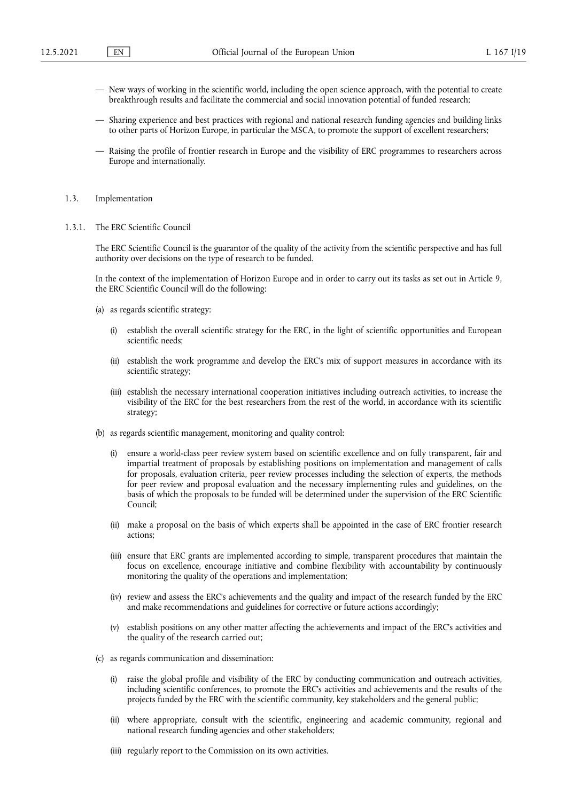- New ways of working in the scientific world, including the open science approach, with the potential to create breakthrough results and facilitate the commercial and social innovation potential of funded research;
- Sharing experience and best practices with regional and national research funding agencies and building links to other parts of Horizon Europe, in particular the MSCA, to promote the support of excellent researchers;
- Raising the profile of frontier research in Europe and the visibility of ERC programmes to researchers across Europe and internationally.
- 1.3. Implementation
- 1.3.1. The ERC Scientific Council

The ERC Scientific Council is the guarantor of the quality of the activity from the scientific perspective and has full authority over decisions on the type of research to be funded.

In the context of the implementation of Horizon Europe and in order to carry out its tasks as set out in Article 9, the ERC Scientific Council will do the following:

- (a) as regards scientific strategy:
	- (i) establish the overall scientific strategy for the ERC, in the light of scientific opportunities and European scientific needs;
	- (ii) establish the work programme and develop the ERC's mix of support measures in accordance with its scientific strategy;
	- (iii) establish the necessary international cooperation initiatives including outreach activities, to increase the visibility of the ERC for the best researchers from the rest of the world, in accordance with its scientific strategy;
- (b) as regards scientific management, monitoring and quality control:
	- (i) ensure a world-class peer review system based on scientific excellence and on fully transparent, fair and impartial treatment of proposals by establishing positions on implementation and management of calls for proposals, evaluation criteria, peer review processes including the selection of experts, the methods for peer review and proposal evaluation and the necessary implementing rules and guidelines, on the basis of which the proposals to be funded will be determined under the supervision of the ERC Scientific Council;
	- (ii) make a proposal on the basis of which experts shall be appointed in the case of ERC frontier research actions;
	- (iii) ensure that ERC grants are implemented according to simple, transparent procedures that maintain the focus on excellence, encourage initiative and combine flexibility with accountability by continuously monitoring the quality of the operations and implementation;
	- (iv) review and assess the ERC's achievements and the quality and impact of the research funded by the ERC and make recommendations and guidelines for corrective or future actions accordingly;
	- (v) establish positions on any other matter affecting the achievements and impact of the ERC's activities and the quality of the research carried out;
- (c) as regards communication and dissemination:
	- (i) raise the global profile and visibility of the ERC by conducting communication and outreach activities, including scientific conferences, to promote the ERC's activities and achievements and the results of the projects funded by the ERC with the scientific community, key stakeholders and the general public;
	- (ii) where appropriate, consult with the scientific, engineering and academic community, regional and national research funding agencies and other stakeholders;
	- (iii) regularly report to the Commission on its own activities.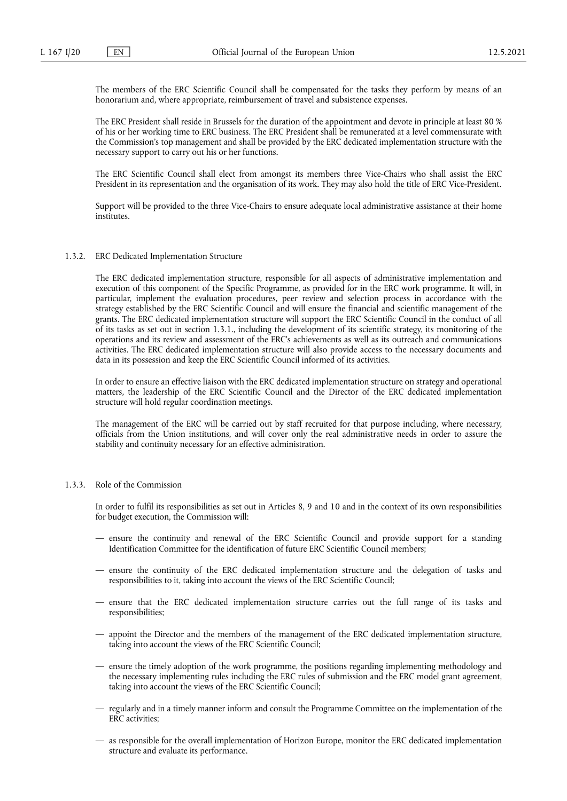The members of the ERC Scientific Council shall be compensated for the tasks they perform by means of an honorarium and, where appropriate, reimbursement of travel and subsistence expenses.

The ERC President shall reside in Brussels for the duration of the appointment and devote in principle at least 80 % of his or her working time to ERC business. The ERC President shall be remunerated at a level commensurate with the Commission's top management and shall be provided by the ERC dedicated implementation structure with the necessary support to carry out his or her functions.

The ERC Scientific Council shall elect from amongst its members three Vice-Chairs who shall assist the ERC President in its representation and the organisation of its work. They may also hold the title of ERC Vice-President.

Support will be provided to the three Vice-Chairs to ensure adequate local administrative assistance at their home institutes.

#### 1.3.2. ERC Dedicated Implementation Structure

The ERC dedicated implementation structure, responsible for all aspects of administrative implementation and execution of this component of the Specific Programme, as provided for in the ERC work programme. It will, in particular, implement the evaluation procedures, peer review and selection process in accordance with the strategy established by the ERC Scientific Council and will ensure the financial and scientific management of the grants. The ERC dedicated implementation structure will support the ERC Scientific Council in the conduct of all of its tasks as set out in section 1.3.1., including the development of its scientific strategy, its monitoring of the operations and its review and assessment of the ERC's achievements as well as its outreach and communications activities. The ERC dedicated implementation structure will also provide access to the necessary documents and data in its possession and keep the ERC Scientific Council informed of its activities.

In order to ensure an effective liaison with the ERC dedicated implementation structure on strategy and operational matters, the leadership of the ERC Scientific Council and the Director of the ERC dedicated implementation structure will hold regular coordination meetings.

The management of the ERC will be carried out by staff recruited for that purpose including, where necessary, officials from the Union institutions, and will cover only the real administrative needs in order to assure the stability and continuity necessary for an effective administration.

# 1.3.3. Role of the Commission

In order to fulfil its responsibilities as set out in Articles 8, 9 and 10 and in the context of its own responsibilities for budget execution, the Commission will:

- ensure the continuity and renewal of the ERC Scientific Council and provide support for a standing Identification Committee for the identification of future ERC Scientific Council members;
- ensure the continuity of the ERC dedicated implementation structure and the delegation of tasks and responsibilities to it, taking into account the views of the ERC Scientific Council;
- ensure that the ERC dedicated implementation structure carries out the full range of its tasks and responsibilities;
- appoint the Director and the members of the management of the ERC dedicated implementation structure, taking into account the views of the ERC Scientific Council;
- ensure the timely adoption of the work programme, the positions regarding implementing methodology and the necessary implementing rules including the ERC rules of submission and the ERC model grant agreement, taking into account the views of the ERC Scientific Council;
- regularly and in a timely manner inform and consult the Programme Committee on the implementation of the ERC activities;
- as responsible for the overall implementation of Horizon Europe, monitor the ERC dedicated implementation structure and evaluate its performance.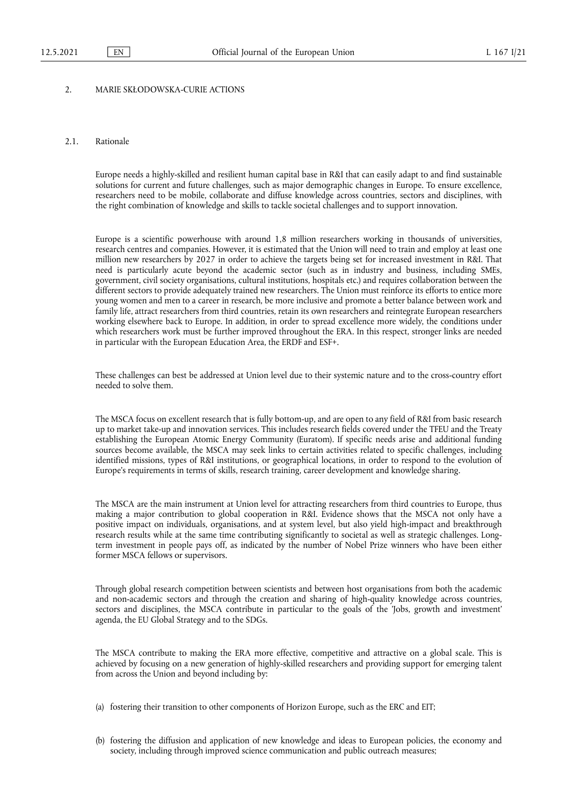# 2. MARIE SKŁODOWSKA-CURIE ACTIONS

## 2.1. Rationale

Europe needs a highly-skilled and resilient human capital base in R&I that can easily adapt to and find sustainable solutions for current and future challenges, such as major demographic changes in Europe. To ensure excellence, researchers need to be mobile, collaborate and diffuse knowledge across countries, sectors and disciplines, with the right combination of knowledge and skills to tackle societal challenges and to support innovation.

Europe is a scientific powerhouse with around 1,8 million researchers working in thousands of universities, research centres and companies. However, it is estimated that the Union will need to train and employ at least one million new researchers by 2027 in order to achieve the targets being set for increased investment in R&I. That need is particularly acute beyond the academic sector (such as in industry and business, including SMEs, government, civil society organisations, cultural institutions, hospitals etc.) and requires collaboration between the different sectors to provide adequately trained new researchers. The Union must reinforce its efforts to entice more young women and men to a career in research, be more inclusive and promote a better balance between work and family life, attract researchers from third countries, retain its own researchers and reintegrate European researchers working elsewhere back to Europe. In addition, in order to spread excellence more widely, the conditions under which researchers work must be further improved throughout the ERA. In this respect, stronger links are needed in particular with the European Education Area, the ERDF and ESF+.

These challenges can best be addressed at Union level due to their systemic nature and to the cross-country effort needed to solve them.

The MSCA focus on excellent research that is fully bottom-up, and are open to any field of R&I from basic research up to market take-up and innovation services. This includes research fields covered under the TFEU and the Treaty establishing the European Atomic Energy Community (Euratom). If specific needs arise and additional funding sources become available, the MSCA may seek links to certain activities related to specific challenges, including identified missions, types of R&I institutions, or geographical locations, in order to respond to the evolution of Europe's requirements in terms of skills, research training, career development and knowledge sharing.

The MSCA are the main instrument at Union level for attracting researchers from third countries to Europe, thus making a major contribution to global cooperation in R&I. Evidence shows that the MSCA not only have a positive impact on individuals, organisations, and at system level, but also yield high-impact and breakthrough research results while at the same time contributing significantly to societal as well as strategic challenges. Longterm investment in people pays off, as indicated by the number of Nobel Prize winners who have been either former MSCA fellows or supervisors.

Through global research competition between scientists and between host organisations from both the academic and non-academic sectors and through the creation and sharing of high-quality knowledge across countries, sectors and disciplines, the MSCA contribute in particular to the goals of the 'Jobs, growth and investment' agenda, the EU Global Strategy and to the SDGs.

The MSCA contribute to making the ERA more effective, competitive and attractive on a global scale. This is achieved by focusing on a new generation of highly-skilled researchers and providing support for emerging talent from across the Union and beyond including by:

(a) fostering their transition to other components of Horizon Europe, such as the ERC and EIT;

(b) fostering the diffusion and application of new knowledge and ideas to European policies, the economy and society, including through improved science communication and public outreach measures;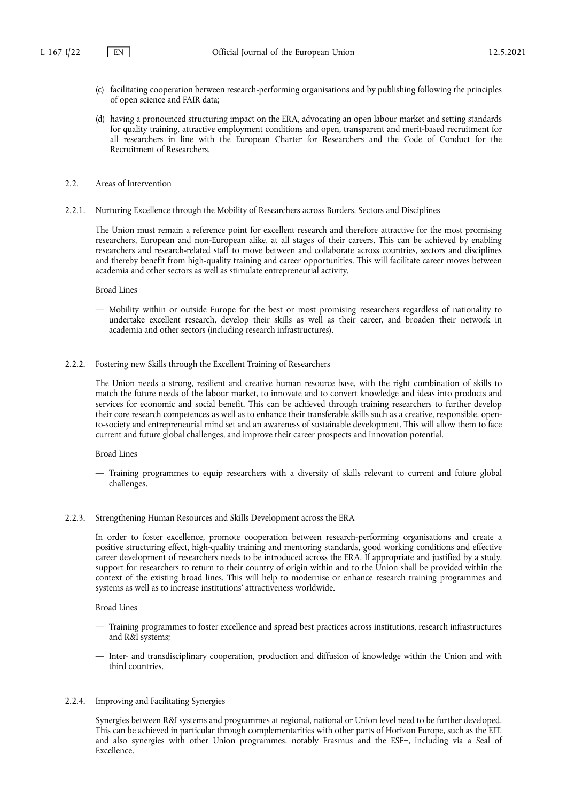- (c) facilitating cooperation between research-performing organisations and by publishing following the principles of open science and FAIR data;
- (d) having a pronounced structuring impact on the ERA, advocating an open labour market and setting standards for quality training, attractive employment conditions and open, transparent and merit-based recruitment for all researchers in line with the European Charter for Researchers and the Code of Conduct for the Recruitment of Researchers.
- 2.2. Areas of Intervention
- 2.2.1. Nurturing Excellence through the Mobility of Researchers across Borders, Sectors and Disciplines

The Union must remain a reference point for excellent research and therefore attractive for the most promising researchers, European and non-European alike, at all stages of their careers. This can be achieved by enabling researchers and research-related staff to move between and collaborate across countries, sectors and disciplines and thereby benefit from high-quality training and career opportunities. This will facilitate career moves between academia and other sectors as well as stimulate entrepreneurial activity.

Broad Lines

- Mobility within or outside Europe for the best or most promising researchers regardless of nationality to undertake excellent research, develop their skills as well as their career, and broaden their network in academia and other sectors (including research infrastructures).
- 2.2.2. Fostering new Skills through the Excellent Training of Researchers

The Union needs a strong, resilient and creative human resource base, with the right combination of skills to match the future needs of the labour market, to innovate and to convert knowledge and ideas into products and services for economic and social benefit. This can be achieved through training researchers to further develop their core research competences as well as to enhance their transferable skills such as a creative, responsible, opento-society and entrepreneurial mind set and an awareness of sustainable development. This will allow them to face current and future global challenges, and improve their career prospects and innovation potential.

Broad Lines

- Training programmes to equip researchers with a diversity of skills relevant to current and future global challenges.
- 2.2.3. Strengthening Human Resources and Skills Development across the ERA

In order to foster excellence, promote cooperation between research-performing organisations and create a positive structuring effect, high-quality training and mentoring standards, good working conditions and effective career development of researchers needs to be introduced across the ERA. If appropriate and justified by a study, support for researchers to return to their country of origin within and to the Union shall be provided within the context of the existing broad lines. This will help to modernise or enhance research training programmes and systems as well as to increase institutions' attractiveness worldwide.

Broad Lines

- Training programmes to foster excellence and spread best practices across institutions, research infrastructures and R&I systems;
- Inter- and transdisciplinary cooperation, production and diffusion of knowledge within the Union and with third countries.
- 2.2.4. Improving and Facilitating Synergies

Synergies between R&I systems and programmes at regional, national or Union level need to be further developed. This can be achieved in particular through complementarities with other parts of Horizon Europe, such as the EIT, and also synergies with other Union programmes, notably Erasmus and the ESF+, including via a Seal of Excellence.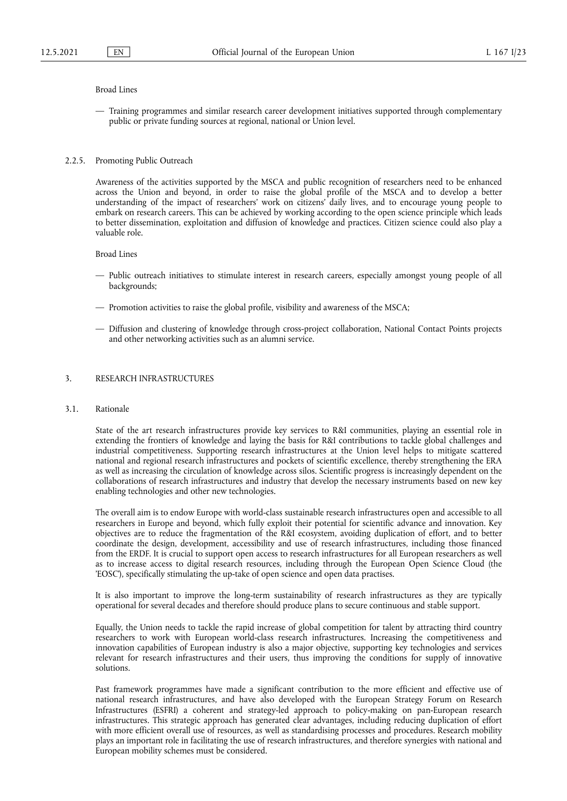#### Broad Lines

— Training programmes and similar research career development initiatives supported through complementary public or private funding sources at regional, national or Union level.

## 2.2.5. Promoting Public Outreach

Awareness of the activities supported by the MSCA and public recognition of researchers need to be enhanced across the Union and beyond, in order to raise the global profile of the MSCA and to develop a better understanding of the impact of researchers' work on citizens' daily lives, and to encourage young people to embark on research careers. This can be achieved by working according to the open science principle which leads to better dissemination, exploitation and diffusion of knowledge and practices. Citizen science could also play a valuable role.

Broad Lines

- Public outreach initiatives to stimulate interest in research careers, especially amongst young people of all backgrounds;
- Promotion activities to raise the global profile, visibility and awareness of the MSCA;
- Diffusion and clustering of knowledge through cross-project collaboration, National Contact Points projects and other networking activities such as an alumni service.

#### 3. RESEARCH INFRASTRUCTURES

#### 3.1. Rationale

State of the art research infrastructures provide key services to R&I communities, playing an essential role in extending the frontiers of knowledge and laying the basis for R&I contributions to tackle global challenges and industrial competitiveness. Supporting research infrastructures at the Union level helps to mitigate scattered national and regional research infrastructures and pockets of scientific excellence, thereby strengthening the ERA as well as increasing the circulation of knowledge across silos. Scientific progress is increasingly dependent on the collaborations of research infrastructures and industry that develop the necessary instruments based on new key enabling technologies and other new technologies.

The overall aim is to endow Europe with world-class sustainable research infrastructures open and accessible to all researchers in Europe and beyond, which fully exploit their potential for scientific advance and innovation. Key objectives are to reduce the fragmentation of the R&I ecosystem, avoiding duplication of effort, and to better coordinate the design, development, accessibility and use of research infrastructures, including those financed from the ERDF. It is crucial to support open access to research infrastructures for all European researchers as well as to increase access to digital research resources, including through the European Open Science Cloud (the 'EOSC'), specifically stimulating the up-take of open science and open data practises.

It is also important to improve the long-term sustainability of research infrastructures as they are typically operational for several decades and therefore should produce plans to secure continuous and stable support.

Equally, the Union needs to tackle the rapid increase of global competition for talent by attracting third country researchers to work with European world-class research infrastructures. Increasing the competitiveness and innovation capabilities of European industry is also a major objective, supporting key technologies and services relevant for research infrastructures and their users, thus improving the conditions for supply of innovative solutions.

Past framework programmes have made a significant contribution to the more efficient and effective use of national research infrastructures, and have also developed with the European Strategy Forum on Research Infrastructures (ESFRI) a coherent and strategy-led approach to policy-making on pan-European research infrastructures. This strategic approach has generated clear advantages, including reducing duplication of effort with more efficient overall use of resources, as well as standardising processes and procedures. Research mobility plays an important role in facilitating the use of research infrastructures, and therefore synergies with national and European mobility schemes must be considered.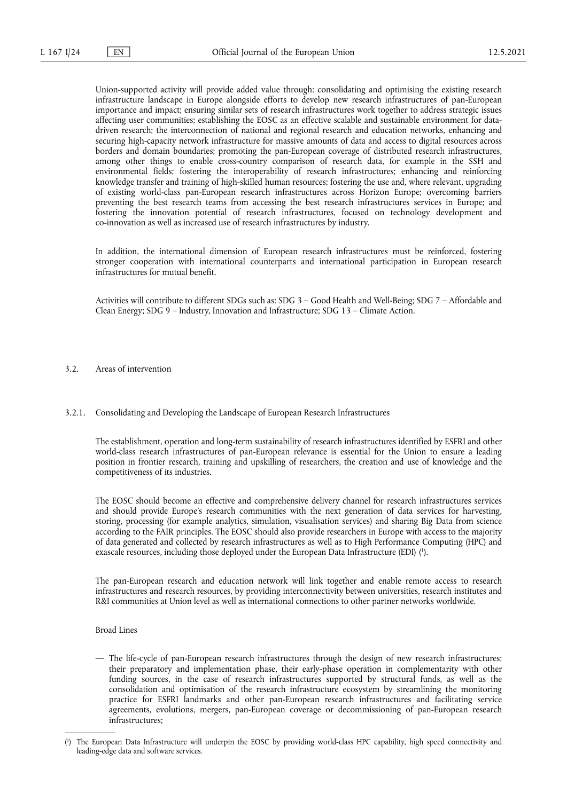Union-supported activity will provide added value through: consolidating and optimising the existing research infrastructure landscape in Europe alongside efforts to develop new research infrastructures of pan-European importance and impact; ensuring similar sets of research infrastructures work together to address strategic issues affecting user communities; establishing the EOSC as an effective scalable and sustainable environment for datadriven research; the interconnection of national and regional research and education networks, enhancing and securing high-capacity network infrastructure for massive amounts of data and access to digital resources across borders and domain boundaries; promoting the pan-European coverage of distributed research infrastructures, among other things to enable cross-country comparison of research data, for example in the SSH and environmental fields; fostering the interoperability of research infrastructures; enhancing and reinforcing knowledge transfer and training of high-skilled human resources; fostering the use and, where relevant, upgrading of existing world-class pan-European research infrastructures across Horizon Europe; overcoming barriers preventing the best research teams from accessing the best research infrastructures services in Europe; and fostering the innovation potential of research infrastructures, focused on technology development and co-innovation as well as increased use of research infrastructures by industry.

In addition, the international dimension of European research infrastructures must be reinforced, fostering stronger cooperation with international counterparts and international participation in European research infrastructures for mutual benefit.

Activities will contribute to different SDGs such as: SDG 3 – Good Health and Well-Being; SDG 7 – Affordable and Clean Energy; SDG 9 – Industry, Innovation and Infrastructure; SDG 13 – Climate Action.

- 3.2. Areas of intervention
- 3.2.1. Consolidating and Developing the Landscape of European Research Infrastructures

The establishment, operation and long-term sustainability of research infrastructures identified by ESFRI and other world-class research infrastructures of pan-European relevance is essential for the Union to ensure a leading position in frontier research, training and upskilling of researchers, the creation and use of knowledge and the competitiveness of its industries.

The EOSC should become an effective and comprehensive delivery channel for research infrastructures services and should provide Europe's research communities with the next generation of data services for harvesting, storing, processing (for example analytics, simulation, visualisation services) and sharing Big Data from science according to the FAIR principles. The EOSC should also provide researchers in Europe with access to the majority of data generated and collected by research infrastructures as well as to High Performance Computing (HPC) and exascale resources, including those deployed under the European Data Infrastructure (EDI) ( 1 [\).](#page-23-0)

<span id="page-23-1"></span>The pan-European research and education network will link together and enable remote access to research infrastructures and research resources, by providing interconnectivity between universities, research institutes and R&I communities at Union level as well as international connections to other partner networks worldwide.

Broad Lines

— The life-cycle of pan-European research infrastructures through the design of new research infrastructures; their preparatory and implementation phase, their early-phase operation in complementarity with other funding sources, in the case of research infrastructures supported by structural funds, as well as the consolidation and optimisation of the research infrastructure ecosystem by streamlining the monitoring practice for ESFRI landmarks and other pan-European research infrastructures and facilitating service agreements, evolutions, mergers, pan-European coverage or decommissioning of pan-European research infrastructures;

<span id="page-23-0"></span>[<sup>\(</sup>](#page-23-1) 1 ) The European Data Infrastructure will underpin the EOSC by providing world-class HPC capability, high speed connectivity and leading-edge data and software services.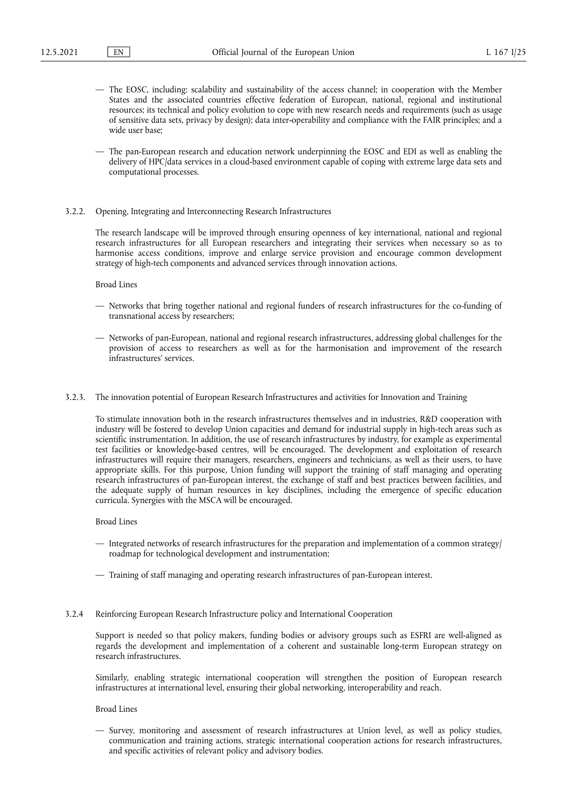- The EOSC, including: scalability and sustainability of the access channel; in cooperation with the Member States and the associated countries effective federation of European, national, regional and institutional resources; its technical and policy evolution to cope with new research needs and requirements (such as usage of sensitive data sets, privacy by design); data inter-operability and compliance with the FAIR principles; and a wide user base;
- The pan-European research and education network underpinning the EOSC and EDI as well as enabling the delivery of HPC/data services in a cloud-based environment capable of coping with extreme large data sets and computational processes.
- 3.2.2. Opening, Integrating and Interconnecting Research Infrastructures

The research landscape will be improved through ensuring openness of key international, national and regional research infrastructures for all European researchers and integrating their services when necessary so as to harmonise access conditions, improve and enlarge service provision and encourage common development strategy of high-tech components and advanced services through innovation actions.

Broad Lines

- Networks that bring together national and regional funders of research infrastructures for the co-funding of transnational access by researchers;
- Networks of pan-European, national and regional research infrastructures, addressing global challenges for the provision of access to researchers as well as for the harmonisation and improvement of the research infrastructures' services.
- 3.2.3. The innovation potential of European Research Infrastructures and activities for Innovation and Training

To stimulate innovation both in the research infrastructures themselves and in industries, R&D cooperation with industry will be fostered to develop Union capacities and demand for industrial supply in high-tech areas such as scientific instrumentation. In addition, the use of research infrastructures by industry, for example as experimental test facilities or knowledge-based centres, will be encouraged. The development and exploitation of research infrastructures will require their managers, researchers, engineers and technicians, as well as their users, to have appropriate skills. For this purpose, Union funding will support the training of staff managing and operating research infrastructures of pan-European interest, the exchange of staff and best practices between facilities, and the adequate supply of human resources in key disciplines, including the emergence of specific education curricula. Synergies with the MSCA will be encouraged.

Broad Lines

- Integrated networks of research infrastructures for the preparation and implementation of a common strategy/ roadmap for technological development and instrumentation;
- Training of staff managing and operating research infrastructures of pan-European interest.
- 3.2.4 Reinforcing European Research Infrastructure policy and International Cooperation

Support is needed so that policy makers, funding bodies or advisory groups such as ESFRI are well-aligned as regards the development and implementation of a coherent and sustainable long-term European strategy on research infrastructures.

Similarly, enabling strategic international cooperation will strengthen the position of European research infrastructures at international level, ensuring their global networking, interoperability and reach.

Broad Lines

— Survey, monitoring and assessment of research infrastructures at Union level, as well as policy studies, communication and training actions, strategic international cooperation actions for research infrastructures, and specific activities of relevant policy and advisory bodies.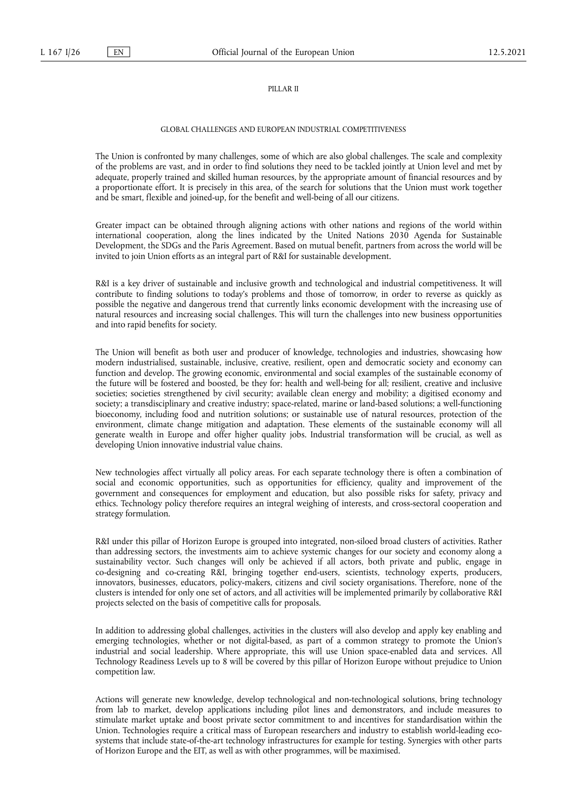#### PILLAR II

## GLOBAL CHALLENGES AND EUROPEAN INDUSTRIAL COMPETITIVENESS

The Union is confronted by many challenges, some of which are also global challenges. The scale and complexity of the problems are vast, and in order to find solutions they need to be tackled jointly at Union level and met by adequate, properly trained and skilled human resources, by the appropriate amount of financial resources and by a proportionate effort. It is precisely in this area, of the search for solutions that the Union must work together and be smart, flexible and joined-up, for the benefit and well-being of all our citizens.

Greater impact can be obtained through aligning actions with other nations and regions of the world within international cooperation, along the lines indicated by the United Nations 2030 Agenda for Sustainable Development, the SDGs and the Paris Agreement. Based on mutual benefit, partners from across the world will be invited to join Union efforts as an integral part of R&I for sustainable development.

R&I is a key driver of sustainable and inclusive growth and technological and industrial competitiveness. It will contribute to finding solutions to today's problems and those of tomorrow, in order to reverse as quickly as possible the negative and dangerous trend that currently links economic development with the increasing use of natural resources and increasing social challenges. This will turn the challenges into new business opportunities and into rapid benefits for society.

The Union will benefit as both user and producer of knowledge, technologies and industries, showcasing how modern industrialised, sustainable, inclusive, creative, resilient, open and democratic society and economy can function and develop. The growing economic, environmental and social examples of the sustainable economy of the future will be fostered and boosted, be they for: health and well-being for all; resilient, creative and inclusive societies; societies strengthened by civil security; available clean energy and mobility; a digitised economy and society; a transdisciplinary and creative industry; space-related, marine or land-based solutions; a well-functioning bioeconomy, including food and nutrition solutions; or sustainable use of natural resources, protection of the environment, climate change mitigation and adaptation. These elements of the sustainable economy will all generate wealth in Europe and offer higher quality jobs. Industrial transformation will be crucial, as well as developing Union innovative industrial value chains.

New technologies affect virtually all policy areas. For each separate technology there is often a combination of social and economic opportunities, such as opportunities for efficiency, quality and improvement of the government and consequences for employment and education, but also possible risks for safety, privacy and ethics. Technology policy therefore requires an integral weighing of interests, and cross-sectoral cooperation and strategy formulation.

R&I under this pillar of Horizon Europe is grouped into integrated, non-siloed broad clusters of activities. Rather than addressing sectors, the investments aim to achieve systemic changes for our society and economy along a sustainability vector. Such changes will only be achieved if all actors, both private and public, engage in co-designing and co-creating R&I, bringing together end-users, scientists, technology experts, producers, innovators, businesses, educators, policy-makers, citizens and civil society organisations. Therefore, none of the clusters is intended for only one set of actors, and all activities will be implemented primarily by collaborative R&I projects selected on the basis of competitive calls for proposals.

In addition to addressing global challenges, activities in the clusters will also develop and apply key enabling and emerging technologies, whether or not digital-based, as part of a common strategy to promote the Union's industrial and social leadership. Where appropriate, this will use Union space-enabled data and services. All Technology Readiness Levels up to 8 will be covered by this pillar of Horizon Europe without prejudice to Union competition law.

Actions will generate new knowledge, develop technological and non-technological solutions, bring technology from lab to market, develop applications including pilot lines and demonstrators, and include measures to stimulate market uptake and boost private sector commitment to and incentives for standardisation within the Union. Technologies require a critical mass of European researchers and industry to establish world-leading ecosystems that include state-of-the-art technology infrastructures for example for testing. Synergies with other parts of Horizon Europe and the EIT, as well as with other programmes, will be maximised.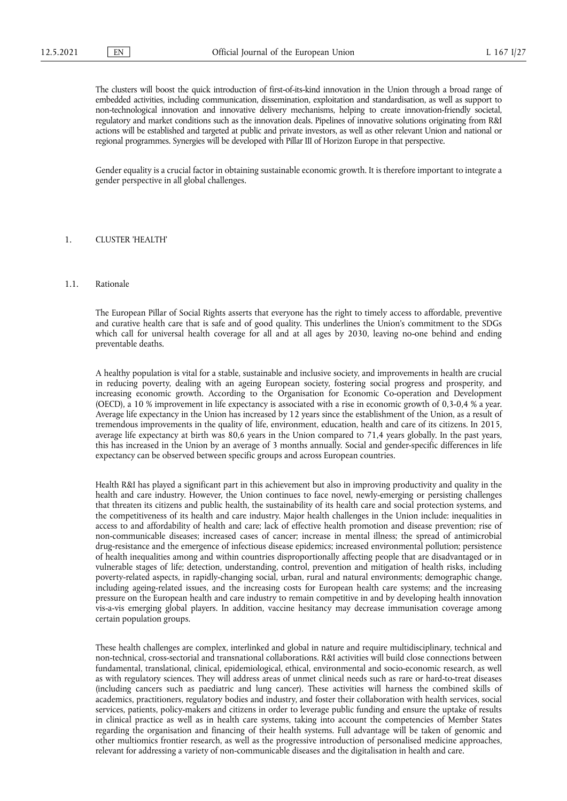The clusters will boost the quick introduction of first-of-its-kind innovation in the Union through a broad range of embedded activities, including communication, dissemination, exploitation and standardisation, as well as support to non-technological innovation and innovative delivery mechanisms, helping to create innovation-friendly societal, regulatory and market conditions such as the innovation deals. Pipelines of innovative solutions originating from R&I actions will be established and targeted at public and private investors, as well as other relevant Union and national or regional programmes. Synergies will be developed with Pillar III of Horizon Europe in that perspective.

Gender equality is a crucial factor in obtaining sustainable economic growth. It is therefore important to integrate a gender perspective in all global challenges.

#### 1. CLUSTER 'HEALTH'

#### 1.1. Rationale

The European Pillar of Social Rights asserts that everyone has the right to timely access to affordable, preventive and curative health care that is safe and of good quality. This underlines the Union's commitment to the SDGs which call for universal health coverage for all and at all ages by 2030, leaving no-one behind and ending preventable deaths.

A healthy population is vital for a stable, sustainable and inclusive society, and improvements in health are crucial in reducing poverty, dealing with an ageing European society, fostering social progress and prosperity, and increasing economic growth. According to the Organisation for Economic Co-operation and Development (OECD), a 10 % improvement in life expectancy is associated with a rise in economic growth of 0,3-0,4 % a year. Average life expectancy in the Union has increased by 12 years since the establishment of the Union, as a result of tremendous improvements in the quality of life, environment, education, health and care of its citizens. In 2015, average life expectancy at birth was 80,6 years in the Union compared to 71,4 years globally. In the past years, this has increased in the Union by an average of 3 months annually. Social and gender-specific differences in life expectancy can be observed between specific groups and across European countries.

Health R&I has played a significant part in this achievement but also in improving productivity and quality in the health and care industry. However, the Union continues to face novel, newly-emerging or persisting challenges that threaten its citizens and public health, the sustainability of its health care and social protection systems, and the competitiveness of its health and care industry. Major health challenges in the Union include: inequalities in access to and affordability of health and care; lack of effective health promotion and disease prevention; rise of non-communicable diseases; increased cases of cancer; increase in mental illness; the spread of antimicrobial drug-resistance and the emergence of infectious disease epidemics; increased environmental pollution; persistence of health inequalities among and within countries disproportionally affecting people that are disadvantaged or in vulnerable stages of life; detection, understanding, control, prevention and mitigation of health risks, including poverty-related aspects, in rapidly-changing social, urban, rural and natural environments; demographic change, including ageing-related issues, and the increasing costs for European health care systems; and the increasing pressure on the European health and care industry to remain competitive in and by developing health innovation vis-a-vis emerging global players. In addition, vaccine hesitancy may decrease immunisation coverage among certain population groups.

These health challenges are complex, interlinked and global in nature and require multidisciplinary, technical and non-technical, cross-sectorial and transnational collaborations. R&I activities will build close connections between fundamental, translational, clinical, epidemiological, ethical, environmental and socio-economic research, as well as with regulatory sciences. They will address areas of unmet clinical needs such as rare or hard-to-treat diseases (including cancers such as paediatric and lung cancer). These activities will harness the combined skills of academics, practitioners, regulatory bodies and industry, and foster their collaboration with health services, social services, patients, policy-makers and citizens in order to leverage public funding and ensure the uptake of results in clinical practice as well as in health care systems, taking into account the competencies of Member States regarding the organisation and financing of their health systems. Full advantage will be taken of genomic and other multiomics frontier research, as well as the progressive introduction of personalised medicine approaches, relevant for addressing a variety of non-communicable diseases and the digitalisation in health and care.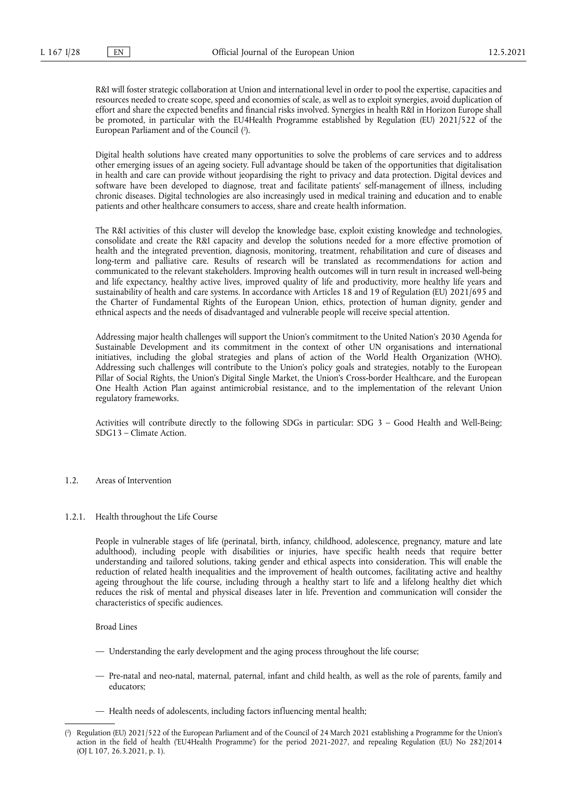R&I will foster strategic collaboration at Union and international level in order to pool the expertise, capacities and resources needed to create scope, speed and economies of scale, as well as to exploit synergies, avoid duplication of effort and share the expected benefits and financial risks involved. Synergies in health R&I in Horizon Europe shall be promoted, in particular with the EU4Health Programme established by Regulation (EU) 2021/522 of the European Parliament and of the Council ( 2 [\).](#page-27-0)

<span id="page-27-1"></span>Digital health solutions have created many opportunities to solve the problems of care services and to address other emerging issues of an ageing society. Full advantage should be taken of the opportunities that digitalisation in health and care can provide without jeopardising the right to privacy and data protection. Digital devices and software have been developed to diagnose, treat and facilitate patients' self-management of illness, including chronic diseases. Digital technologies are also increasingly used in medical training and education and to enable patients and other healthcare consumers to access, share and create health information.

The R&I activities of this cluster will develop the knowledge base, exploit existing knowledge and technologies, consolidate and create the R&I capacity and develop the solutions needed for a more effective promotion of health and the integrated prevention, diagnosis, monitoring, treatment, rehabilitation and cure of diseases and long-term and palliative care. Results of research will be translated as recommendations for action and communicated to the relevant stakeholders. Improving health outcomes will in turn result in increased well-being and life expectancy, healthy active lives, improved quality of life and productivity, more healthy life years and sustainability of health and care systems. In accordance with Articles 18 and 19 of Regulation (EU) 2021/695 and the Charter of Fundamental Rights of the European Union, ethics, protection of human dignity, gender and ethnical aspects and the needs of disadvantaged and vulnerable people will receive special attention.

Addressing major health challenges will support the Union's commitment to the United Nation's 2030 Agenda for Sustainable Development and its commitment in the context of other UN organisations and international initiatives, including the global strategies and plans of action of the World Health Organization (WHO). Addressing such challenges will contribute to the Union's policy goals and strategies, notably to the European Pillar of Social Rights, the Union's Digital Single Market, the Union's Cross-border Healthcare, and the European One Health Action Plan against antimicrobial resistance, and to the implementation of the relevant Union regulatory frameworks.

Activities will contribute directly to the following SDGs in particular: SDG 3 – Good Health and Well-Being; SDG13 – Climate Action.

- 1.2. Areas of Intervention
- 1.2.1. Health throughout the Life Course

People in vulnerable stages of life (perinatal, birth, infancy, childhood, adolescence, pregnancy, mature and late adulthood), including people with disabilities or injuries, have specific health needs that require better understanding and tailored solutions, taking gender and ethical aspects into consideration. This will enable the reduction of related health inequalities and the improvement of health outcomes, facilitating active and healthy ageing throughout the life course, including through a healthy start to life and a lifelong healthy diet which reduces the risk of mental and physical diseases later in life. Prevention and communication will consider the characteristics of specific audiences.

Broad Lines

- Understanding the early development and the aging process throughout the life course;
- Pre-natal and neo-natal, maternal, paternal, infant and child health, as well as the role of parents, family and educators;
- Health needs of adolescents, including factors influencing mental health;

<span id="page-27-0"></span>[<sup>\(</sup>](#page-27-1) 2 ) Regulation (EU) 2021/522 of the European Parliament and of the Council of 24 March 2021 establishing a Programme for the Union's action in the field of health ('EU4Health Programme') for the period 2021-2027, and repealing Regulation (EU) No 282/2014 (OJ L 107, 26.3.2021, p. 1).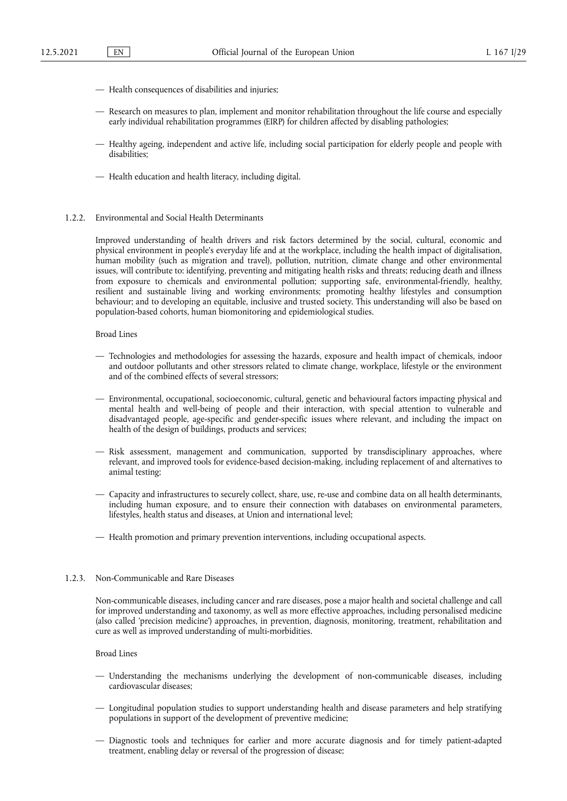- Health consequences of disabilities and injuries;
- Research on measures to plan, implement and monitor rehabilitation throughout the life course and especially early individual rehabilitation programmes (EIRP) for children affected by disabling pathologies;
- Healthy ageing, independent and active life, including social participation for elderly people and people with disabilities;
- Health education and health literacy, including digital.

# 1.2.2. Environmental and Social Health Determinants

Improved understanding of health drivers and risk factors determined by the social, cultural, economic and physical environment in people's everyday life and at the workplace, including the health impact of digitalisation, human mobility (such as migration and travel), pollution, nutrition, climate change and other environmental issues, will contribute to: identifying, preventing and mitigating health risks and threats; reducing death and illness from exposure to chemicals and environmental pollution; supporting safe, environmental-friendly, healthy, resilient and sustainable living and working environments; promoting healthy lifestyles and consumption behaviour; and to developing an equitable, inclusive and trusted society. This understanding will also be based on population-based cohorts, human biomonitoring and epidemiological studies.

#### Broad Lines

- Technologies and methodologies for assessing the hazards, exposure and health impact of chemicals, indoor and outdoor pollutants and other stressors related to climate change, workplace, lifestyle or the environment and of the combined effects of several stressors;
- Environmental, occupational, socioeconomic, cultural, genetic and behavioural factors impacting physical and mental health and well-being of people and their interaction, with special attention to vulnerable and disadvantaged people, age-specific and gender-specific issues where relevant, and including the impact on health of the design of buildings, products and services;
- Risk assessment, management and communication, supported by transdisciplinary approaches, where relevant, and improved tools for evidence-based decision-making, including replacement of and alternatives to animal testing;
- Capacity and infrastructures to securely collect, share, use, re-use and combine data on all health determinants, including human exposure, and to ensure their connection with databases on environmental parameters, lifestyles, health status and diseases, at Union and international level;
- Health promotion and primary prevention interventions, including occupational aspects.

# 1.2.3. Non-Communicable and Rare Diseases

Non-communicable diseases, including cancer and rare diseases, pose a major health and societal challenge and call for improved understanding and taxonomy, as well as more effective approaches, including personalised medicine (also called 'precision medicine') approaches, in prevention, diagnosis, monitoring, treatment, rehabilitation and cure as well as improved understanding of multi-morbidities.

## Broad Lines

- Understanding the mechanisms underlying the development of non-communicable diseases, including cardiovascular diseases;
- Longitudinal population studies to support understanding health and disease parameters and help stratifying populations in support of the development of preventive medicine;
- Diagnostic tools and techniques for earlier and more accurate diagnosis and for timely patient-adapted treatment, enabling delay or reversal of the progression of disease;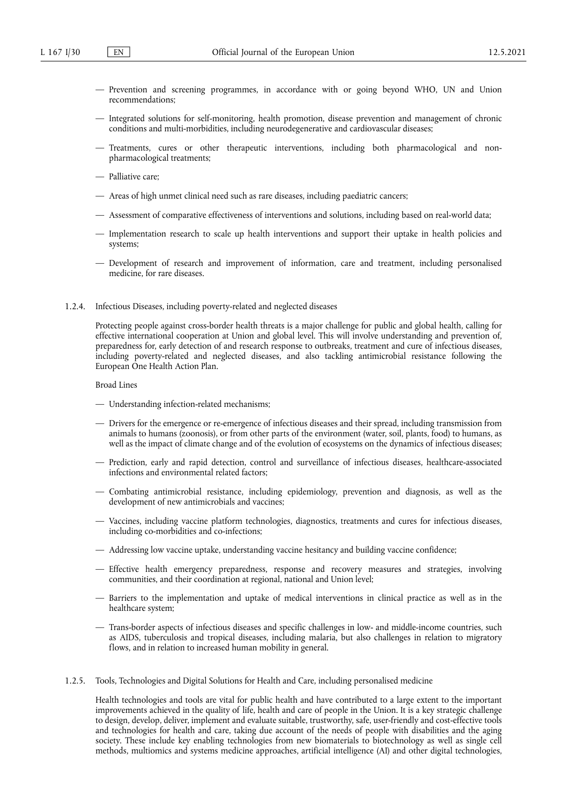- Prevention and screening programmes, in accordance with or going beyond WHO, UN and Union recommendations;
- Integrated solutions for self-monitoring, health promotion, disease prevention and management of chronic conditions and multi-morbidities, including neurodegenerative and cardiovascular diseases;
- Treatments, cures or other therapeutic interventions, including both pharmacological and nonpharmacological treatments;
- Palliative care;
- Areas of high unmet clinical need such as rare diseases, including paediatric cancers;
- Assessment of comparative effectiveness of interventions and solutions, including based on real-world data;
- Implementation research to scale up health interventions and support their uptake in health policies and systems;
- Development of research and improvement of information, care and treatment, including personalised medicine, for rare diseases.
- 1.2.4. Infectious Diseases, including poverty-related and neglected diseases

Protecting people against cross-border health threats is a major challenge for public and global health, calling for effective international cooperation at Union and global level. This will involve understanding and prevention of, preparedness for, early detection of and research response to outbreaks, treatment and cure of infectious diseases, including poverty-related and neglected diseases, and also tackling antimicrobial resistance following the European One Health Action Plan.

Broad Lines

- Understanding infection-related mechanisms;
- Drivers for the emergence or re-emergence of infectious diseases and their spread, including transmission from animals to humans (zoonosis), or from other parts of the environment (water, soil, plants, food) to humans, as well as the impact of climate change and of the evolution of ecosystems on the dynamics of infectious diseases;
- Prediction, early and rapid detection, control and surveillance of infectious diseases, healthcare-associated infections and environmental related factors;
- Combating antimicrobial resistance, including epidemiology, prevention and diagnosis, as well as the development of new antimicrobials and vaccines;
- Vaccines, including vaccine platform technologies, diagnostics, treatments and cures for infectious diseases, including co-morbidities and co-infections;
- Addressing low vaccine uptake, understanding vaccine hesitancy and building vaccine confidence;
- Effective health emergency preparedness, response and recovery measures and strategies, involving communities, and their coordination at regional, national and Union level;
- Barriers to the implementation and uptake of medical interventions in clinical practice as well as in the healthcare system;
- Trans-border aspects of infectious diseases and specific challenges in low- and middle-income countries, such as AIDS, tuberculosis and tropical diseases, including malaria, but also challenges in relation to migratory flows, and in relation to increased human mobility in general.
- 1.2.5. Tools, Technologies and Digital Solutions for Health and Care, including personalised medicine

Health technologies and tools are vital for public health and have contributed to a large extent to the important improvements achieved in the quality of life, health and care of people in the Union. It is a key strategic challenge to design, develop, deliver, implement and evaluate suitable, trustworthy, safe, user-friendly and cost-effective tools and technologies for health and care, taking due account of the needs of people with disabilities and the aging society. These include key enabling technologies from new biomaterials to biotechnology as well as single cell methods, multiomics and systems medicine approaches, artificial intelligence (AI) and other digital technologies,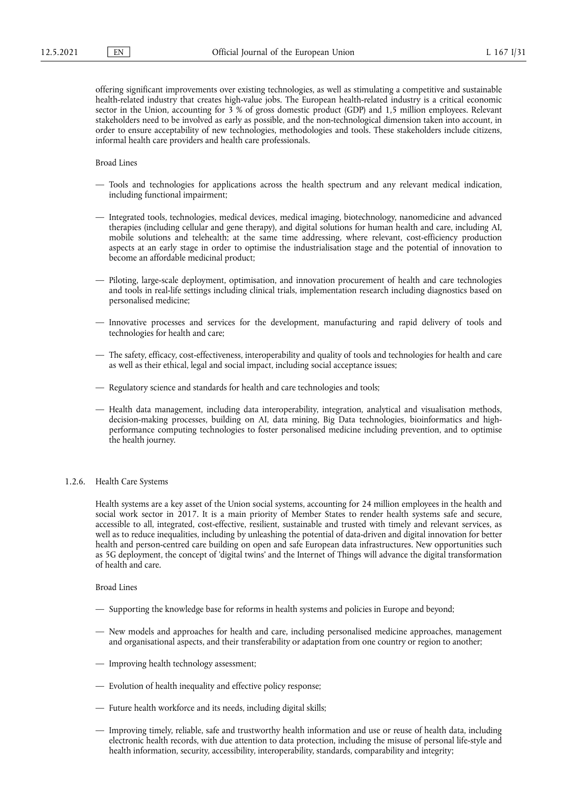offering significant improvements over existing technologies, as well as stimulating a competitive and sustainable health-related industry that creates high-value jobs. The European health-related industry is a critical economic sector in the Union, accounting for 3 % of gross domestic product (GDP) and 1,5 million employees. Relevant stakeholders need to be involved as early as possible, and the non-technological dimension taken into account, in order to ensure acceptability of new technologies, methodologies and tools. These stakeholders include citizens, informal health care providers and health care professionals.

## Broad Lines

- Tools and technologies for applications across the health spectrum and any relevant medical indication, including functional impairment;
- Integrated tools, technologies, medical devices, medical imaging, biotechnology, nanomedicine and advanced therapies (including cellular and gene therapy), and digital solutions for human health and care, including AI, mobile solutions and telehealth; at the same time addressing, where relevant, cost-efficiency production aspects at an early stage in order to optimise the industrialisation stage and the potential of innovation to become an affordable medicinal product;
- Piloting, large-scale deployment, optimisation, and innovation procurement of health and care technologies and tools in real-life settings including clinical trials, implementation research including diagnostics based on personalised medicine;
- Innovative processes and services for the development, manufacturing and rapid delivery of tools and technologies for health and care;
- The safety, efficacy, cost-effectiveness, interoperability and quality of tools and technologies for health and care as well as their ethical, legal and social impact, including social acceptance issues;
- Regulatory science and standards for health and care technologies and tools;
- Health data management, including data interoperability, integration, analytical and visualisation methods, decision-making processes, building on AI, data mining, Big Data technologies, bioinformatics and highperformance computing technologies to foster personalised medicine including prevention, and to optimise the health journey.

#### 1.2.6. Health Care Systems

Health systems are a key asset of the Union social systems, accounting for 24 million employees in the health and social work sector in 2017. It is a main priority of Member States to render health systems safe and secure, accessible to all, integrated, cost-effective, resilient, sustainable and trusted with timely and relevant services, as well as to reduce inequalities, including by unleashing the potential of data-driven and digital innovation for better health and person-centred care building on open and safe European data infrastructures. New opportunities such as 5G deployment, the concept of 'digital twins' and the Internet of Things will advance the digital transformation of health and care.

Broad Lines

- Supporting the knowledge base for reforms in health systems and policies in Europe and beyond;
- New models and approaches for health and care, including personalised medicine approaches, management and organisational aspects, and their transferability or adaptation from one country or region to another;
- Improving health technology assessment;
- Evolution of health inequality and effective policy response;
- Future health workforce and its needs, including digital skills;
- Improving timely, reliable, safe and trustworthy health information and use or reuse of health data, including electronic health records, with due attention to data protection, including the misuse of personal life-style and health information, security, accessibility, interoperability, standards, comparability and integrity;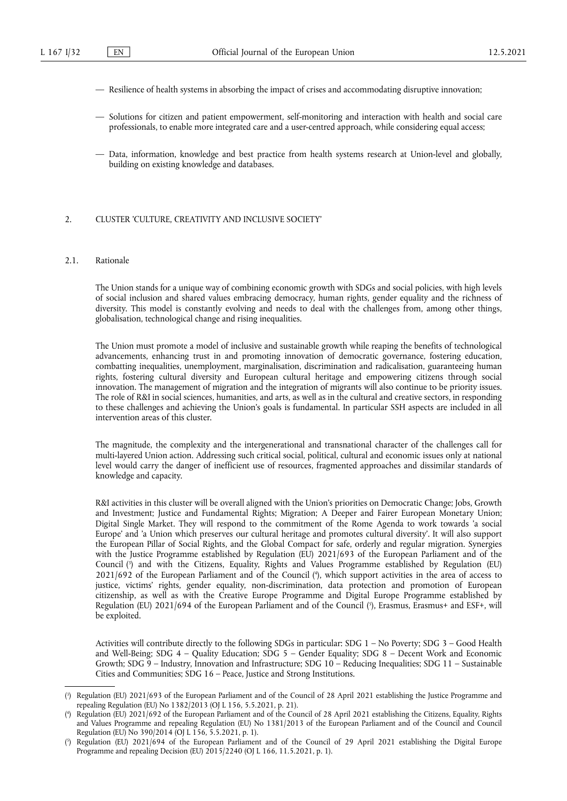- Resilience of health systems in absorbing the impact of crises and accommodating disruptive innovation;
- Solutions for citizen and patient empowerment, self-monitoring and interaction with health and social care professionals, to enable more integrated care and a user-centred approach, while considering equal access;
- Data, information, knowledge and best practice from health systems research at Union-level and globally, building on existing knowledge and databases.

### 2. CLUSTER 'CULTURE, CREATIVITY AND INCLUSIVE SOCIETY'

## 2.1. Rationale

The Union stands for a unique way of combining economic growth with SDGs and social policies, with high levels of social inclusion and shared values embracing democracy, human rights, gender equality and the richness of diversity. This model is constantly evolving and needs to deal with the challenges from, among other things, globalisation, technological change and rising inequalities.

The Union must promote a model of inclusive and sustainable growth while reaping the benefits of technological advancements, enhancing trust in and promoting innovation of democratic governance, fostering education, combatting inequalities, unemployment, marginalisation, discrimination and radicalisation, guaranteeing human rights, fostering cultural diversity and European cultural heritage and empowering citizens through social innovation. The management of migration and the integration of migrants will also continue to be priority issues. The role of R&I in social sciences, humanities, and arts, as well as in the cultural and creative sectors, in responding to these challenges and achieving the Union's goals is fundamental. In particular SSH aspects are included in all intervention areas of this cluster.

The magnitude, the complexity and the intergenerational and transnational character of the challenges call for multi-layered Union action. Addressing such critical social, political, cultural and economic issues only at national level would carry the danger of inefficient use of resources, fragmented approaches and dissimilar standards of knowledge and capacity.

<span id="page-31-4"></span><span id="page-31-3"></span>R&I activities in this cluster will be overall aligned with the Union's priorities on Democratic Change; Jobs, Growth and Investment; Justice and Fundamental Rights; Migration; A Deeper and Fairer European Monetary Union; Digital Single Market. They will respond to the commitment of the Rome Agenda to work towards 'a social Europe' and 'a Union which preserves our cultural heritage and promotes cultural diversity'. It will also support the European Pillar of Social Rights, and the Global Compact for safe, orderly and regular migration. Synergies with the Justice Programme established by Regulation (EU) 2021/693 of the European Parliament and of the Council [\(](#page-31-0) 3 ) and with the Citizens, Equality, Rights and Values Programme established by Regulation (EU) 2021/692 of the European Parliament and of the Council ( 4 [\),](#page-31-1) which support activities in the area of access to justice, victims' rights, gender equality, non-discrimination, data protection and promotion of European citizenship, as well as with the Creative Europe Programme and Digital Europe Programme established by Regulation (EU) 2021/694 of the European Parliament and of the Council ( 5 [\),](#page-31-2) Erasmus, Erasmus+ and ESF+, will be exploited.

<span id="page-31-5"></span>Activities will contribute directly to the following SDGs in particular: SDG 1 – No Poverty; SDG 3 – Good Health and Well-Being; SDG 4 – Quality Education; SDG 5 – Gender Equality; SDG 8 – Decent Work and Economic Growth; SDG 9 – Industry, Innovation and Infrastructure; SDG 10 – Reducing Inequalities; SDG 11 – Sustainable Cities and Communities; SDG 16 – Peace, Justice and Strong Institutions.

<span id="page-31-0"></span>[<sup>\(</sup>](#page-31-3) 3 ) Regulation (EU) 2021/693 of the European Parliament and of the Council of 28 April 2021 establishing the Justice Programme and repealing Regulation (EU) No 1382/2013 (OJ L 156, 5.5.2021, p. 21).

<span id="page-31-1"></span>[<sup>\(</sup>](#page-31-4) 4 ) Regulation (EU) 2021/692 of the European Parliament and of the Council of 28 April 2021 establishing the Citizens, Equality, Rights and Values Programme and repealing Regulation (EU) No 1381/2013 of the European Parliament and of the Council and Council Regulation (EU) No 390/2014 (OJ L 156, 5.5.2021, p. 1).

<span id="page-31-2"></span>[<sup>\(</sup>](#page-31-5) 5 ) Regulation (EU) 2021/694 of the European Parliament and of the Council of 29 April 2021 establishing the Digital Europe Programme and repealing Decision (EU) 2015/2240 (OJ L 166, 11.5.2021, p. 1).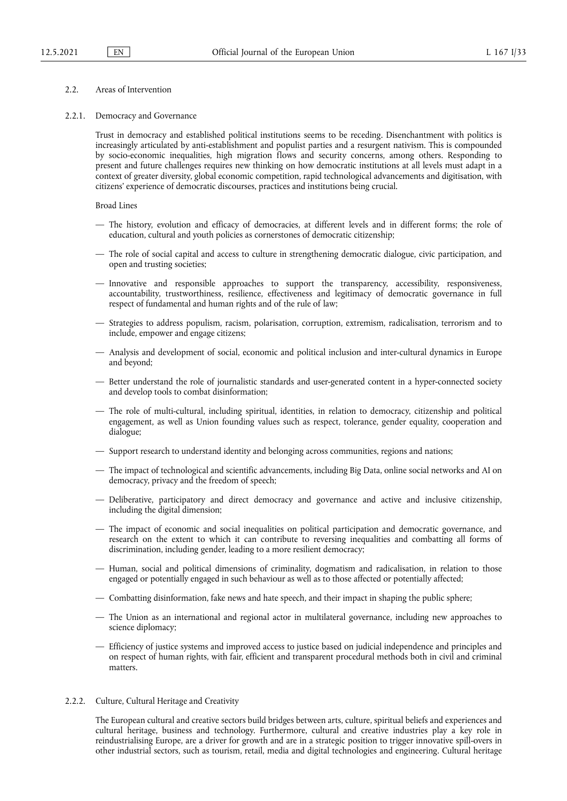## 2.2. Areas of Intervention

#### 2.2.1. Democracy and Governance

Trust in democracy and established political institutions seems to be receding. Disenchantment with politics is increasingly articulated by anti-establishment and populist parties and a resurgent nativism. This is compounded by socio-economic inequalities, high migration flows and security concerns, among others. Responding to present and future challenges requires new thinking on how democratic institutions at all levels must adapt in a context of greater diversity, global economic competition, rapid technological advancements and digitisation, with citizens' experience of democratic discourses, practices and institutions being crucial.

Broad Lines

- The history, evolution and efficacy of democracies, at different levels and in different forms; the role of education, cultural and youth policies as cornerstones of democratic citizenship;
- The role of social capital and access to culture in strengthening democratic dialogue, civic participation, and open and trusting societies;
- Innovative and responsible approaches to support the transparency, accessibility, responsiveness, accountability, trustworthiness, resilience, effectiveness and legitimacy of democratic governance in full respect of fundamental and human rights and of the rule of law;
- Strategies to address populism, racism, polarisation, corruption, extremism, radicalisation, terrorism and to include, empower and engage citizens;
- Analysis and development of social, economic and political inclusion and inter-cultural dynamics in Europe and beyond;
- Better understand the role of journalistic standards and user-generated content in a hyper-connected society and develop tools to combat disinformation;
- The role of multi-cultural, including spiritual, identities, in relation to democracy, citizenship and political engagement, as well as Union founding values such as respect, tolerance, gender equality, cooperation and dialogue;
- Support research to understand identity and belonging across communities, regions and nations;
- The impact of technological and scientific advancements, including Big Data, online social networks and AI on democracy, privacy and the freedom of speech;
- Deliberative, participatory and direct democracy and governance and active and inclusive citizenship, including the digital dimension;
- The impact of economic and social inequalities on political participation and democratic governance, and research on the extent to which it can contribute to reversing inequalities and combatting all forms of discrimination, including gender, leading to a more resilient democracy;
- Human, social and political dimensions of criminality, dogmatism and radicalisation, in relation to those engaged or potentially engaged in such behaviour as well as to those affected or potentially affected;
- Combatting disinformation, fake news and hate speech, and their impact in shaping the public sphere;
- The Union as an international and regional actor in multilateral governance, including new approaches to science diplomacy;
- Efficiency of justice systems and improved access to justice based on judicial independence and principles and on respect of human rights, with fair, efficient and transparent procedural methods both in civil and criminal matters.

# 2.2.2. Culture, Cultural Heritage and Creativity

The European cultural and creative sectors build bridges between arts, culture, spiritual beliefs and experiences and cultural heritage, business and technology. Furthermore, cultural and creative industries play a key role in reindustrialising Europe, are a driver for growth and are in a strategic position to trigger innovative spill-overs in other industrial sectors, such as tourism, retail, media and digital technologies and engineering. Cultural heritage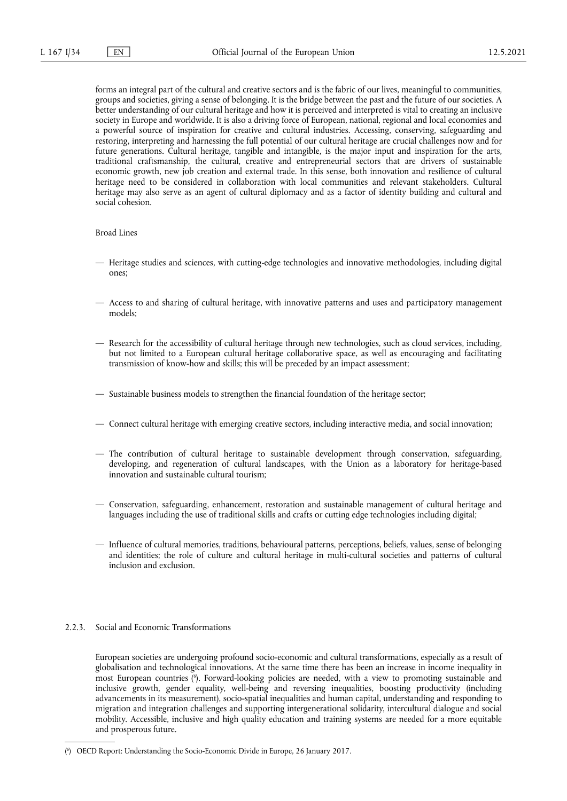forms an integral part of the cultural and creative sectors and is the fabric of our lives, meaningful to communities, groups and societies, giving a sense of belonging. It is the bridge between the past and the future of our societies. A better understanding of our cultural heritage and how it is perceived and interpreted is vital to creating an inclusive society in Europe and worldwide. It is also a driving force of European, national, regional and local economies and a powerful source of inspiration for creative and cultural industries. Accessing, conserving, safeguarding and restoring, interpreting and harnessing the full potential of our cultural heritage are crucial challenges now and for future generations. Cultural heritage, tangible and intangible, is the major input and inspiration for the arts, traditional craftsmanship, the cultural, creative and entrepreneurial sectors that are drivers of sustainable economic growth, new job creation and external trade. In this sense, both innovation and resilience of cultural heritage need to be considered in collaboration with local communities and relevant stakeholders. Cultural heritage may also serve as an agent of cultural diplomacy and as a factor of identity building and cultural and social cohesion.

#### Broad Lines

- Heritage studies and sciences, with cutting-edge technologies and innovative methodologies, including digital ones;
- Access to and sharing of cultural heritage, with innovative patterns and uses and participatory management models;
- Research for the accessibility of cultural heritage through new technologies, such as cloud services, including, but not limited to a European cultural heritage collaborative space, as well as encouraging and facilitating transmission of know-how and skills; this will be preceded by an impact assessment;
- Sustainable business models to strengthen the financial foundation of the heritage sector;
- Connect cultural heritage with emerging creative sectors, including interactive media, and social innovation;
- The contribution of cultural heritage to sustainable development through conservation, safeguarding, developing, and regeneration of cultural landscapes, with the Union as a laboratory for heritage-based innovation and sustainable cultural tourism;
- Conservation, safeguarding, enhancement, restoration and sustainable management of cultural heritage and languages including the use of traditional skills and crafts or cutting edge technologies including digital;
- Influence of cultural memories, traditions, behavioural patterns, perceptions, beliefs, values, sense of belonging and identities; the role of culture and cultural heritage in multi-cultural societies and patterns of cultural inclusion and exclusion.

#### 2.2.3. Social and Economic Transformations

<span id="page-33-1"></span>European societies are undergoing profound socio-economic and cultural transformations, especially as a result of globalisation and technological innovations. At the same time there has been an increase in income inequality in most European countries [\(](#page-33-0) 6 ). Forward-looking policies are needed, with a view to promoting sustainable and inclusive growth, gender equality, well-being and reversing inequalities, boosting productivity (including advancements in its measurement), socio-spatial inequalities and human capital, understanding and responding to migration and integration challenges and supporting intergenerational solidarity, intercultural dialogue and social mobility. Accessible, inclusive and high quality education and training systems are needed for a more equitable and prosperous future.

<span id="page-33-0"></span>[<sup>\(</sup>](#page-33-1) 6 ) OECD Report: Understanding the Socio-Economic Divide in Europe, 26 January 2017.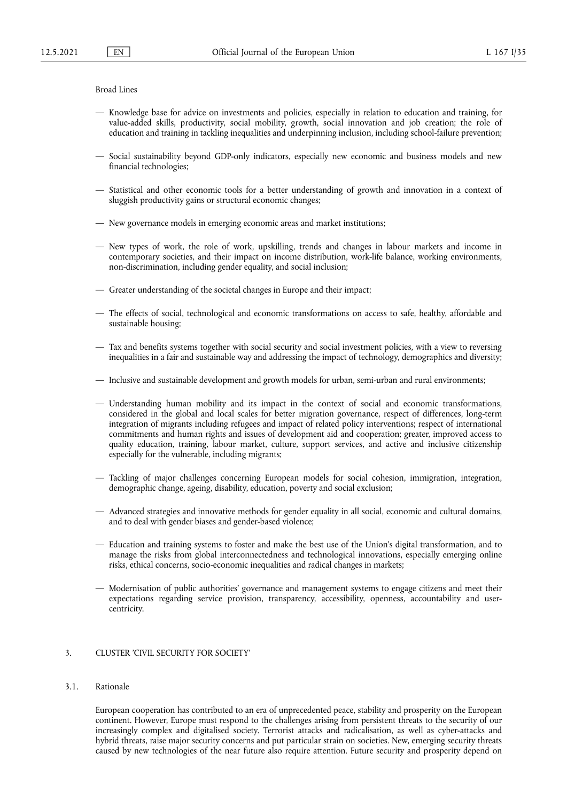#### Broad Lines

- Knowledge base for advice on investments and policies, especially in relation to education and training, for value-added skills, productivity, social mobility, growth, social innovation and job creation; the role of education and training in tackling inequalities and underpinning inclusion, including school-failure prevention;
- Social sustainability beyond GDP-only indicators, especially new economic and business models and new financial technologies;
- Statistical and other economic tools for a better understanding of growth and innovation in a context of sluggish productivity gains or structural economic changes;
- New governance models in emerging economic areas and market institutions;
- New types of work, the role of work, upskilling, trends and changes in labour markets and income in contemporary societies, and their impact on income distribution, work-life balance, working environments, non-discrimination, including gender equality, and social inclusion;
- Greater understanding of the societal changes in Europe and their impact;
- The effects of social, technological and economic transformations on access to safe, healthy, affordable and sustainable housing;
- Tax and benefits systems together with social security and social investment policies, with a view to reversing inequalities in a fair and sustainable way and addressing the impact of technology, demographics and diversity;
- Inclusive and sustainable development and growth models for urban, semi-urban and rural environments;
- Understanding human mobility and its impact in the context of social and economic transformations, considered in the global and local scales for better migration governance, respect of differences, long-term integration of migrants including refugees and impact of related policy interventions; respect of international commitments and human rights and issues of development aid and cooperation; greater, improved access to quality education, training, labour market, culture, support services, and active and inclusive citizenship especially for the vulnerable, including migrants;
- Tackling of major challenges concerning European models for social cohesion, immigration, integration, demographic change, ageing, disability, education, poverty and social exclusion;
- Advanced strategies and innovative methods for gender equality in all social, economic and cultural domains, and to deal with gender biases and gender-based violence;
- Education and training systems to foster and make the best use of the Union's digital transformation, and to manage the risks from global interconnectedness and technological innovations, especially emerging online risks, ethical concerns, socio-economic inequalities and radical changes in markets;
- Modernisation of public authorities' governance and management systems to engage citizens and meet their expectations regarding service provision, transparency, accessibility, openness, accountability and usercentricity.

# 3. CLUSTER 'CIVIL SECURITY FOR SOCIETY'

## 3.1. Rationale

European cooperation has contributed to an era of unprecedented peace, stability and prosperity on the European continent. However, Europe must respond to the challenges arising from persistent threats to the security of our increasingly complex and digitalised society. Terrorist attacks and radicalisation, as well as cyber-attacks and hybrid threats, raise major security concerns and put particular strain on societies. New, emerging security threats caused by new technologies of the near future also require attention. Future security and prosperity depend on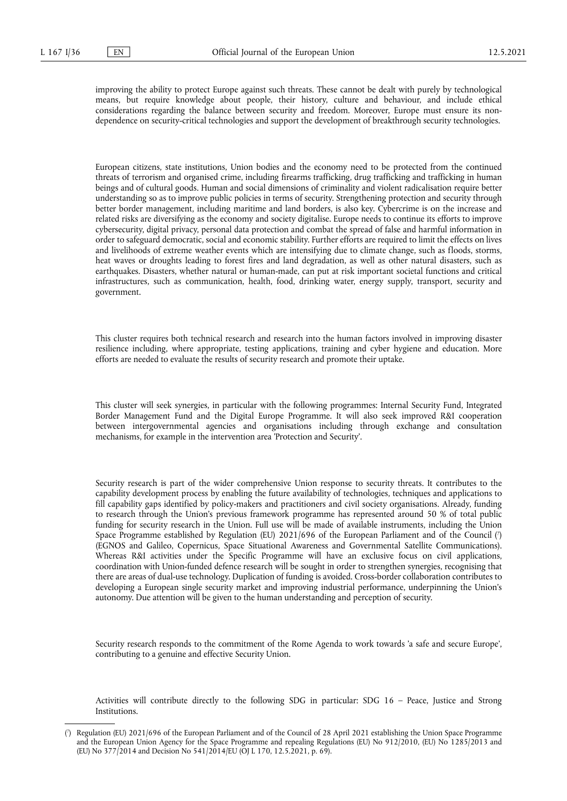improving the ability to protect Europe against such threats. These cannot be dealt with purely by technological means, but require knowledge about people, their history, culture and behaviour, and include ethical considerations regarding the balance between security and freedom. Moreover, Europe must ensure its nondependence on security-critical technologies and support the development of breakthrough security technologies.

European citizens, state institutions, Union bodies and the economy need to be protected from the continued threats of terrorism and organised crime, including firearms trafficking, drug trafficking and trafficking in human beings and of cultural goods. Human and social dimensions of criminality and violent radicalisation require better understanding so as to improve public policies in terms of security. Strengthening protection and security through better border management, including maritime and land borders, is also key. Cybercrime is on the increase and related risks are diversifying as the economy and society digitalise. Europe needs to continue its efforts to improve cybersecurity, digital privacy, personal data protection and combat the spread of false and harmful information in order to safeguard democratic, social and economic stability. Further efforts are required to limit the effects on lives and livelihoods of extreme weather events which are intensifying due to climate change, such as floods, storms, heat waves or droughts leading to forest fires and land degradation, as well as other natural disasters, such as earthquakes. Disasters, whether natural or human-made, can put at risk important societal functions and critical infrastructures, such as communication, health, food, drinking water, energy supply, transport, security and government.

This cluster requires both technical research and research into the human factors involved in improving disaster resilience including, where appropriate, testing applications, training and cyber hygiene and education. More efforts are needed to evaluate the results of security research and promote their uptake.

This cluster will seek synergies, in particular with the following programmes: Internal Security Fund, Integrated Border Management Fund and the Digital Europe Programme. It will also seek improved R&I cooperation between intergovernmental agencies and organisations including through exchange and consultation mechanisms, for example in the intervention area 'Protection and Security'.

<span id="page-35-1"></span>Security research is part of the wider comprehensive Union response to security threats. It contributes to the capability development process by enabling the future availability of technologies, techniques and applications to fill capability gaps identified by policy-makers and practitioners and civil society organisations. Already, funding to research through the Union's previous framework programme has represented around 50 % of total public funding for security research in the Union. Full use will be made of available instruments, including the Union Space Programme established by Regulation (EU) 2021/696 of the European Parliament and of the Council [\(](#page-35-0) 7 ) (EGNOS and Galileo, Copernicus, Space Situational Awareness and Governmental Satellite Communications). Whereas R&I activities under the Specific Programme will have an exclusive focus on civil applications, coordination with Union-funded defence research will be sought in order to strengthen synergies, recognising that there are areas of dual-use technology. Duplication of funding is avoided. Cross-border collaboration contributes to developing a European single security market and improving industrial performance, underpinning the Union's autonomy. Due attention will be given to the human understanding and perception of security.

Security research responds to the commitment of the Rome Agenda to work towards 'a safe and secure Europe', contributing to a genuine and effective Security Union.

Activities will contribute directly to the following SDG in particular: SDG 16 – Peace, Justice and Strong Institutions.

<span id="page-35-0"></span>[<sup>\(</sup>](#page-35-1) 7 ) Regulation (EU) 2021/696 of the European Parliament and of the Council of 28 April 2021 establishing the Union Space Programme and the European Union Agency for the Space Programme and repealing Regulations (EU) No 912/2010, (EU) No 1285/2013 and (EU) No 377/2014 and Decision No 541/2014/EU (OJ L 170, 12.5.2021, p. 69).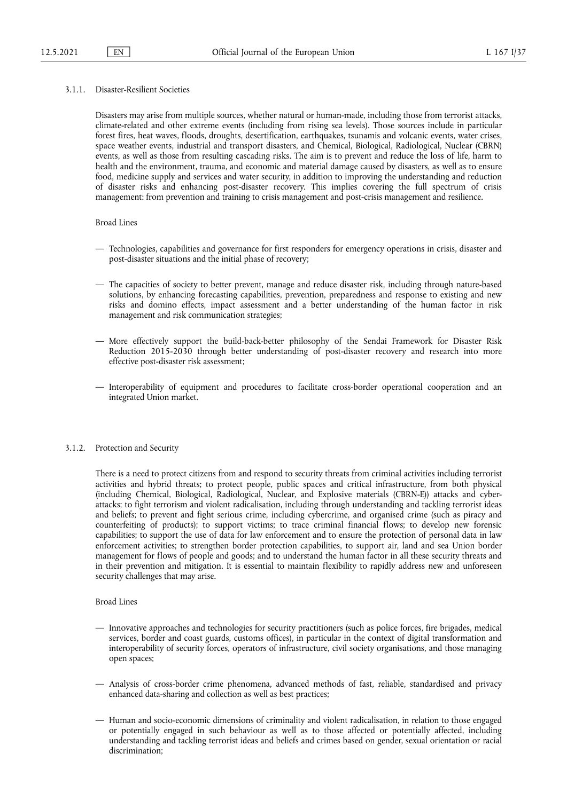### 3.1.1. Disaster-Resilient Societies

Disasters may arise from multiple sources, whether natural or human-made, including those from terrorist attacks, climate-related and other extreme events (including from rising sea levels). Those sources include in particular forest fires, heat waves, floods, droughts, desertification, earthquakes, tsunamis and volcanic events, water crises, space weather events, industrial and transport disasters, and Chemical, Biological, Radiological, Nuclear (CBRN) events, as well as those from resulting cascading risks. The aim is to prevent and reduce the loss of life, harm to health and the environment, trauma, and economic and material damage caused by disasters, as well as to ensure food, medicine supply and services and water security, in addition to improving the understanding and reduction of disaster risks and enhancing post-disaster recovery. This implies covering the full spectrum of crisis management: from prevention and training to crisis management and post-crisis management and resilience.

# Broad Lines

- Technologies, capabilities and governance for first responders for emergency operations in crisis, disaster and post-disaster situations and the initial phase of recovery;
- The capacities of society to better prevent, manage and reduce disaster risk, including through nature-based solutions, by enhancing forecasting capabilities, prevention, preparedness and response to existing and new risks and domino effects, impact assessment and a better understanding of the human factor in risk management and risk communication strategies;
- More effectively support the build-back-better philosophy of the Sendai Framework for Disaster Risk Reduction 2015-2030 through better understanding of post-disaster recovery and research into more effective post-disaster risk assessment;
- Interoperability of equipment and procedures to facilitate cross-border operational cooperation and an integrated Union market.

#### 3.1.2. Protection and Security

There is a need to protect citizens from and respond to security threats from criminal activities including terrorist activities and hybrid threats; to protect people, public spaces and critical infrastructure, from both physical (including Chemical, Biological, Radiological, Nuclear, and Explosive materials (CBRN-E)) attacks and cyberattacks; to fight terrorism and violent radicalisation, including through understanding and tackling terrorist ideas and beliefs; to prevent and fight serious crime, including cybercrime, and organised crime (such as piracy and counterfeiting of products); to support victims; to trace criminal financial flows; to develop new forensic capabilities; to support the use of data for law enforcement and to ensure the protection of personal data in law enforcement activities; to strengthen border protection capabilities, to support air, land and sea Union border management for flows of people and goods; and to understand the human factor in all these security threats and in their prevention and mitigation. It is essential to maintain flexibility to rapidly address new and unforeseen security challenges that may arise.

- Innovative approaches and technologies for security practitioners (such as police forces, fire brigades, medical services, border and coast guards, customs offices), in particular in the context of digital transformation and interoperability of security forces, operators of infrastructure, civil society organisations, and those managing open spaces;
- Analysis of cross-border crime phenomena, advanced methods of fast, reliable, standardised and privacy enhanced data-sharing and collection as well as best practices;
- Human and socio-economic dimensions of criminality and violent radicalisation, in relation to those engaged or potentially engaged in such behaviour as well as to those affected or potentially affected, including understanding and tackling terrorist ideas and beliefs and crimes based on gender, sexual orientation or racial discrimination: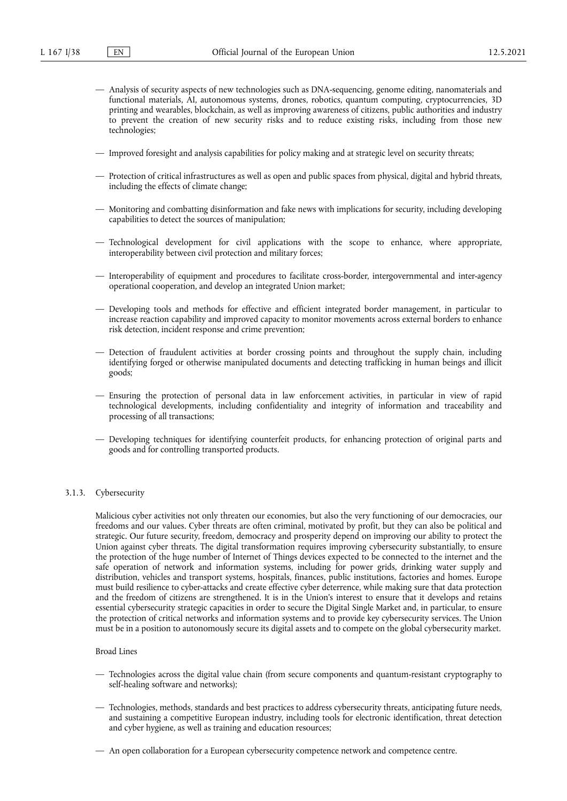- Analysis of security aspects of new technologies such as DNA-sequencing, genome editing, nanomaterials and functional materials, AI, autonomous systems, drones, robotics, quantum computing, cryptocurrencies, 3D printing and wearables, blockchain, as well as improving awareness of citizens, public authorities and industry to prevent the creation of new security risks and to reduce existing risks, including from those new technologies;
- Improved foresight and analysis capabilities for policy making and at strategic level on security threats;
- Protection of critical infrastructures as well as open and public spaces from physical, digital and hybrid threats, including the effects of climate change;
- Monitoring and combatting disinformation and fake news with implications for security, including developing capabilities to detect the sources of manipulation;
- Technological development for civil applications with the scope to enhance, where appropriate, interoperability between civil protection and military forces;
- Interoperability of equipment and procedures to facilitate cross-border, intergovernmental and inter-agency operational cooperation, and develop an integrated Union market;
- Developing tools and methods for effective and efficient integrated border management, in particular to increase reaction capability and improved capacity to monitor movements across external borders to enhance risk detection, incident response and crime prevention;
- Detection of fraudulent activities at border crossing points and throughout the supply chain, including identifying forged or otherwise manipulated documents and detecting trafficking in human beings and illicit goods;
- Ensuring the protection of personal data in law enforcement activities, in particular in view of rapid technological developments, including confidentiality and integrity of information and traceability and processing of all transactions;
- Developing techniques for identifying counterfeit products, for enhancing protection of original parts and goods and for controlling transported products.

# 3.1.3. Cybersecurity

Malicious cyber activities not only threaten our economies, but also the very functioning of our democracies, our freedoms and our values. Cyber threats are often criminal, motivated by profit, but they can also be political and strategic. Our future security, freedom, democracy and prosperity depend on improving our ability to protect the Union against cyber threats. The digital transformation requires improving cybersecurity substantially, to ensure the protection of the huge number of Internet of Things devices expected to be connected to the internet and the safe operation of network and information systems, including for power grids, drinking water supply and distribution, vehicles and transport systems, hospitals, finances, public institutions, factories and homes. Europe must build resilience to cyber-attacks and create effective cyber deterrence, while making sure that data protection and the freedom of citizens are strengthened. It is in the Union's interest to ensure that it develops and retains essential cybersecurity strategic capacities in order to secure the Digital Single Market and, in particular, to ensure the protection of critical networks and information systems and to provide key cybersecurity services. The Union must be in a position to autonomously secure its digital assets and to compete on the global cybersecurity market.

- Technologies across the digital value chain (from secure components and quantum-resistant cryptography to self-healing software and networks);
- Technologies, methods, standards and best practices to address cybersecurity threats, anticipating future needs, and sustaining a competitive European industry, including tools for electronic identification, threat detection and cyber hygiene, as well as training and education resources;
- An open collaboration for a European cybersecurity competence network and competence centre.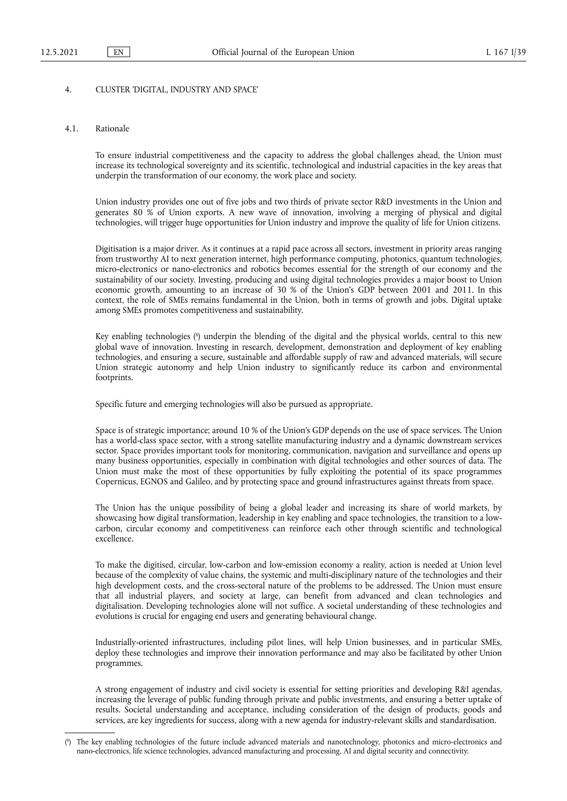## 4. CLUSTER 'DIGITAL, INDUSTRY AND SPACE'

### 4.1. Rationale

To ensure industrial competitiveness and the capacity to address the global challenges ahead, the Union must increase its technological sovereignty and its scientific, technological and industrial capacities in the key areas that underpin the transformation of our economy, the work place and society.

Union industry provides one out of five jobs and two thirds of private sector R&D investments in the Union and generates 80 % of Union exports. A new wave of innovation, involving a merging of physical and digital technologies, will trigger huge opportunities for Union industry and improve the quality of life for Union citizens.

Digitisation is a major driver. As it continues at a rapid pace across all sectors, investment in priority areas ranging from trustworthy AI to next generation internet, high performance computing, photonics, quantum technologies, micro-electronics or nano-electronics and robotics becomes essential for the strength of our economy and the sustainability of our society. Investing, producing and using digital technologies provides a major boost to Union economic growth, amounting to an increase of 30 % of the Union's GDP between 2001 and 2011. In this context, the role of SMEs remains fundamental in the Union, both in terms of growth and jobs. Digital uptake among SMEs promotes competitiveness and sustainability.

<span id="page-38-1"></span>Key enabling technologies [\(](#page-38-0) 8 ) underpin the blending of the digital and the physical worlds, central to this new global wave of innovation. Investing in research, development, demonstration and deployment of key enabling technologies, and ensuring a secure, sustainable and affordable supply of raw and advanced materials, will secure Union strategic autonomy and help Union industry to significantly reduce its carbon and environmental footprints.

Specific future and emerging technologies will also be pursued as appropriate.

Space is of strategic importance; around 10 % of the Union's GDP depends on the use of space services. The Union has a world-class space sector, with a strong satellite manufacturing industry and a dynamic downstream services sector. Space provides important tools for monitoring, communication, navigation and surveillance and opens up many business opportunities, especially in combination with digital technologies and other sources of data. The Union must make the most of these opportunities by fully exploiting the potential of its space programmes Copernicus, EGNOS and Galileo, and by protecting space and ground infrastructures against threats from space.

The Union has the unique possibility of being a global leader and increasing its share of world markets, by showcasing how digital transformation, leadership in key enabling and space technologies, the transition to a lowcarbon, circular economy and competitiveness can reinforce each other through scientific and technological excellence.

To make the digitised, circular, low-carbon and low-emission economy a reality, action is needed at Union level because of the complexity of value chains, the systemic and multi-disciplinary nature of the technologies and their high development costs, and the cross-sectoral nature of the problems to be addressed. The Union must ensure that all industrial players, and society at large, can benefit from advanced and clean technologies and digitalisation. Developing technologies alone will not suffice. A societal understanding of these technologies and evolutions is crucial for engaging end users and generating behavioural change.

Industrially-oriented infrastructures, including pilot lines, will help Union businesses, and in particular SMEs, deploy these technologies and improve their innovation performance and may also be facilitated by other Union programmes.

A strong engagement of industry and civil society is essential for setting priorities and developing R&I agendas, increasing the leverage of public funding through private and public investments, and ensuring a better uptake of results. Societal understanding and acceptance, including consideration of the design of products, goods and services, are key ingredients for success, along with a new agenda for industry-relevant skills and standardisation.

<span id="page-38-0"></span>[<sup>\(</sup>](#page-38-1) 8 ) The key enabling technologies of the future include advanced materials and nanotechnology, photonics and micro-electronics and nano-electronics, life science technologies, advanced manufacturing and processing, AI and digital security and connectivity.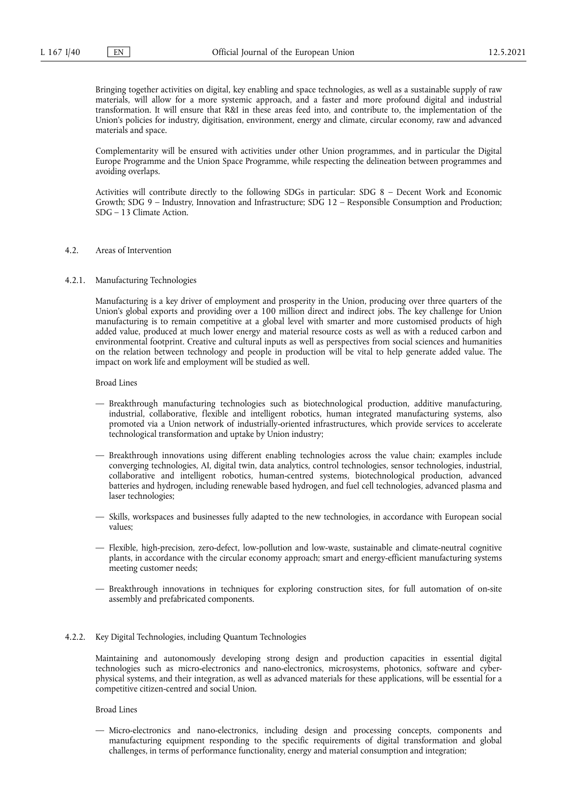Bringing together activities on digital, key enabling and space technologies, as well as a sustainable supply of raw materials, will allow for a more systemic approach, and a faster and more profound digital and industrial transformation. It will ensure that R&I in these areas feed into, and contribute to, the implementation of the Union's policies for industry, digitisation, environment, energy and climate, circular economy, raw and advanced materials and space.

Complementarity will be ensured with activities under other Union programmes, and in particular the Digital Europe Programme and the Union Space Programme, while respecting the delineation between programmes and avoiding overlaps.

Activities will contribute directly to the following SDGs in particular: SDG 8 – Decent Work and Economic Growth; SDG 9 – Industry, Innovation and Infrastructure; SDG 12 – Responsible Consumption and Production; SDG – 13 Climate Action.

#### 4.2. Areas of Intervention

### 4.2.1. Manufacturing Technologies

Manufacturing is a key driver of employment and prosperity in the Union, producing over three quarters of the Union's global exports and providing over a 100 million direct and indirect jobs. The key challenge for Union manufacturing is to remain competitive at a global level with smarter and more customised products of high added value, produced at much lower energy and material resource costs as well as with a reduced carbon and environmental footprint. Creative and cultural inputs as well as perspectives from social sciences and humanities on the relation between technology and people in production will be vital to help generate added value. The impact on work life and employment will be studied as well.

Broad Lines

- Breakthrough manufacturing technologies such as biotechnological production, additive manufacturing, industrial, collaborative, flexible and intelligent robotics, human integrated manufacturing systems, also promoted via a Union network of industrially-oriented infrastructures, which provide services to accelerate technological transformation and uptake by Union industry;
- Breakthrough innovations using different enabling technologies across the value chain; examples include converging technologies, AI, digital twin, data analytics, control technologies, sensor technologies, industrial, collaborative and intelligent robotics, human-centred systems, biotechnological production, advanced batteries and hydrogen, including renewable based hydrogen, and fuel cell technologies, advanced plasma and laser technologies;
- Skills, workspaces and businesses fully adapted to the new technologies, in accordance with European social values;
- Flexible, high-precision, zero-defect, low-pollution and low-waste, sustainable and climate-neutral cognitive plants, in accordance with the circular economy approach; smart and energy-efficient manufacturing systems meeting customer needs;
- Breakthrough innovations in techniques for exploring construction sites, for full automation of on-site assembly and prefabricated components.
- 4.2.2. Key Digital Technologies, including Quantum Technologies

Maintaining and autonomously developing strong design and production capacities in essential digital technologies such as micro-electronics and nano-electronics, microsystems, photonics, software and cyberphysical systems, and their integration, as well as advanced materials for these applications, will be essential for a competitive citizen-centred and social Union.

Broad Lines

— Micro-electronics and nano-electronics, including design and processing concepts, components and manufacturing equipment responding to the specific requirements of digital transformation and global challenges, in terms of performance functionality, energy and material consumption and integration;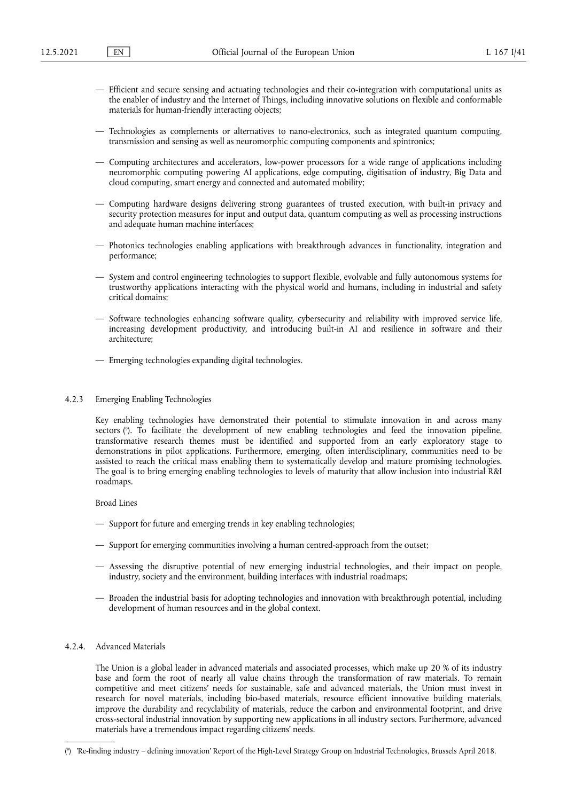- Efficient and secure sensing and actuating technologies and their co-integration with computational units as the enabler of industry and the Internet of Things, including innovative solutions on flexible and conformable materials for human-friendly interacting objects;
- Technologies as complements or alternatives to nano-electronics, such as integrated quantum computing, transmission and sensing as well as neuromorphic computing components and spintronics;
- Computing architectures and accelerators, low-power processors for a wide range of applications including neuromorphic computing powering AI applications, edge computing, digitisation of industry, Big Data and cloud computing, smart energy and connected and automated mobility;
- Computing hardware designs delivering strong guarantees of trusted execution, with built-in privacy and security protection measures for input and output data, quantum computing as well as processing instructions and adequate human machine interfaces;
- Photonics technologies enabling applications with breakthrough advances in functionality, integration and performance;
- System and control engineering technologies to support flexible, evolvable and fully autonomous systems for trustworthy applications interacting with the physical world and humans, including in industrial and safety critical domains;
- Software technologies enhancing software quality, cybersecurity and reliability with improved service life, increasing development productivity, and introducing built-in AI and resilience in software and their architecture;
- Emerging technologies expanding digital technologies.
- 4.2.3 Emerging Enabling Technologies

<span id="page-40-1"></span>Key enabling technologies have demonstrated their potential to stimulate innovation in and across many sectors ( 9 [\).](#page-40-0) To facilitate the development of new enabling technologies and feed the innovation pipeline, transformative research themes must be identified and supported from an early exploratory stage to demonstrations in pilot applications. Furthermore, emerging, often interdisciplinary, communities need to be assisted to reach the critical mass enabling them to systematically develop and mature promising technologies. The goal is to bring emerging enabling technologies to levels of maturity that allow inclusion into industrial R&I roadmaps.

Broad Lines

- Support for future and emerging trends in key enabling technologies;
- Support for emerging communities involving a human centred-approach from the outset;
- Assessing the disruptive potential of new emerging industrial technologies, and their impact on people, industry, society and the environment, building interfaces with industrial roadmaps;
- Broaden the industrial basis for adopting technologies and innovation with breakthrough potential, including development of human resources and in the global context.

# 4.2.4. Advanced Materials

The Union is a global leader in advanced materials and associated processes, which make up 20 % of its industry base and form the root of nearly all value chains through the transformation of raw materials. To remain competitive and meet citizens' needs for sustainable, safe and advanced materials, the Union must invest in research for novel materials, including bio-based materials, resource efficient innovative building materials, improve the durability and recyclability of materials, reduce the carbon and environmental footprint, and drive cross-sectoral industrial innovation by supporting new applications in all industry sectors. Furthermore, advanced materials have a tremendous impact regarding citizens' needs.

<span id="page-40-0"></span>[<sup>\(</sup>](#page-40-1) 9 ) 'Re-finding industry – defining innovation' Report of the High-Level Strategy Group on Industrial Technologies, Brussels April 2018.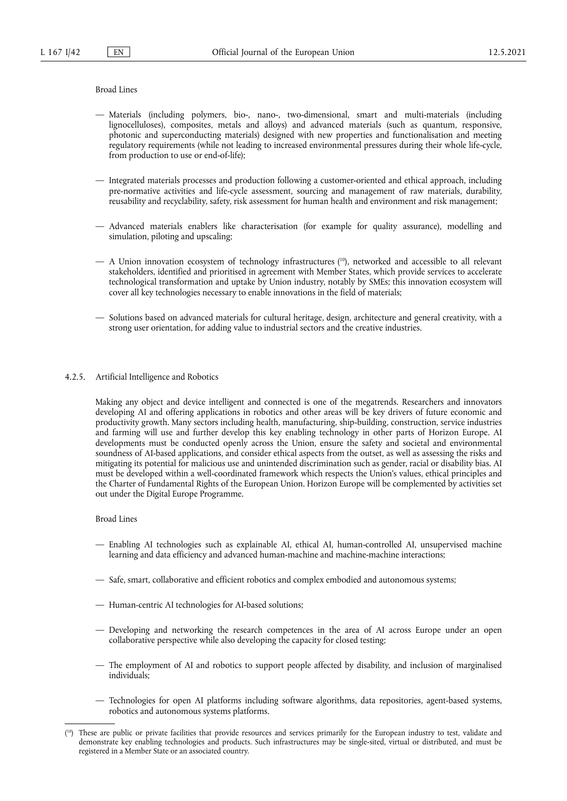## Broad Lines

- Materials (including polymers, bio-, nano-, two-dimensional, smart and multi-materials (including lignocelluloses), composites, metals and alloys) and advanced materials (such as quantum, responsive, photonic and superconducting materials) designed with new properties and functionalisation and meeting regulatory requirements (while not leading to increased environmental pressures during their whole life-cycle, from production to use or end-of-life);
- Integrated materials processes and production following a customer-oriented and ethical approach, including pre-normative activities and life-cycle assessment, sourcing and management of raw materials, durability, reusability and recyclability, safety, risk assessment for human health and environment and risk management;
- Advanced materials enablers like characterisation (for example for quality assurance), modelling and simulation, piloting and upscaling;
- <span id="page-41-1"></span>— A Union innovation ecosystem of technology infrastructures ( [10\),](#page-41-0) networked and accessible to all relevant stakeholders, identified and prioritised in agreement with Member States, which provide services to accelerate technological transformation and uptake by Union industry, notably by SMEs; this innovation ecosystem will cover all key technologies necessary to enable innovations in the field of materials;
- Solutions based on advanced materials for cultural heritage, design, architecture and general creativity, with a strong user orientation, for adding value to industrial sectors and the creative industries.
- 4.2.5. Artificial Intelligence and Robotics

Making any object and device intelligent and connected is one of the megatrends. Researchers and innovators developing AI and offering applications in robotics and other areas will be key drivers of future economic and productivity growth. Many sectors including health, manufacturing, ship-building, construction, service industries and farming will use and further develop this key enabling technology in other parts of Horizon Europe. AI developments must be conducted openly across the Union, ensure the safety and societal and environmental soundness of AI-based applications, and consider ethical aspects from the outset, as well as assessing the risks and mitigating its potential for malicious use and unintended discrimination such as gender, racial or disability bias. AI must be developed within a well-coordinated framework which respects the Union's values, ethical principles and the Charter of Fundamental Rights of the European Union. Horizon Europe will be complemented by activities set out under the Digital Europe Programme.

- Enabling AI technologies such as explainable AI, ethical AI, human-controlled AI, unsupervised machine learning and data efficiency and advanced human-machine and machine-machine interactions;
- Safe, smart, collaborative and efficient robotics and complex embodied and autonomous systems;
- Human-centric AI technologies for AI-based solutions;
- Developing and networking the research competences in the area of AI across Europe under an open collaborative perspective while also developing the capacity for closed testing;
- The employment of AI and robotics to support people affected by disability, and inclusion of marginalised individuals;
- Technologies for open AI platforms including software algorithms, data repositories, agent-based systems, robotics and autonomous systems platforms.

<span id="page-41-0"></span><sup>(</sup> [10\)](#page-41-1) These are public or private facilities that provide resources and services primarily for the European industry to test, validate and demonstrate key enabling technologies and products. Such infrastructures may be single-sited, virtual or distributed, and must be registered in a Member State or an associated country.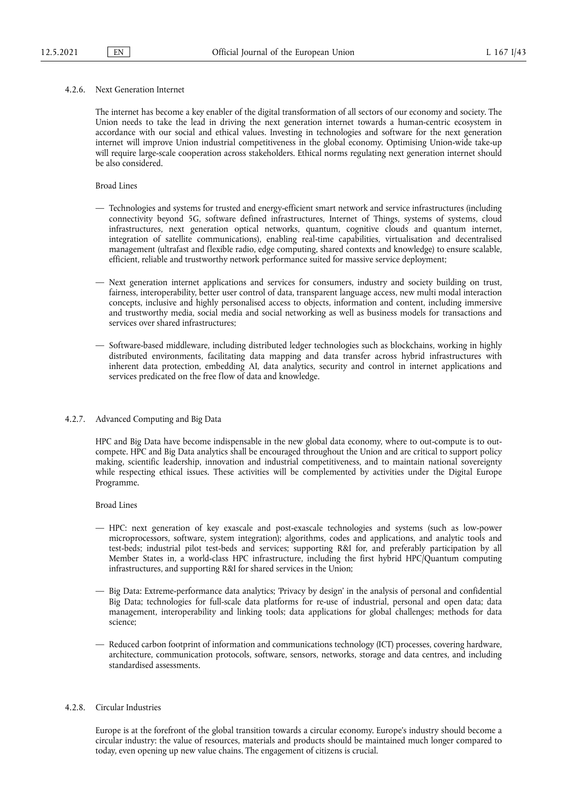### 4.2.6. Next Generation Internet

The internet has become a key enabler of the digital transformation of all sectors of our economy and society. The Union needs to take the lead in driving the next generation internet towards a human-centric ecosystem in accordance with our social and ethical values. Investing in technologies and software for the next generation internet will improve Union industrial competitiveness in the global economy. Optimising Union-wide take-up will require large-scale cooperation across stakeholders. Ethical norms regulating next generation internet should be also considered.

## Broad Lines

- Technologies and systems for trusted and energy-efficient smart network and service infrastructures (including connectivity beyond 5G, software defined infrastructures, Internet of Things, systems of systems, cloud infrastructures, next generation optical networks, quantum, cognitive clouds and quantum internet, integration of satellite communications), enabling real-time capabilities, virtualisation and decentralised management (ultrafast and flexible radio, edge computing, shared contexts and knowledge) to ensure scalable, efficient, reliable and trustworthy network performance suited for massive service deployment;
- Next generation internet applications and services for consumers, industry and society building on trust, fairness, interoperability, better user control of data, transparent language access, new multi modal interaction concepts, inclusive and highly personalised access to objects, information and content, including immersive and trustworthy media, social media and social networking as well as business models for transactions and services over shared infrastructures;
- Software-based middleware, including distributed ledger technologies such as blockchains, working in highly distributed environments, facilitating data mapping and data transfer across hybrid infrastructures with inherent data protection, embedding AI, data analytics, security and control in internet applications and services predicated on the free flow of data and knowledge.
- 4.2.7. Advanced Computing and Big Data

HPC and Big Data have become indispensable in the new global data economy, where to out-compute is to outcompete. HPC and Big Data analytics shall be encouraged throughout the Union and are critical to support policy making, scientific leadership, innovation and industrial competitiveness, and to maintain national sovereignty while respecting ethical issues. These activities will be complemented by activities under the Digital Europe Programme.

Broad Lines

- HPC: next generation of key exascale and post-exascale technologies and systems (such as low-power microprocessors, software, system integration); algorithms, codes and applications, and analytic tools and test-beds; industrial pilot test-beds and services; supporting R&I for, and preferably participation by all Member States in, a world-class HPC infrastructure, including the first hybrid HPC/Quantum computing infrastructures, and supporting R&I for shared services in the Union;
- Big Data: Extreme-performance data analytics; 'Privacy by design' in the analysis of personal and confidential Big Data; technologies for full-scale data platforms for re-use of industrial, personal and open data; data management, interoperability and linking tools; data applications for global challenges; methods for data science;
- Reduced carbon footprint of information and communications technology (ICT) processes, covering hardware, architecture, communication protocols, software, sensors, networks, storage and data centres, and including standardised assessments.

## 4.2.8. Circular Industries

Europe is at the forefront of the global transition towards a circular economy. Europe's industry should become a circular industry: the value of resources, materials and products should be maintained much longer compared to today, even opening up new value chains. The engagement of citizens is crucial.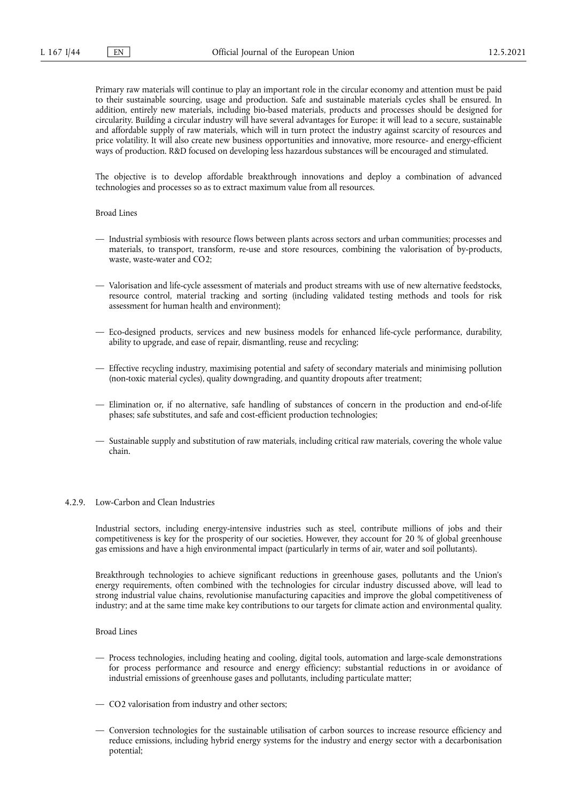Primary raw materials will continue to play an important role in the circular economy and attention must be paid to their sustainable sourcing, usage and production. Safe and sustainable materials cycles shall be ensured. In addition, entirely new materials, including bio-based materials, products and processes should be designed for circularity. Building a circular industry will have several advantages for Europe: it will lead to a secure, sustainable and affordable supply of raw materials, which will in turn protect the industry against scarcity of resources and price volatility. It will also create new business opportunities and innovative, more resource- and energy-efficient ways of production. R&D focused on developing less hazardous substances will be encouraged and stimulated.

The objective is to develop affordable breakthrough innovations and deploy a combination of advanced technologies and processes so as to extract maximum value from all resources.

Broad Lines

- Industrial symbiosis with resource flows between plants across sectors and urban communities; processes and materials, to transport, transform, re-use and store resources, combining the valorisation of by-products, waste, waste-water and CO2;
- Valorisation and life-cycle assessment of materials and product streams with use of new alternative feedstocks, resource control, material tracking and sorting (including validated testing methods and tools for risk assessment for human health and environment);
- Eco-designed products, services and new business models for enhanced life-cycle performance, durability, ability to upgrade, and ease of repair, dismantling, reuse and recycling;
- Effective recycling industry, maximising potential and safety of secondary materials and minimising pollution (non-toxic material cycles), quality downgrading, and quantity dropouts after treatment;
- Elimination or, if no alternative, safe handling of substances of concern in the production and end-of-life phases; safe substitutes, and safe and cost-efficient production technologies;
- Sustainable supply and substitution of raw materials, including critical raw materials, covering the whole value chain.

## 4.2.9. Low-Carbon and Clean Industries

Industrial sectors, including energy-intensive industries such as steel, contribute millions of jobs and their competitiveness is key for the prosperity of our societies. However, they account for 20 % of global greenhouse gas emissions and have a high environmental impact (particularly in terms of air, water and soil pollutants).

Breakthrough technologies to achieve significant reductions in greenhouse gases, pollutants and the Union's energy requirements, often combined with the technologies for circular industry discussed above, will lead to strong industrial value chains, revolutionise manufacturing capacities and improve the global competitiveness of industry; and at the same time make key contributions to our targets for climate action and environmental quality.

- Process technologies, including heating and cooling, digital tools, automation and large-scale demonstrations for process performance and resource and energy efficiency; substantial reductions in or avoidance of industrial emissions of greenhouse gases and pollutants, including particulate matter;
- CO2 valorisation from industry and other sectors;
- Conversion technologies for the sustainable utilisation of carbon sources to increase resource efficiency and reduce emissions, including hybrid energy systems for the industry and energy sector with a decarbonisation potential;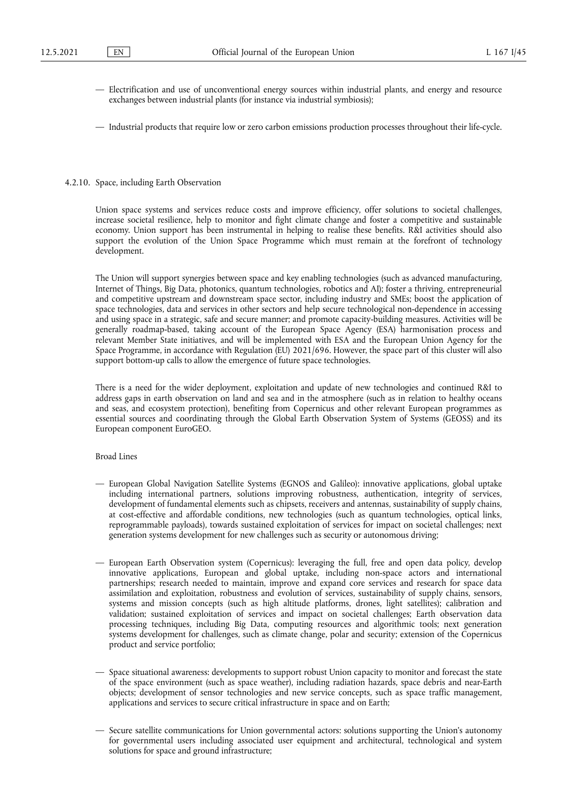- Electrification and use of unconventional energy sources within industrial plants, and energy and resource exchanges between industrial plants (for instance via industrial symbiosis);
- Industrial products that require low or zero carbon emissions production processes throughout their life-cycle.

#### 4.2.10. Space, including Earth Observation

Union space systems and services reduce costs and improve efficiency, offer solutions to societal challenges, increase societal resilience, help to monitor and fight climate change and foster a competitive and sustainable economy. Union support has been instrumental in helping to realise these benefits. R&I activities should also support the evolution of the Union Space Programme which must remain at the forefront of technology development.

The Union will support synergies between space and key enabling technologies (such as advanced manufacturing, Internet of Things, Big Data, photonics, quantum technologies, robotics and AI); foster a thriving, entrepreneurial and competitive upstream and downstream space sector, including industry and SMEs; boost the application of space technologies, data and services in other sectors and help secure technological non-dependence in accessing and using space in a strategic, safe and secure manner; and promote capacity-building measures. Activities will be generally roadmap-based, taking account of the European Space Agency (ESA) harmonisation process and relevant Member State initiatives, and will be implemented with ESA and the European Union Agency for the Space Programme, in accordance with Regulation (EU) 2021/696. However, the space part of this cluster will also support bottom-up calls to allow the emergence of future space technologies.

There is a need for the wider deployment, exploitation and update of new technologies and continued R&I to address gaps in earth observation on land and sea and in the atmosphere (such as in relation to healthy oceans and seas, and ecosystem protection), benefiting from Copernicus and other relevant European programmes as essential sources and coordinating through the Global Earth Observation System of Systems (GEOSS) and its European component EuroGEO.

- European Global Navigation Satellite Systems (EGNOS and Galileo): innovative applications, global uptake including international partners, solutions improving robustness, authentication, integrity of services, development of fundamental elements such as chipsets, receivers and antennas, sustainability of supply chains, at cost-effective and affordable conditions, new technologies (such as quantum technologies, optical links, reprogrammable payloads), towards sustained exploitation of services for impact on societal challenges; next generation systems development for new challenges such as security or autonomous driving;
- European Earth Observation system (Copernicus): leveraging the full, free and open data policy, develop innovative applications, European and global uptake, including non-space actors and international partnerships; research needed to maintain, improve and expand core services and research for space data assimilation and exploitation, robustness and evolution of services, sustainability of supply chains, sensors, systems and mission concepts (such as high altitude platforms, drones, light satellites); calibration and validation; sustained exploitation of services and impact on societal challenges; Earth observation data processing techniques, including Big Data, computing resources and algorithmic tools; next generation systems development for challenges, such as climate change, polar and security; extension of the Copernicus product and service portfolio;
- Space situational awareness: developments to support robust Union capacity to monitor and forecast the state of the space environment (such as space weather), including radiation hazards, space debris and near-Earth objects; development of sensor technologies and new service concepts, such as space traffic management, applications and services to secure critical infrastructure in space and on Earth;
- Secure satellite communications for Union governmental actors: solutions supporting the Union's autonomy for governmental users including associated user equipment and architectural, technological and system solutions for space and ground infrastructure;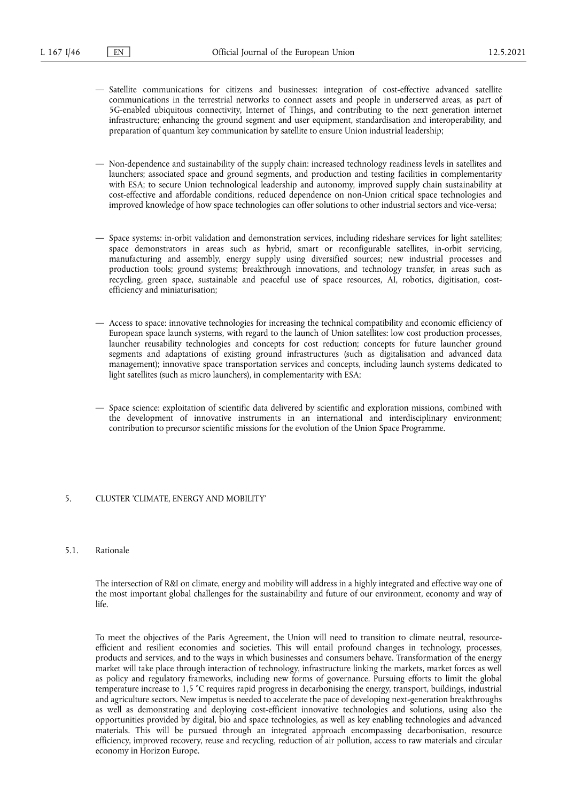- Satellite communications for citizens and businesses: integration of cost-effective advanced satellite communications in the terrestrial networks to connect assets and people in underserved areas, as part of 5G-enabled ubiquitous connectivity, Internet of Things, and contributing to the next generation internet infrastructure; enhancing the ground segment and user equipment, standardisation and interoperability, and preparation of quantum key communication by satellite to ensure Union industrial leadership;
- Non-dependence and sustainability of the supply chain: increased technology readiness levels in satellites and launchers; associated space and ground segments, and production and testing facilities in complementarity with ESA; to secure Union technological leadership and autonomy, improved supply chain sustainability at cost-effective and affordable conditions, reduced dependence on non-Union critical space technologies and improved knowledge of how space technologies can offer solutions to other industrial sectors and vice-versa;
- Space systems: in-orbit validation and demonstration services, including rideshare services for light satellites; space demonstrators in areas such as hybrid, smart or reconfigurable satellites, in-orbit servicing, manufacturing and assembly, energy supply using diversified sources; new industrial processes and production tools; ground systems; breakthrough innovations, and technology transfer, in areas such as recycling, green space, sustainable and peaceful use of space resources, AI, robotics, digitisation, costefficiency and miniaturisation;
- Access to space: innovative technologies for increasing the technical compatibility and economic efficiency of European space launch systems, with regard to the launch of Union satellites: low cost production processes, launcher reusability technologies and concepts for cost reduction; concepts for future launcher ground segments and adaptations of existing ground infrastructures (such as digitalisation and advanced data management); innovative space transportation services and concepts, including launch systems dedicated to light satellites (such as micro launchers), in complementarity with ESA;
- Space science: exploitation of scientific data delivered by scientific and exploration missions, combined with the development of innovative instruments in an international and interdisciplinary environment; contribution to precursor scientific missions for the evolution of the Union Space Programme.

# 5. CLUSTER 'CLIMATE, ENERGY AND MOBILITY'

## 5.1. Rationale

The intersection of R&I on climate, energy and mobility will address in a highly integrated and effective way one of the most important global challenges for the sustainability and future of our environment, economy and way of life.

To meet the objectives of the Paris Agreement, the Union will need to transition to climate neutral, resourceefficient and resilient economies and societies. This will entail profound changes in technology, processes, products and services, and to the ways in which businesses and consumers behave. Transformation of the energy market will take place through interaction of technology, infrastructure linking the markets, market forces as well as policy and regulatory frameworks, including new forms of governance. Pursuing efforts to limit the global temperature increase to 1,5 °C requires rapid progress in decarbonising the energy, transport, buildings, industrial and agriculture sectors. New impetus is needed to accelerate the pace of developing next-generation breakthroughs as well as demonstrating and deploying cost-efficient innovative technologies and solutions, using also the opportunities provided by digital, bio and space technologies, as well as key enabling technologies and advanced materials. This will be pursued through an integrated approach encompassing decarbonisation, resource efficiency, improved recovery, reuse and recycling, reduction of air pollution, access to raw materials and circular economy in Horizon Europe.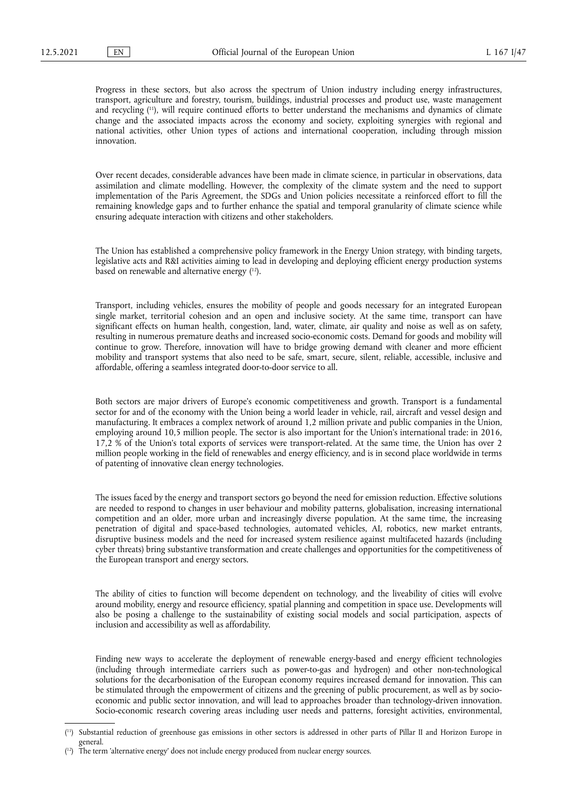<span id="page-46-2"></span>Progress in these sectors, but also across the spectrum of Union industry including energy infrastructures, transport, agriculture and forestry, tourism, buildings, industrial processes and product use, waste management and recycling ( [11\)](#page-46-0), will require continued efforts to better understand the mechanisms and dynamics of climate change and the associated impacts across the economy and society, exploiting synergies with regional and national activities, other Union types of actions and international cooperation, including through mission innovation.

Over recent decades, considerable advances have been made in climate science, in particular in observations, data assimilation and climate modelling. However, the complexity of the climate system and the need to support implementation of the Paris Agreement, the SDGs and Union policies necessitate a reinforced effort to fill the remaining knowledge gaps and to further enhance the spatial and temporal granularity of climate science while ensuring adequate interaction with citizens and other stakeholders.

<span id="page-46-3"></span>The Union has established a comprehensive policy framework in the Energy Union strategy, with binding targets, legislative acts and R&I activities aiming to lead in developing and deploying efficient energy production systems based on renewable and alternative energy ( [12\)](#page-46-1).

Transport, including vehicles, ensures the mobility of people and goods necessary for an integrated European single market, territorial cohesion and an open and inclusive society. At the same time, transport can have significant effects on human health, congestion, land, water, climate, air quality and noise as well as on safety, resulting in numerous premature deaths and increased socio-economic costs. Demand for goods and mobility will continue to grow. Therefore, innovation will have to bridge growing demand with cleaner and more efficient mobility and transport systems that also need to be safe, smart, secure, silent, reliable, accessible, inclusive and affordable, offering a seamless integrated door-to-door service to all.

Both sectors are major drivers of Europe's economic competitiveness and growth. Transport is a fundamental sector for and of the economy with the Union being a world leader in vehicle, rail, aircraft and vessel design and manufacturing. It embraces a complex network of around 1,2 million private and public companies in the Union, employing around 10,5 million people. The sector is also important for the Union's international trade: in 2016, 17,2 % of the Union's total exports of services were transport-related. At the same time, the Union has over 2 million people working in the field of renewables and energy efficiency, and is in second place worldwide in terms of patenting of innovative clean energy technologies.

The issues faced by the energy and transport sectors go beyond the need for emission reduction. Effective solutions are needed to respond to changes in user behaviour and mobility patterns, globalisation, increasing international competition and an older, more urban and increasingly diverse population. At the same time, the increasing penetration of digital and space-based technologies, automated vehicles, AI, robotics, new market entrants, disruptive business models and the need for increased system resilience against multifaceted hazards (including cyber threats) bring substantive transformation and create challenges and opportunities for the competitiveness of the European transport and energy sectors.

The ability of cities to function will become dependent on technology, and the liveability of cities will evolve around mobility, energy and resource efficiency, spatial planning and competition in space use. Developments will also be posing a challenge to the sustainability of existing social models and social participation, aspects of inclusion and accessibility as well as affordability.

Finding new ways to accelerate the deployment of renewable energy-based and energy efficient technologies (including through intermediate carriers such as power-to-gas and hydrogen) and other non-technological solutions for the decarbonisation of the European economy requires increased demand for innovation. This can be stimulated through the empowerment of citizens and the greening of public procurement, as well as by socioeconomic and public sector innovation, and will lead to approaches broader than technology-driven innovation. Socio-economic research covering areas including user needs and patterns, foresight activities, environmental,

<span id="page-46-0"></span><sup>(</sup> [11\)](#page-46-2) Substantial reduction of greenhouse gas emissions in other sectors is addressed in other parts of Pillar II and Horizon Europe in general.

<span id="page-46-1"></span> $(1<sup>2</sup>)$  The term 'alternative energy' does not include energy produced from nuclear energy sources.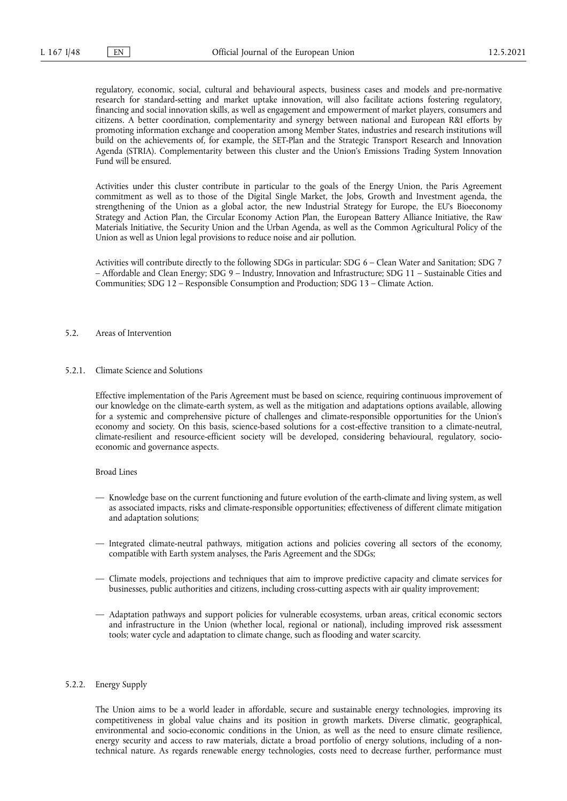regulatory, economic, social, cultural and behavioural aspects, business cases and models and pre-normative research for standard-setting and market uptake innovation, will also facilitate actions fostering regulatory, financing and social innovation skills, as well as engagement and empowerment of market players, consumers and citizens. A better coordination, complementarity and synergy between national and European R&I efforts by promoting information exchange and cooperation among Member States, industries and research institutions will build on the achievements of, for example, the SET-Plan and the Strategic Transport Research and Innovation Agenda (STRIA). Complementarity between this cluster and the Union's Emissions Trading System Innovation Fund will be ensured.

Activities under this cluster contribute in particular to the goals of the Energy Union, the Paris Agreement commitment as well as to those of the Digital Single Market, the Jobs, Growth and Investment agenda, the strengthening of the Union as a global actor, the new Industrial Strategy for Europe, the EU's Bioeconomy Strategy and Action Plan, the Circular Economy Action Plan, the European Battery Alliance Initiative, the Raw Materials Initiative, the Security Union and the Urban Agenda, as well as the Common Agricultural Policy of the Union as well as Union legal provisions to reduce noise and air pollution.

Activities will contribute directly to the following SDGs in particular: SDG 6 – Clean Water and Sanitation; SDG 7 – Affordable and Clean Energy; SDG 9 – Industry, Innovation and Infrastructure; SDG 11 – Sustainable Cities and Communities; SDG 12 – Responsible Consumption and Production; SDG 13 – Climate Action.

# 5.2. Areas of Intervention

5.2.1. Climate Science and Solutions

Effective implementation of the Paris Agreement must be based on science, requiring continuous improvement of our knowledge on the climate-earth system, as well as the mitigation and adaptations options available, allowing for a systemic and comprehensive picture of challenges and climate-responsible opportunities for the Union's economy and society. On this basis, science-based solutions for a cost-effective transition to a climate-neutral, climate-resilient and resource-efficient society will be developed, considering behavioural, regulatory, socioeconomic and governance aspects.

#### Broad Lines

- Knowledge base on the current functioning and future evolution of the earth-climate and living system, as well as associated impacts, risks and climate-responsible opportunities; effectiveness of different climate mitigation and adaptation solutions;
- Integrated climate-neutral pathways, mitigation actions and policies covering all sectors of the economy, compatible with Earth system analyses, the Paris Agreement and the SDGs;
- Climate models, projections and techniques that aim to improve predictive capacity and climate services for businesses, public authorities and citizens, including cross-cutting aspects with air quality improvement;
- Adaptation pathways and support policies for vulnerable ecosystems, urban areas, critical economic sectors and infrastructure in the Union (whether local, regional or national), including improved risk assessment tools; water cycle and adaptation to climate change, such as flooding and water scarcity.

#### 5.2.2. Energy Supply

The Union aims to be a world leader in affordable, secure and sustainable energy technologies, improving its competitiveness in global value chains and its position in growth markets. Diverse climatic, geographical, environmental and socio-economic conditions in the Union, as well as the need to ensure climate resilience, energy security and access to raw materials, dictate a broad portfolio of energy solutions, including of a nontechnical nature. As regards renewable energy technologies, costs need to decrease further, performance must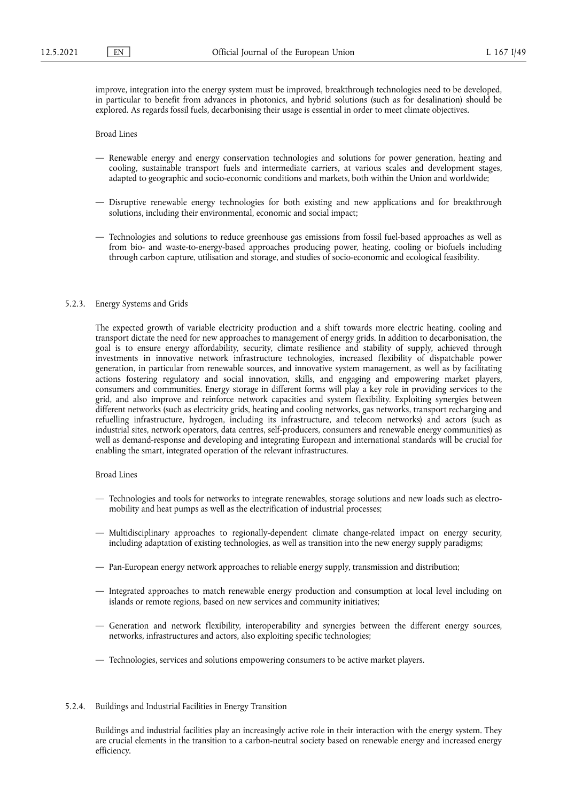improve, integration into the energy system must be improved, breakthrough technologies need to be developed, in particular to benefit from advances in photonics, and hybrid solutions (such as for desalination) should be explored. As regards fossil fuels, decarbonising their usage is essential in order to meet climate objectives.

Broad Lines

- Renewable energy and energy conservation technologies and solutions for power generation, heating and cooling, sustainable transport fuels and intermediate carriers, at various scales and development stages, adapted to geographic and socio-economic conditions and markets, both within the Union and worldwide;
- Disruptive renewable energy technologies for both existing and new applications and for breakthrough solutions, including their environmental, economic and social impact;
- Technologies and solutions to reduce greenhouse gas emissions from fossil fuel-based approaches as well as from bio- and waste-to-energy-based approaches producing power, heating, cooling or biofuels including through carbon capture, utilisation and storage, and studies of socio-economic and ecological feasibility.

#### 5.2.3. Energy Systems and Grids

The expected growth of variable electricity production and a shift towards more electric heating, cooling and transport dictate the need for new approaches to management of energy grids. In addition to decarbonisation, the goal is to ensure energy affordability, security, climate resilience and stability of supply, achieved through investments in innovative network infrastructure technologies, increased flexibility of dispatchable power generation, in particular from renewable sources, and innovative system management, as well as by facilitating actions fostering regulatory and social innovation, skills, and engaging and empowering market players, consumers and communities. Energy storage in different forms will play a key role in providing services to the grid, and also improve and reinforce network capacities and system flexibility. Exploiting synergies between different networks (such as electricity grids, heating and cooling networks, gas networks, transport recharging and refuelling infrastructure, hydrogen, including its infrastructure, and telecom networks) and actors (such as industrial sites, network operators, data centres, self-producers, consumers and renewable energy communities) as well as demand-response and developing and integrating European and international standards will be crucial for enabling the smart, integrated operation of the relevant infrastructures.

# Broad Lines

- Technologies and tools for networks to integrate renewables, storage solutions and new loads such as electromobility and heat pumps as well as the electrification of industrial processes;
- Multidisciplinary approaches to regionally-dependent climate change-related impact on energy security, including adaptation of existing technologies, as well as transition into the new energy supply paradigms;
- Pan-European energy network approaches to reliable energy supply, transmission and distribution;
- Integrated approaches to match renewable energy production and consumption at local level including on islands or remote regions, based on new services and community initiatives;
- Generation and network flexibility, interoperability and synergies between the different energy sources, networks, infrastructures and actors, also exploiting specific technologies;
- Technologies, services and solutions empowering consumers to be active market players.

# 5.2.4. Buildings and Industrial Facilities in Energy Transition

Buildings and industrial facilities play an increasingly active role in their interaction with the energy system. They are crucial elements in the transition to a carbon-neutral society based on renewable energy and increased energy efficiency.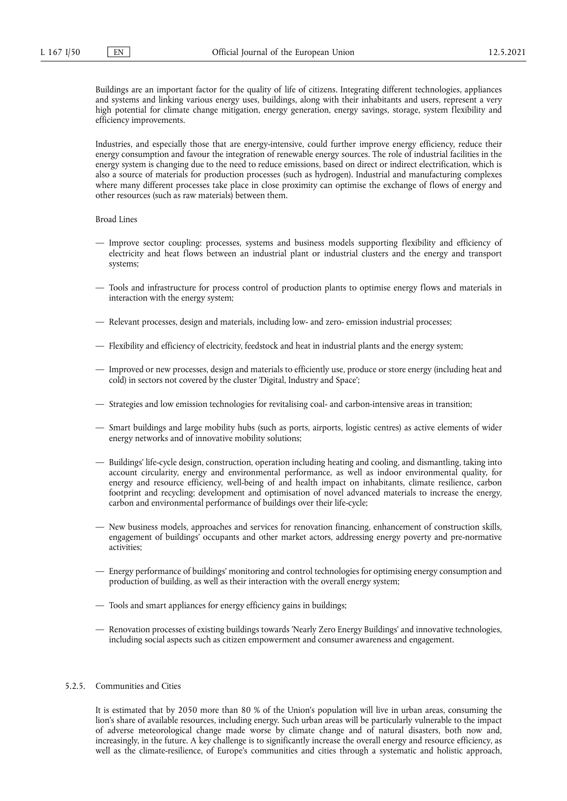Buildings are an important factor for the quality of life of citizens. Integrating different technologies, appliances and systems and linking various energy uses, buildings, along with their inhabitants and users, represent a very high potential for climate change mitigation, energy generation, energy savings, storage, system flexibility and efficiency improvements.

Industries, and especially those that are energy-intensive, could further improve energy efficiency, reduce their energy consumption and favour the integration of renewable energy sources. The role of industrial facilities in the energy system is changing due to the need to reduce emissions, based on direct or indirect electrification, which is also a source of materials for production processes (such as hydrogen). Industrial and manufacturing complexes where many different processes take place in close proximity can optimise the exchange of flows of energy and other resources (such as raw materials) between them.

## Broad Lines

- Improve sector coupling: processes, systems and business models supporting flexibility and efficiency of electricity and heat flows between an industrial plant or industrial clusters and the energy and transport systems;
- Tools and infrastructure for process control of production plants to optimise energy flows and materials in interaction with the energy system;
- Relevant processes, design and materials, including low- and zero- emission industrial processes;
- Flexibility and efficiency of electricity, feedstock and heat in industrial plants and the energy system;
- Improved or new processes, design and materials to efficiently use, produce or store energy (including heat and cold) in sectors not covered by the cluster 'Digital, Industry and Space';
- Strategies and low emission technologies for revitalising coal- and carbon-intensive areas in transition;
- Smart buildings and large mobility hubs (such as ports, airports, logistic centres) as active elements of wider energy networks and of innovative mobility solutions;
- Buildings' life-cycle design, construction, operation including heating and cooling, and dismantling, taking into account circularity, energy and environmental performance, as well as indoor environmental quality, for energy and resource efficiency, well-being of and health impact on inhabitants, climate resilience, carbon footprint and recycling; development and optimisation of novel advanced materials to increase the energy, carbon and environmental performance of buildings over their life-cycle;
- New business models, approaches and services for renovation financing, enhancement of construction skills, engagement of buildings' occupants and other market actors, addressing energy poverty and pre-normative activities;
- Energy performance of buildings' monitoring and control technologies for optimising energy consumption and production of building, as well as their interaction with the overall energy system;
- Tools and smart appliances for energy efficiency gains in buildings;
- Renovation processes of existing buildings towards 'Nearly Zero Energy Buildings' and innovative technologies, including social aspects such as citizen empowerment and consumer awareness and engagement.

## 5.2.5. Communities and Cities

It is estimated that by 2050 more than 80 % of the Union's population will live in urban areas, consuming the lion's share of available resources, including energy. Such urban areas will be particularly vulnerable to the impact of adverse meteorological change made worse by climate change and of natural disasters, both now and, increasingly, in the future. A key challenge is to significantly increase the overall energy and resource efficiency, as well as the climate-resilience, of Europe's communities and cities through a systematic and holistic approach,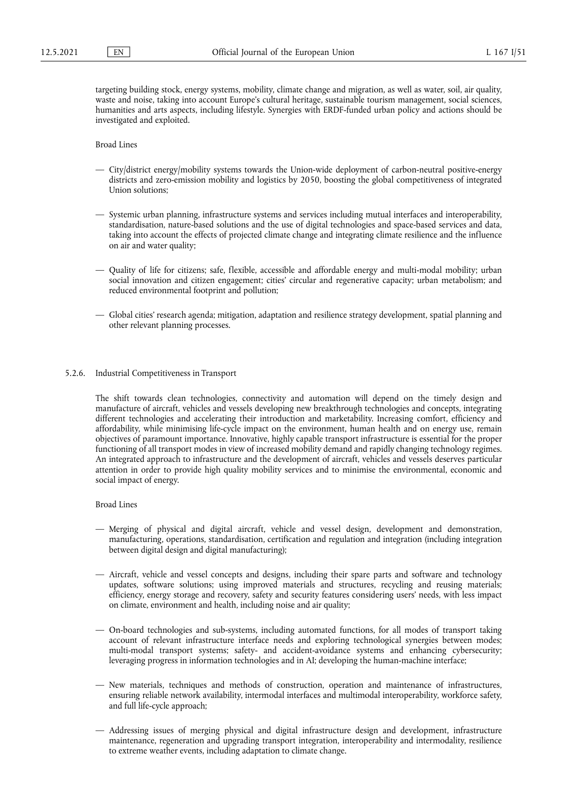targeting building stock, energy systems, mobility, climate change and migration, as well as water, soil, air quality, waste and noise, taking into account Europe's cultural heritage, sustainable tourism management, social sciences, humanities and arts aspects, including lifestyle. Synergies with ERDF-funded urban policy and actions should be investigated and exploited.

Broad Lines

- City/district energy/mobility systems towards the Union-wide deployment of carbon-neutral positive-energy districts and zero-emission mobility and logistics by 2050, boosting the global competitiveness of integrated Union solutions;
- Systemic urban planning, infrastructure systems and services including mutual interfaces and interoperability, standardisation, nature-based solutions and the use of digital technologies and space-based services and data, taking into account the effects of projected climate change and integrating climate resilience and the influence on air and water quality;
- Quality of life for citizens; safe, flexible, accessible and affordable energy and multi-modal mobility; urban social innovation and citizen engagement; cities' circular and regenerative capacity; urban metabolism; and reduced environmental footprint and pollution;
- Global cities' research agenda; mitigation, adaptation and resilience strategy development, spatial planning and other relevant planning processes.
- 5.2.6. Industrial Competitiveness in Transport

The shift towards clean technologies, connectivity and automation will depend on the timely design and manufacture of aircraft, vehicles and vessels developing new breakthrough technologies and concepts, integrating different technologies and accelerating their introduction and marketability. Increasing comfort, efficiency and affordability, while minimising life-cycle impact on the environment, human health and on energy use, remain objectives of paramount importance. Innovative, highly capable transport infrastructure is essential for the proper functioning of all transport modes in view of increased mobility demand and rapidly changing technology regimes. An integrated approach to infrastructure and the development of aircraft, vehicles and vessels deserves particular attention in order to provide high quality mobility services and to minimise the environmental, economic and social impact of energy.

- Merging of physical and digital aircraft, vehicle and vessel design, development and demonstration, manufacturing, operations, standardisation, certification and regulation and integration (including integration between digital design and digital manufacturing);
- Aircraft, vehicle and vessel concepts and designs, including their spare parts and software and technology updates, software solutions; using improved materials and structures, recycling and reusing materials; efficiency, energy storage and recovery, safety and security features considering users' needs, with less impact on climate, environment and health, including noise and air quality;
- On-board technologies and sub-systems, including automated functions, for all modes of transport taking account of relevant infrastructure interface needs and exploring technological synergies between modes; multi-modal transport systems; safety- and accident-avoidance systems and enhancing cybersecurity; leveraging progress in information technologies and in AI; developing the human-machine interface;
- New materials, techniques and methods of construction, operation and maintenance of infrastructures, ensuring reliable network availability, intermodal interfaces and multimodal interoperability, workforce safety, and full life-cycle approach;
- Addressing issues of merging physical and digital infrastructure design and development, infrastructure maintenance, regeneration and upgrading transport integration, interoperability and intermodality, resilience to extreme weather events, including adaptation to climate change.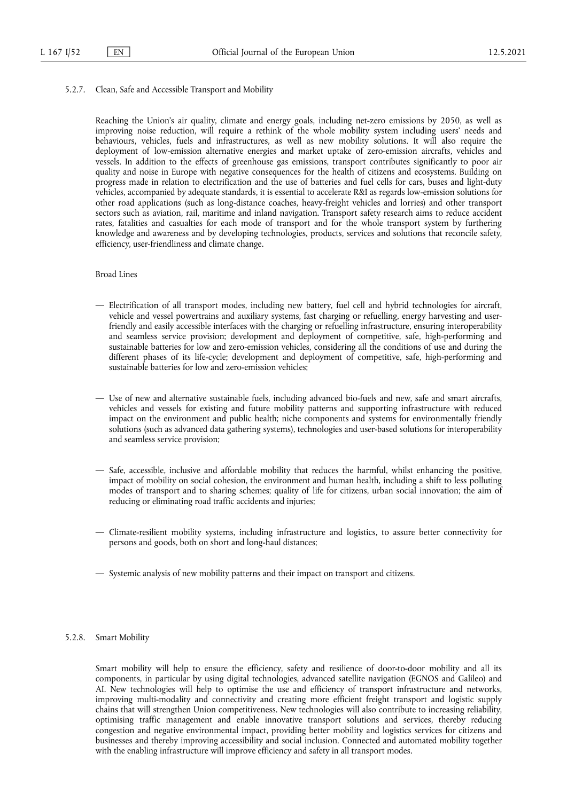5.2.7. Clean, Safe and Accessible Transport and Mobility

Reaching the Union's air quality, climate and energy goals, including net-zero emissions by 2050, as well as improving noise reduction, will require a rethink of the whole mobility system including users' needs and behaviours, vehicles, fuels and infrastructures, as well as new mobility solutions. It will also require the deployment of low-emission alternative energies and market uptake of zero-emission aircrafts, vehicles and vessels. In addition to the effects of greenhouse gas emissions, transport contributes significantly to poor air quality and noise in Europe with negative consequences for the health of citizens and ecosystems. Building on progress made in relation to electrification and the use of batteries and fuel cells for cars, buses and light-duty vehicles, accompanied by adequate standards, it is essential to accelerate R&I as regards low-emission solutions for other road applications (such as long-distance coaches, heavy-freight vehicles and lorries) and other transport sectors such as aviation, rail, maritime and inland navigation. Transport safety research aims to reduce accident rates, fatalities and casualties for each mode of transport and for the whole transport system by furthering knowledge and awareness and by developing technologies, products, services and solutions that reconcile safety, efficiency, user-friendliness and climate change.

## Broad Lines

- Electrification of all transport modes, including new battery, fuel cell and hybrid technologies for aircraft, vehicle and vessel powertrains and auxiliary systems, fast charging or refuelling, energy harvesting and userfriendly and easily accessible interfaces with the charging or refuelling infrastructure, ensuring interoperability and seamless service provision; development and deployment of competitive, safe, high-performing and sustainable batteries for low and zero-emission vehicles, considering all the conditions of use and during the different phases of its life-cycle; development and deployment of competitive, safe, high-performing and sustainable batteries for low and zero-emission vehicles;
- Use of new and alternative sustainable fuels, including advanced bio-fuels and new, safe and smart aircrafts, vehicles and vessels for existing and future mobility patterns and supporting infrastructure with reduced impact on the environment and public health; niche components and systems for environmentally friendly solutions (such as advanced data gathering systems), technologies and user-based solutions for interoperability and seamless service provision;
- Safe, accessible, inclusive and affordable mobility that reduces the harmful, whilst enhancing the positive, impact of mobility on social cohesion, the environment and human health, including a shift to less polluting modes of transport and to sharing schemes; quality of life for citizens, urban social innovation; the aim of reducing or eliminating road traffic accidents and injuries;
- Climate-resilient mobility systems, including infrastructure and logistics, to assure better connectivity for persons and goods, both on short and long-haul distances;
- Systemic analysis of new mobility patterns and their impact on transport and citizens.

### 5.2.8. Smart Mobility

Smart mobility will help to ensure the efficiency, safety and resilience of door-to-door mobility and all its components, in particular by using digital technologies, advanced satellite navigation (EGNOS and Galileo) and AI. New technologies will help to optimise the use and efficiency of transport infrastructure and networks, improving multi-modality and connectivity and creating more efficient freight transport and logistic supply chains that will strengthen Union competitiveness. New technologies will also contribute to increasing reliability, optimising traffic management and enable innovative transport solutions and services, thereby reducing congestion and negative environmental impact, providing better mobility and logistics services for citizens and businesses and thereby improving accessibility and social inclusion. Connected and automated mobility together with the enabling infrastructure will improve efficiency and safety in all transport modes.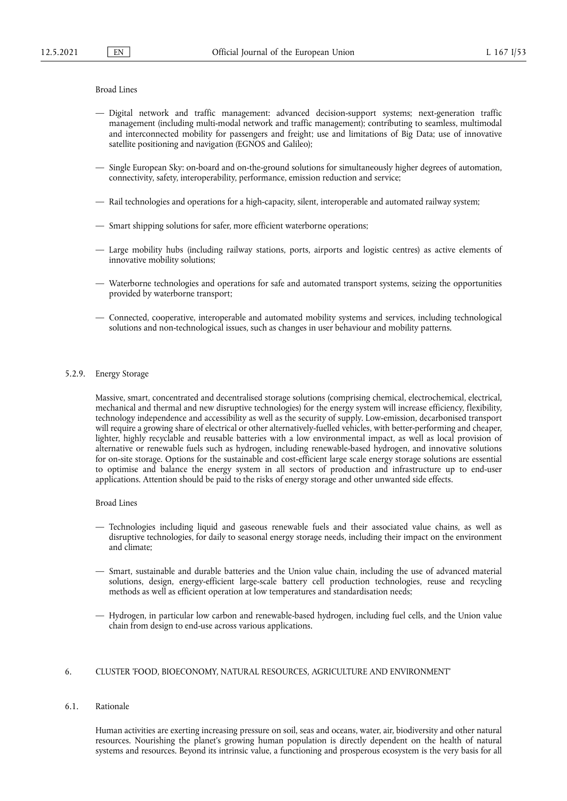# Broad Lines

- Digital network and traffic management: advanced decision-support systems; next-generation traffic management (including multi-modal network and traffic management); contributing to seamless, multimodal and interconnected mobility for passengers and freight; use and limitations of Big Data; use of innovative satellite positioning and navigation (EGNOS and Galileo);
- Single European Sky: on-board and on-the-ground solutions for simultaneously higher degrees of automation, connectivity, safety, interoperability, performance, emission reduction and service;
- Rail technologies and operations for a high-capacity, silent, interoperable and automated railway system;
- Smart shipping solutions for safer, more efficient waterborne operations;
- Large mobility hubs (including railway stations, ports, airports and logistic centres) as active elements of innovative mobility solutions;
- Waterborne technologies and operations for safe and automated transport systems, seizing the opportunities provided by waterborne transport;
- Connected, cooperative, interoperable and automated mobility systems and services, including technological solutions and non-technological issues, such as changes in user behaviour and mobility patterns.

# 5.2.9. Energy Storage

Massive, smart, concentrated and decentralised storage solutions (comprising chemical, electrochemical, electrical, mechanical and thermal and new disruptive technologies) for the energy system will increase efficiency, flexibility, technology independence and accessibility as well as the security of supply. Low-emission, decarbonised transport will require a growing share of electrical or other alternatively-fuelled vehicles, with better-performing and cheaper, lighter, highly recyclable and reusable batteries with a low environmental impact, as well as local provision of alternative or renewable fuels such as hydrogen, including renewable-based hydrogen, and innovative solutions for on-site storage. Options for the sustainable and cost-efficient large scale energy storage solutions are essential to optimise and balance the energy system in all sectors of production and infrastructure up to end-user applications. Attention should be paid to the risks of energy storage and other unwanted side effects.

#### Broad Lines

- Technologies including liquid and gaseous renewable fuels and their associated value chains, as well as disruptive technologies, for daily to seasonal energy storage needs, including their impact on the environment and climate;
- Smart, sustainable and durable batteries and the Union value chain, including the use of advanced material solutions, design, energy-efficient large-scale battery cell production technologies, reuse and recycling methods as well as efficient operation at low temperatures and standardisation needs;
- Hydrogen, in particular low carbon and renewable-based hydrogen, including fuel cells, and the Union value chain from design to end-use across various applications.

## 6. CLUSTER 'FOOD, BIOECONOMY, NATURAL RESOURCES, AGRICULTURE AND ENVIRONMENT'

# 6.1. Rationale

Human activities are exerting increasing pressure on soil, seas and oceans, water, air, biodiversity and other natural resources. Nourishing the planet's growing human population is directly dependent on the health of natural systems and resources. Beyond its intrinsic value, a functioning and prosperous ecosystem is the very basis for all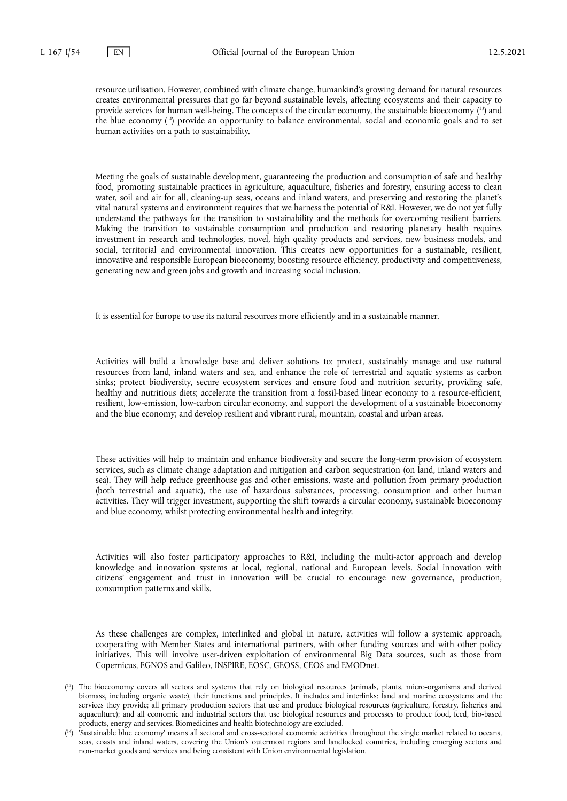<span id="page-53-3"></span><span id="page-53-2"></span>resource utilisation. However, combined with climate change, humankind's growing demand for natural resources creates environmental pressures that go far beyond sustainable levels, affecting ecosystems and their capacity to provide services for human well-being. The concepts of the circular economy, the sustainable bioeconomy (<sup>13</sup>) and the blue economy ( [14\)](#page-53-1) provide an opportunity to balance environmental, social and economic goals and to set human activities on a path to sustainability.

Meeting the goals of sustainable development, guaranteeing the production and consumption of safe and healthy food, promoting sustainable practices in agriculture, aquaculture, fisheries and forestry, ensuring access to clean water, soil and air for all, cleaning-up seas, oceans and inland waters, and preserving and restoring the planet's vital natural systems and environment requires that we harness the potential of R&I. However, we do not yet fully understand the pathways for the transition to sustainability and the methods for overcoming resilient barriers. Making the transition to sustainable consumption and production and restoring planetary health requires investment in research and technologies, novel, high quality products and services, new business models, and social, territorial and environmental innovation. This creates new opportunities for a sustainable, resilient, innovative and responsible European bioeconomy, boosting resource efficiency, productivity and competitiveness, generating new and green jobs and growth and increasing social inclusion.

It is essential for Europe to use its natural resources more efficiently and in a sustainable manner.

Activities will build a knowledge base and deliver solutions to: protect, sustainably manage and use natural resources from land, inland waters and sea, and enhance the role of terrestrial and aquatic systems as carbon sinks; protect biodiversity, secure ecosystem services and ensure food and nutrition security, providing safe, healthy and nutritious diets; accelerate the transition from a fossil-based linear economy to a resource-efficient, resilient, low-emission, low-carbon circular economy, and support the development of a sustainable bioeconomy and the blue economy; and develop resilient and vibrant rural, mountain, coastal and urban areas.

These activities will help to maintain and enhance biodiversity and secure the long-term provision of ecosystem services, such as climate change adaptation and mitigation and carbon sequestration (on land, inland waters and sea). They will help reduce greenhouse gas and other emissions, waste and pollution from primary production (both terrestrial and aquatic), the use of hazardous substances, processing, consumption and other human activities. They will trigger investment, supporting the shift towards a circular economy, sustainable bioeconomy and blue economy, whilst protecting environmental health and integrity.

Activities will also foster participatory approaches to R&I, including the multi-actor approach and develop knowledge and innovation systems at local, regional, national and European levels. Social innovation with citizens' engagement and trust in innovation will be crucial to encourage new governance, production, consumption patterns and skills.

As these challenges are complex, interlinked and global in nature, activities will follow a systemic approach, cooperating with Member States and international partners, with other funding sources and with other policy initiatives. This will involve user-driven exploitation of environmental Big Data sources, such as those from Copernicus, EGNOS and Galileo, INSPIRE, EOSC, GEOSS, CEOS and EMODnet.

<span id="page-53-0"></span><sup>(</sup> [13\)](#page-53-2) The bioeconomy covers all sectors and systems that rely on biological resources (animals, plants, micro-organisms and derived biomass, including organic waste), their functions and principles. It includes and interlinks: land and marine ecosystems and the services they provide; all primary production sectors that use and produce biological resources (agriculture, forestry, fisheries and aquaculture); and all economic and industrial sectors that use biological resources and processes to produce food, feed, bio-based products, energy and services. Biomedicines and health biotechnology are excluded.

<span id="page-53-1"></span><sup>(</sup> [14\)](#page-53-3) 'Sustainable blue economy' means all sectoral and cross-sectoral economic activities throughout the single market related to oceans, seas, coasts and inland waters, covering the Union's outermost regions and landlocked countries, including emerging sectors and non-market goods and services and being consistent with Union environmental legislation.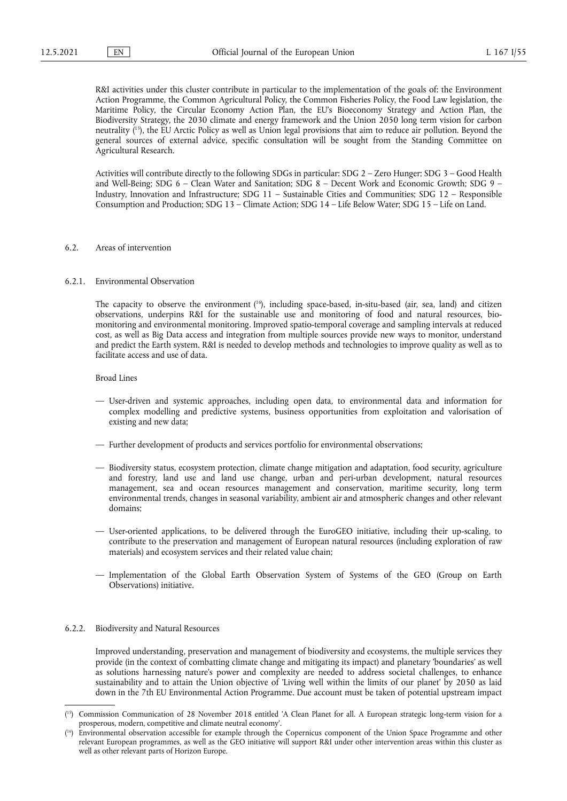<span id="page-54-2"></span>R&I activities under this cluster contribute in particular to the implementation of the goals of: the Environment Action Programme, the Common Agricultural Policy, the Common Fisheries Policy, the Food Law legislation, the Maritime Policy, the Circular Economy Action Plan, the EU's Bioeconomy Strategy and Action Plan, the Biodiversity Strategy, the 2030 climate and energy framework and the Union 2050 long term vision for carbon neutrality ( [15\)](#page-54-0), the EU Arctic Policy as well as Union legal provisions that aim to reduce air pollution. Beyond the general sources of external advice, specific consultation will be sought from the Standing Committee on Agricultural Research.

Activities will contribute directly to the following SDGs in particular: SDG 2 – Zero Hunger; SDG 3 – Good Health and Well-Being; SDG 6 – Clean Water and Sanitation; SDG 8 – Decent Work and Economic Growth; SDG 9 – Industry, Innovation and Infrastructure; SDG 11 – Sustainable Cities and Communities; SDG 12 – Responsible Consumption and Production; SDG 13 – Climate Action; SDG 14 – Life Below Water; SDG 15 – Life on Land.

## 6.2. Areas of intervention

#### 6.2.1. Environmental Observation

<span id="page-54-3"></span>The capacity to observe the environment ( [16\),](#page-54-1) including space-based, in-situ-based (air, sea, land) and citizen observations, underpins R&I for the sustainable use and monitoring of food and natural resources, biomonitoring and environmental monitoring. Improved spatio-temporal coverage and sampling intervals at reduced cost, as well as Big Data access and integration from multiple sources provide new ways to monitor, understand and predict the Earth system. R&I is needed to develop methods and technologies to improve quality as well as to facilitate access and use of data.

Broad Lines

- User-driven and systemic approaches, including open data, to environmental data and information for complex modelling and predictive systems, business opportunities from exploitation and valorisation of existing and new data;
- Further development of products and services portfolio for environmental observations;
- Biodiversity status, ecosystem protection, climate change mitigation and adaptation, food security, agriculture and forestry, land use and land use change, urban and peri-urban development, natural resources management, sea and ocean resources management and conservation, maritime security, long term environmental trends, changes in seasonal variability, ambient air and atmospheric changes and other relevant domains;
- User-oriented applications, to be delivered through the EuroGEO initiative, including their up-scaling, to contribute to the preservation and management of European natural resources (including exploration of raw materials) and ecosystem services and their related value chain;
- Implementation of the Global Earth Observation System of Systems of the GEO (Group on Earth Observations) initiative.

### 6.2.2. Biodiversity and Natural Resources

Improved understanding, preservation and management of biodiversity and ecosystems, the multiple services they provide (in the context of combatting climate change and mitigating its impact) and planetary 'boundaries' as well as solutions harnessing nature's power and complexity are needed to address societal challenges, to enhance sustainability and to attain the Union objective of 'Living well within the limits of our planet' by 2050 as laid down in the 7th EU Environmental Action Programme. Due account must be taken of potential upstream impact

<span id="page-54-0"></span><sup>(</sup> [15\)](#page-54-2) Commission Communication of 28 November 2018 entitled 'A Clean Planet for all. A European strategic long-term vision for a prosperous, modern, competitive and climate neutral economy'.

<span id="page-54-1"></span><sup>(</sup> [16\)](#page-54-3) Environmental observation accessible for example through the Copernicus component of the Union Space Programme and other relevant European programmes, as well as the GEO initiative will support R&I under other intervention areas within this cluster as well as other relevant parts of Horizon Europe.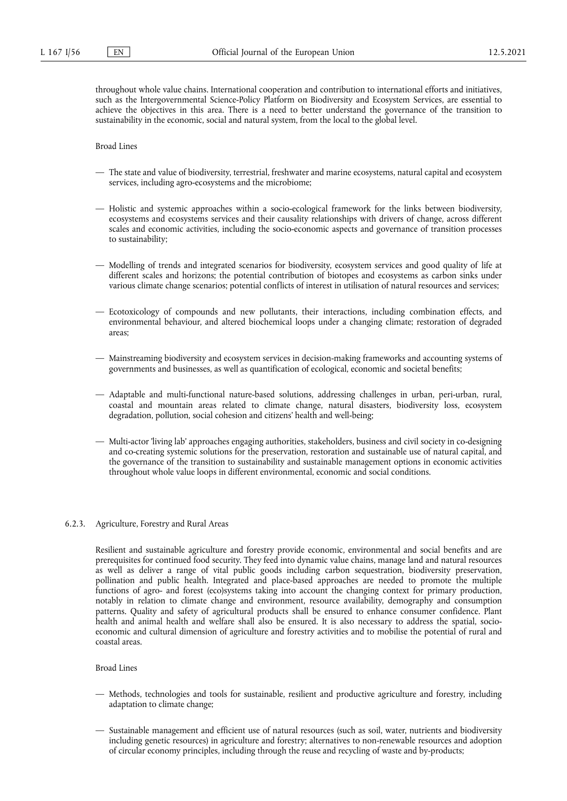throughout whole value chains. International cooperation and contribution to international efforts and initiatives, such as the Intergovernmental Science-Policy Platform on Biodiversity and Ecosystem Services, are essential to achieve the objectives in this area. There is a need to better understand the governance of the transition to sustainability in the economic, social and natural system, from the local to the global level.

Broad Lines

- The state and value of biodiversity, terrestrial, freshwater and marine ecosystems, natural capital and ecosystem services, including agro-ecosystems and the microbiome;
- Holistic and systemic approaches within a socio-ecological framework for the links between biodiversity, ecosystems and ecosystems services and their causality relationships with drivers of change, across different scales and economic activities, including the socio-economic aspects and governance of transition processes to sustainability;
- Modelling of trends and integrated scenarios for biodiversity, ecosystem services and good quality of life at different scales and horizons; the potential contribution of biotopes and ecosystems as carbon sinks under various climate change scenarios; potential conflicts of interest in utilisation of natural resources and services;
- Ecotoxicology of compounds and new pollutants, their interactions, including combination effects, and environmental behaviour, and altered biochemical loops under a changing climate; restoration of degraded areas;
- Mainstreaming biodiversity and ecosystem services in decision-making frameworks and accounting systems of governments and businesses, as well as quantification of ecological, economic and societal benefits;
- Adaptable and multi-functional nature-based solutions, addressing challenges in urban, peri-urban, rural, coastal and mountain areas related to climate change, natural disasters, biodiversity loss, ecosystem degradation, pollution, social cohesion and citizens' health and well-being;
- Multi-actor 'living lab' approaches engaging authorities, stakeholders, business and civil society in co-designing and co-creating systemic solutions for the preservation, restoration and sustainable use of natural capital, and the governance of the transition to sustainability and sustainable management options in economic activities throughout whole value loops in different environmental, economic and social conditions.

### 6.2.3. Agriculture, Forestry and Rural Areas

Resilient and sustainable agriculture and forestry provide economic, environmental and social benefits and are prerequisites for continued food security. They feed into dynamic value chains, manage land and natural resources as well as deliver a range of vital public goods including carbon sequestration, biodiversity preservation, pollination and public health. Integrated and place-based approaches are needed to promote the multiple functions of agro- and forest (eco)systems taking into account the changing context for primary production, notably in relation to climate change and environment, resource availability, demography and consumption patterns. Quality and safety of agricultural products shall be ensured to enhance consumer confidence. Plant health and animal health and welfare shall also be ensured. It is also necessary to address the spatial, socioeconomic and cultural dimension of agriculture and forestry activities and to mobilise the potential of rural and coastal areas.

- Methods, technologies and tools for sustainable, resilient and productive agriculture and forestry, including adaptation to climate change;
- Sustainable management and efficient use of natural resources (such as soil, water, nutrients and biodiversity including genetic resources) in agriculture and forestry; alternatives to non-renewable resources and adoption of circular economy principles, including through the reuse and recycling of waste and by-products;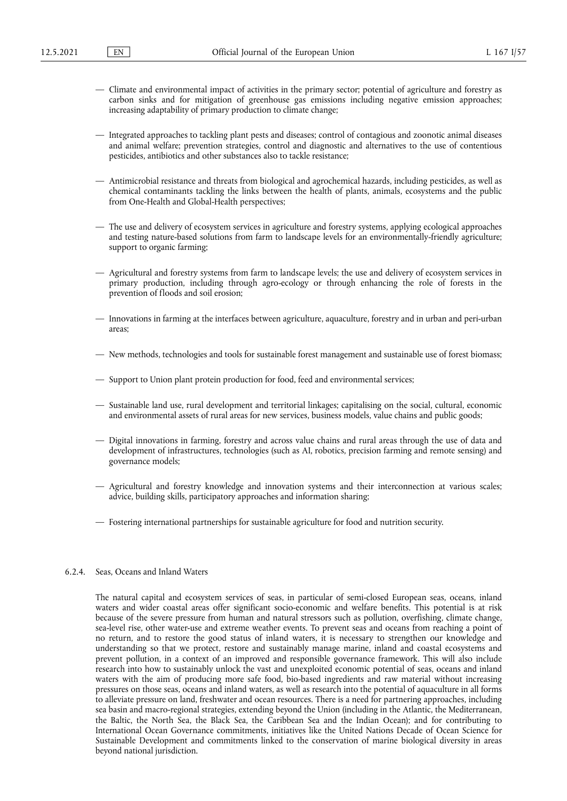- Climate and environmental impact of activities in the primary sector; potential of agriculture and forestry as carbon sinks and for mitigation of greenhouse gas emissions including negative emission approaches; increasing adaptability of primary production to climate change;
- Integrated approaches to tackling plant pests and diseases; control of contagious and zoonotic animal diseases and animal welfare; prevention strategies, control and diagnostic and alternatives to the use of contentious pesticides, antibiotics and other substances also to tackle resistance;
- Antimicrobial resistance and threats from biological and agrochemical hazards, including pesticides, as well as chemical contaminants tackling the links between the health of plants, animals, ecosystems and the public from One-Health and Global-Health perspectives;
- The use and delivery of ecosystem services in agriculture and forestry systems, applying ecological approaches and testing nature-based solutions from farm to landscape levels for an environmentally-friendly agriculture; support to organic farming;
- Agricultural and forestry systems from farm to landscape levels; the use and delivery of ecosystem services in primary production, including through agro-ecology or through enhancing the role of forests in the prevention of floods and soil erosion;
- Innovations in farming at the interfaces between agriculture, aquaculture, forestry and in urban and peri-urban areas;
- New methods, technologies and tools for sustainable forest management and sustainable use of forest biomass;
- Support to Union plant protein production for food, feed and environmental services;
- Sustainable land use, rural development and territorial linkages; capitalising on the social, cultural, economic and environmental assets of rural areas for new services, business models, value chains and public goods;
- Digital innovations in farming, forestry and across value chains and rural areas through the use of data and development of infrastructures, technologies (such as AI, robotics, precision farming and remote sensing) and governance models;
- Agricultural and forestry knowledge and innovation systems and their interconnection at various scales; advice, building skills, participatory approaches and information sharing;
- Fostering international partnerships for sustainable agriculture for food and nutrition security.

## 6.2.4. Seas, Oceans and Inland Waters

The natural capital and ecosystem services of seas, in particular of semi-closed European seas, oceans, inland waters and wider coastal areas offer significant socio-economic and welfare benefits. This potential is at risk because of the severe pressure from human and natural stressors such as pollution, overfishing, climate change, sea-level rise, other water-use and extreme weather events. To prevent seas and oceans from reaching a point of no return, and to restore the good status of inland waters, it is necessary to strengthen our knowledge and understanding so that we protect, restore and sustainably manage marine, inland and coastal ecosystems and prevent pollution, in a context of an improved and responsible governance framework. This will also include research into how to sustainably unlock the vast and unexploited economic potential of seas, oceans and inland waters with the aim of producing more safe food, bio-based ingredients and raw material without increasing pressures on those seas, oceans and inland waters, as well as research into the potential of aquaculture in all forms to alleviate pressure on land, freshwater and ocean resources. There is a need for partnering approaches, including sea basin and macro-regional strategies, extending beyond the Union (including in the Atlantic, the Mediterranean, the Baltic, the North Sea, the Black Sea, the Caribbean Sea and the Indian Ocean); and for contributing to International Ocean Governance commitments, initiatives like the United Nations Decade of Ocean Science for Sustainable Development and commitments linked to the conservation of marine biological diversity in areas beyond national jurisdiction.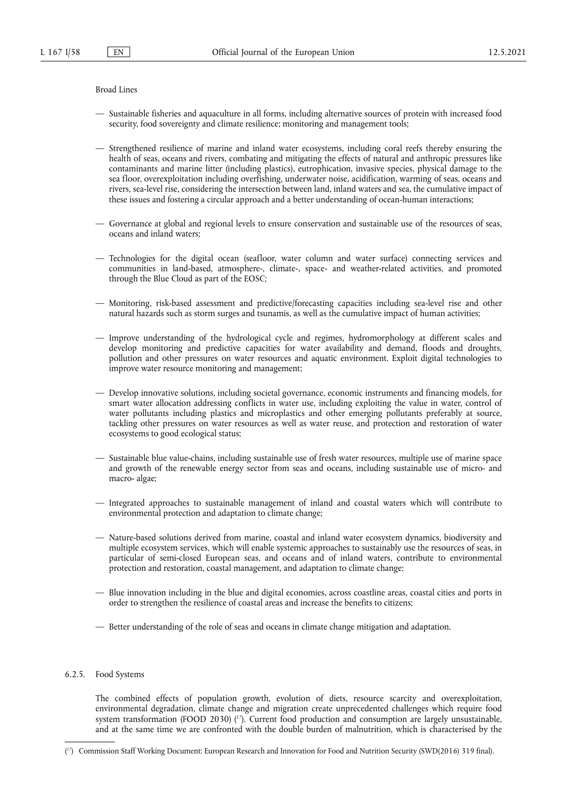Broad Lines

- Sustainable fisheries and aquaculture in all forms, including alternative sources of protein with increased food security, food sovereignty and climate resilience; monitoring and management tools;
- Strengthened resilience of marine and inland water ecosystems, including coral reefs thereby ensuring the health of seas, oceans and rivers, combating and mitigating the effects of natural and anthropic pressures like contaminants and marine litter (including plastics), eutrophication, invasive species, physical damage to the sea floor, overexploitation including overfishing, underwater noise, acidification, warming of seas, oceans and rivers, sea-level rise, considering the intersection between land, inland waters and sea, the cumulative impact of these issues and fostering a circular approach and a better understanding of ocean-human interactions;
- Governance at global and regional levels to ensure conservation and sustainable use of the resources of seas, oceans and inland waters;
- Technologies for the digital ocean (seafloor, water column and water surface) connecting services and communities in land-based, atmosphere-, climate-, space- and weather-related activities, and promoted through the Blue Cloud as part of the EOSC;
- Monitoring, risk-based assessment and predictive/forecasting capacities including sea-level rise and other natural hazards such as storm surges and tsunamis, as well as the cumulative impact of human activities;
- Improve understanding of the hydrological cycle and regimes, hydromorphology at different scales and develop monitoring and predictive capacities for water availability and demand, floods and droughts, pollution and other pressures on water resources and aquatic environment. Exploit digital technologies to improve water resource monitoring and management;
- Develop innovative solutions, including societal governance, economic instruments and financing models, for smart water allocation addressing conflicts in water use, including exploiting the value in water, control of water pollutants including plastics and microplastics and other emerging pollutants preferably at source, tackling other pressures on water resources as well as water reuse, and protection and restoration of water ecosystems to good ecological status;
- Sustainable blue value-chains, including sustainable use of fresh water resources, multiple use of marine space and growth of the renewable energy sector from seas and oceans, including sustainable use of micro- and macro- algae;
- Integrated approaches to sustainable management of inland and coastal waters which will contribute to environmental protection and adaptation to climate change;
- Nature-based solutions derived from marine, coastal and inland water ecosystem dynamics, biodiversity and multiple ecosystem services, which will enable systemic approaches to sustainably use the resources of seas, in particular of semi-closed European seas, and oceans and of inland waters, contribute to environmental protection and restoration, coastal management, and adaptation to climate change;
- Blue innovation including in the blue and digital economies, across coastline areas, coastal cities and ports in order to strengthen the resilience of coastal areas and increase the benefits to citizens;
- Better understanding of the role of seas and oceans in climate change mitigation and adaptation.

## 6.2.5. Food Systems

<span id="page-57-1"></span>The combined effects of population growth, evolution of diets, resource scarcity and overexploitation, environmental degradation, climate change and migration create unprecedented challenges which require food system transformation (FOOD 2030) (<sup>17</sup>). Current food production and consumption are largely unsustainable, and at the same time we are confronted with the double burden of malnutrition, which is characterised by the

<span id="page-57-0"></span><sup>(</sup> [17\)](#page-57-1) Commission Staff Working Document: European Research and Innovation for Food and Nutrition Security (SWD(2016) 319 final).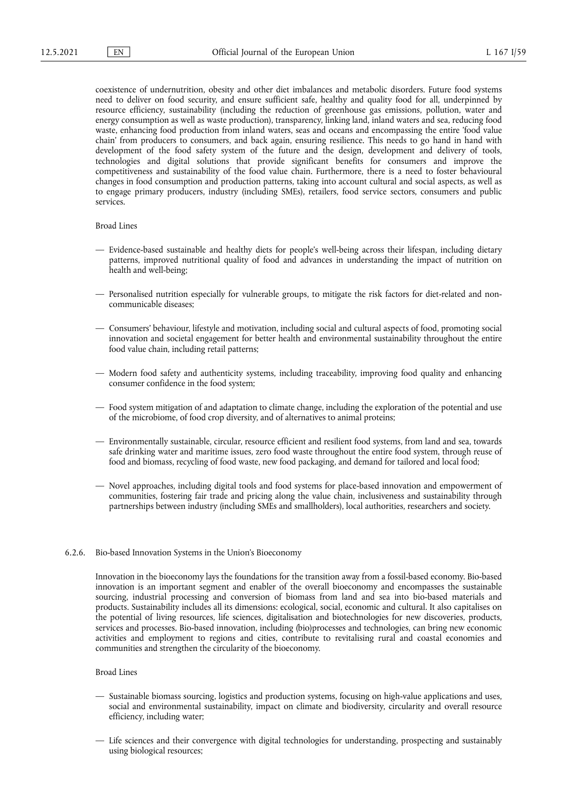coexistence of undernutrition, obesity and other diet imbalances and metabolic disorders. Future food systems need to deliver on food security, and ensure sufficient safe, healthy and quality food for all, underpinned by resource efficiency, sustainability (including the reduction of greenhouse gas emissions, pollution, water and energy consumption as well as waste production), transparency, linking land, inland waters and sea, reducing food waste, enhancing food production from inland waters, seas and oceans and encompassing the entire 'food value chain' from producers to consumers, and back again, ensuring resilience. This needs to go hand in hand with development of the food safety system of the future and the design, development and delivery of tools, technologies and digital solutions that provide significant benefits for consumers and improve the competitiveness and sustainability of the food value chain. Furthermore, there is a need to foster behavioural changes in food consumption and production patterns, taking into account cultural and social aspects, as well as to engage primary producers, industry (including SMEs), retailers, food service sectors, consumers and public services.

# Broad Lines

- Evidence-based sustainable and healthy diets for people's well-being across their lifespan, including dietary patterns, improved nutritional quality of food and advances in understanding the impact of nutrition on health and well-being;
- Personalised nutrition especially for vulnerable groups, to mitigate the risk factors for diet-related and noncommunicable diseases;
- Consumers' behaviour, lifestyle and motivation, including social and cultural aspects of food, promoting social innovation and societal engagement for better health and environmental sustainability throughout the entire food value chain, including retail patterns;
- Modern food safety and authenticity systems, including traceability, improving food quality and enhancing consumer confidence in the food system;
- Food system mitigation of and adaptation to climate change, including the exploration of the potential and use of the microbiome, of food crop diversity, and of alternatives to animal proteins;
- Environmentally sustainable, circular, resource efficient and resilient food systems, from land and sea, towards safe drinking water and maritime issues, zero food waste throughout the entire food system, through reuse of food and biomass, recycling of food waste, new food packaging, and demand for tailored and local food;
- Novel approaches, including digital tools and food systems for place-based innovation and empowerment of communities, fostering fair trade and pricing along the value chain, inclusiveness and sustainability through partnerships between industry (including SMEs and smallholders), local authorities, researchers and society.

## 6.2.6. Bio-based Innovation Systems in the Union's Bioeconomy

Innovation in the bioeconomy lays the foundations for the transition away from a fossil-based economy. Bio-based innovation is an important segment and enabler of the overall bioeconomy and encompasses the sustainable sourcing, industrial processing and conversion of biomass from land and sea into bio-based materials and products. Sustainability includes all its dimensions: ecological, social, economic and cultural. It also capitalises on the potential of living resources, life sciences, digitalisation and biotechnologies for new discoveries, products, services and processes. Bio-based innovation, including (bio)processes and technologies, can bring new economic activities and employment to regions and cities, contribute to revitalising rural and coastal economies and communities and strengthen the circularity of the bioeconomy.

- Sustainable biomass sourcing, logistics and production systems, focusing on high-value applications and uses, social and environmental sustainability, impact on climate and biodiversity, circularity and overall resource efficiency, including water;
- Life sciences and their convergence with digital technologies for understanding, prospecting and sustainably using biological resources;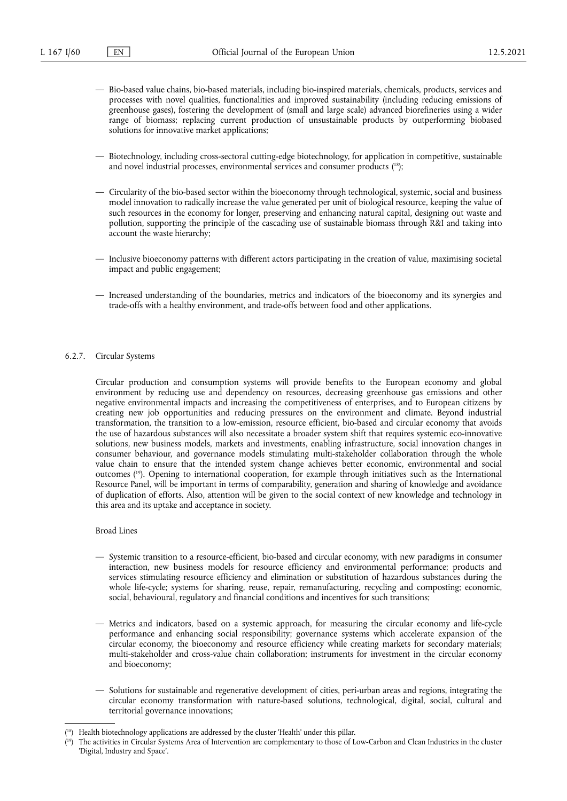- Bio-based value chains, bio-based materials, including bio-inspired materials, chemicals, products, services and processes with novel qualities, functionalities and improved sustainability (including reducing emissions of greenhouse gases), fostering the development of (small and large scale) advanced biorefineries using a wider range of biomass; replacing current production of unsustainable products by outperforming biobased solutions for innovative market applications;
- <span id="page-59-2"></span>— Biotechnology, including cross-sectoral cutting-edge biotechnology, for application in competitive, sustainable and novel industrial processes, environmental services and consumer products ( [18\)](#page-59-0);
- Circularity of the bio-based sector within the bioeconomy through technological, systemic, social and business model innovation to radically increase the value generated per unit of biological resource, keeping the value of such resources in the economy for longer, preserving and enhancing natural capital, designing out waste and pollution, supporting the principle of the cascading use of sustainable biomass through R&I and taking into account the waste hierarchy;
- Inclusive bioeconomy patterns with different actors participating in the creation of value, maximising societal impact and public engagement;
- Increased understanding of the boundaries, metrics and indicators of the bioeconomy and its synergies and trade-offs with a healthy environment, and trade-offs between food and other applications.

### 6.2.7. Circular Systems

Circular production and consumption systems will provide benefits to the European economy and global environment by reducing use and dependency on resources, decreasing greenhouse gas emissions and other negative environmental impacts and increasing the competitiveness of enterprises, and to European citizens by creating new job opportunities and reducing pressures on the environment and climate. Beyond industrial transformation, the transition to a low-emission, resource efficient, bio-based and circular economy that avoids the use of hazardous substances will also necessitate a broader system shift that requires systemic eco-innovative solutions, new business models, markets and investments, enabling infrastructure, social innovation changes in consumer behaviour, and governance models stimulating multi-stakeholder collaboration through the whole value chain to ensure that the intended system change achieves better economic, environmental and social outcomes ( [19\)](#page-59-1). Opening to international cooperation, for example through initiatives such as the International Resource Panel, will be important in terms of comparability, generation and sharing of knowledge and avoidance of duplication of efforts. Also, attention will be given to the social context of new knowledge and technology in this area and its uptake and acceptance in society.

- <span id="page-59-3"></span>— Systemic transition to a resource-efficient, bio-based and circular economy, with new paradigms in consumer interaction, new business models for resource efficiency and environmental performance; products and services stimulating resource efficiency and elimination or substitution of hazardous substances during the whole life-cycle; systems for sharing, reuse, repair, remanufacturing, recycling and composting; economic, social, behavioural, regulatory and financial conditions and incentives for such transitions;
- Metrics and indicators, based on a systemic approach, for measuring the circular economy and life-cycle performance and enhancing social responsibility; governance systems which accelerate expansion of the circular economy, the bioeconomy and resource efficiency while creating markets for secondary materials; multi-stakeholder and cross-value chain collaboration; instruments for investment in the circular economy and bioeconomy;
- Solutions for sustainable and regenerative development of cities, peri-urban areas and regions, integrating the circular economy transformation with nature-based solutions, technological, digital, social, cultural and territorial governance innovations;

<span id="page-59-0"></span><sup>(</sup> [18\)](#page-59-2) Health biotechnology applications are addressed by the cluster 'Health' under this pillar.

<span id="page-59-1"></span><sup>(</sup> The activities in Circular Systems Area of Intervention are complementary to those of Low-Carbon and Clean Industries in the cluster 'Digital, Industry and Space'.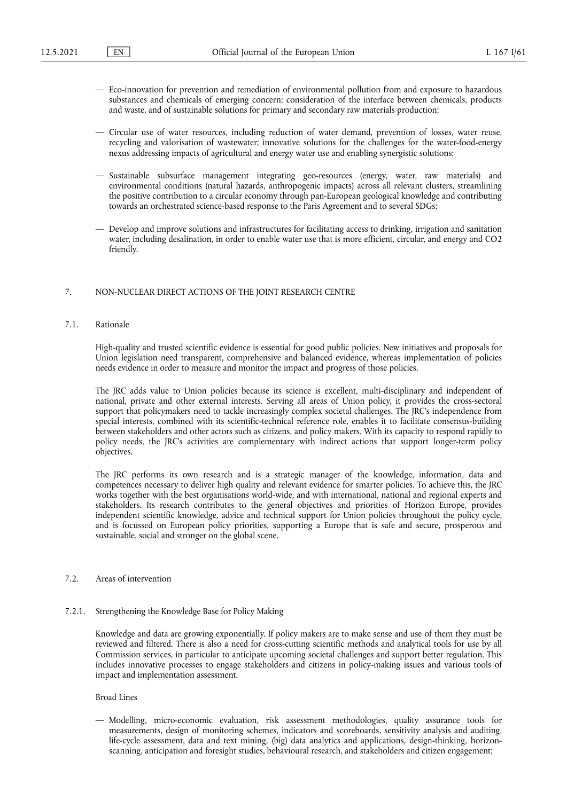- Eco-innovation for prevention and remediation of environmental pollution from and exposure to hazardous substances and chemicals of emerging concern; consideration of the interface between chemicals, products and waste, and of sustainable solutions for primary and secondary raw materials production;
- Circular use of water resources, including reduction of water demand, prevention of losses, water reuse, recycling and valorisation of wastewater; innovative solutions for the challenges for the water-food-energy nexus addressing impacts of agricultural and energy water use and enabling synergistic solutions;
- Sustainable subsurface management integrating geo-resources (energy, water, raw materials) and environmental conditions (natural hazards, anthropogenic impacts) across all relevant clusters, streamlining the positive contribution to a circular economy through pan-European geological knowledge and contributing towards an orchestrated science-based response to the Paris Agreement and to several SDGs;
- Develop and improve solutions and infrastructures for facilitating access to drinking, irrigation and sanitation water, including desalination, in order to enable water use that is more efficient, circular, and energy and CO2 friendly.

### 7. NON-NUCLEAR DIRECT ACTIONS OF THE JOINT RESEARCH CENTRE

# 7.1. Rationale

High-quality and trusted scientific evidence is essential for good public policies. New initiatives and proposals for Union legislation need transparent, comprehensive and balanced evidence, whereas implementation of policies needs evidence in order to measure and monitor the impact and progress of those policies.

The JRC adds value to Union policies because its science is excellent, multi-disciplinary and independent of national, private and other external interests. Serving all areas of Union policy, it provides the cross-sectoral support that policymakers need to tackle increasingly complex societal challenges. The JRC's independence from special interests, combined with its scientific-technical reference role, enables it to facilitate consensus-building between stakeholders and other actors such as citizens, and policy makers. With its capacity to respond rapidly to policy needs, the JRC's activities are complementary with indirect actions that support longer-term policy objectives.

The JRC performs its own research and is a strategic manager of the knowledge, information, data and competences necessary to deliver high quality and relevant evidence for smarter policies. To achieve this, the JRC works together with the best organisations world-wide, and with international, national and regional experts and stakeholders. Its research contributes to the general objectives and priorities of Horizon Europe, provides independent scientific knowledge, advice and technical support for Union policies throughout the policy cycle, and is focussed on European policy priorities, supporting a Europe that is safe and secure, prosperous and sustainable, social and stronger on the global scene.

# 7.2. Areas of intervention

#### 7.2.1. Strengthening the Knowledge Base for Policy Making

Knowledge and data are growing exponentially. If policy makers are to make sense and use of them they must be reviewed and filtered. There is also a need for cross-cutting scientific methods and analytical tools for use by all Commission services, in particular to anticipate upcoming societal challenges and support better regulation. This includes innovative processes to engage stakeholders and citizens in policy-making issues and various tools of impact and implementation assessment.

## Broad Lines

— Modelling, micro-economic evaluation, risk assessment methodologies, quality assurance tools for measurements, design of monitoring schemes, indicators and scoreboards, sensitivity analysis and auditing, life-cycle assessment, data and text mining, (big) data analytics and applications, design-thinking, horizonscanning, anticipation and foresight studies, behavioural research, and stakeholders and citizen engagement;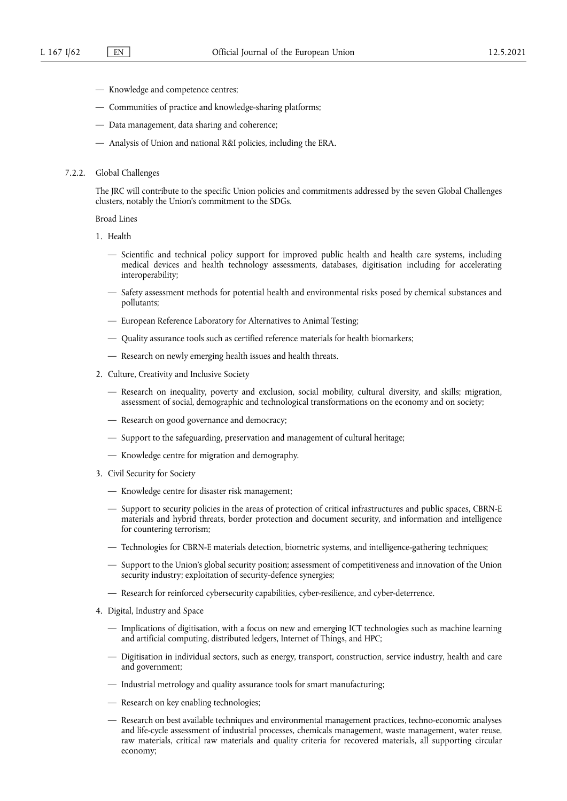- Knowledge and competence centres;
- Communities of practice and knowledge-sharing platforms;
- Data management, data sharing and coherence;
- Analysis of Union and national R&I policies, including the ERA.

### 7.2.2. Global Challenges

The JRC will contribute to the specific Union policies and commitments addressed by the seven Global Challenges clusters, notably the Union's commitment to the SDGs.

- 1. Health
	- Scientific and technical policy support for improved public health and health care systems, including medical devices and health technology assessments, databases, digitisation including for accelerating interoperability;
	- Safety assessment methods for potential health and environmental risks posed by chemical substances and pollutants;
	- European Reference Laboratory for Alternatives to Animal Testing;
	- Quality assurance tools such as certified reference materials for health biomarkers;
	- Research on newly emerging health issues and health threats.
- 2. Culture, Creativity and Inclusive Society
	- Research on inequality, poverty and exclusion, social mobility, cultural diversity, and skills; migration, assessment of social, demographic and technological transformations on the economy and on society;
	- Research on good governance and democracy;
	- Support to the safeguarding, preservation and management of cultural heritage;
	- Knowledge centre for migration and demography.
- 3. Civil Security for Society
	- Knowledge centre for disaster risk management;
	- Support to security policies in the areas of protection of critical infrastructures and public spaces, CBRN-E materials and hybrid threats, border protection and document security, and information and intelligence for countering terrorism;
	- Technologies for CBRN-E materials detection, biometric systems, and intelligence-gathering techniques;
	- Support to the Union's global security position; assessment of competitiveness and innovation of the Union security industry; exploitation of security-defence synergies;
	- Research for reinforced cybersecurity capabilities, cyber-resilience, and cyber-deterrence.
- 4. Digital, Industry and Space
	- Implications of digitisation, with a focus on new and emerging ICT technologies such as machine learning and artificial computing, distributed ledgers, Internet of Things, and HPC;
	- Digitisation in individual sectors, such as energy, transport, construction, service industry, health and care and government;
	- Industrial metrology and quality assurance tools for smart manufacturing;
	- Research on key enabling technologies;
	- Research on best available techniques and environmental management practices, techno-economic analyses and life-cycle assessment of industrial processes, chemicals management, waste management, water reuse, raw materials, critical raw materials and quality criteria for recovered materials, all supporting circular economy;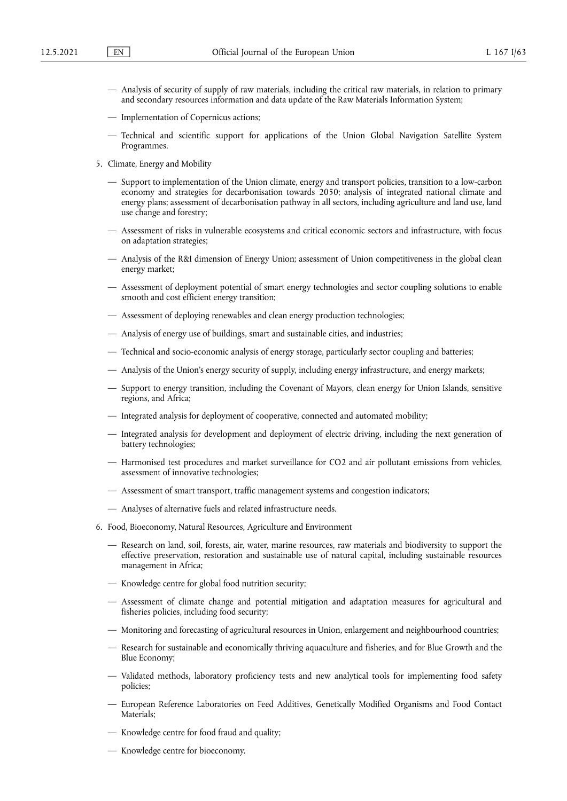- Analysis of security of supply of raw materials, including the critical raw materials, in relation to primary and secondary resources information and data update of the Raw Materials Information System;
- Implementation of Copernicus actions;
- Technical and scientific support for applications of the Union Global Navigation Satellite System Programmes.
- 5. Climate, Energy and Mobility
	- Support to implementation of the Union climate, energy and transport policies, transition to a low-carbon economy and strategies for decarbonisation towards 2050; analysis of integrated national climate and energy plans; assessment of decarbonisation pathway in all sectors, including agriculture and land use, land use change and forestry;
	- Assessment of risks in vulnerable ecosystems and critical economic sectors and infrastructure, with focus on adaptation strategies;
	- Analysis of the R&I dimension of Energy Union; assessment of Union competitiveness in the global clean energy market;
	- Assessment of deployment potential of smart energy technologies and sector coupling solutions to enable smooth and cost efficient energy transition;
	- Assessment of deploying renewables and clean energy production technologies;
	- Analysis of energy use of buildings, smart and sustainable cities, and industries;
	- Technical and socio-economic analysis of energy storage, particularly sector coupling and batteries;
	- Analysis of the Union's energy security of supply, including energy infrastructure, and energy markets;
	- Support to energy transition, including the Covenant of Mayors, clean energy for Union Islands, sensitive regions, and Africa;
	- Integrated analysis for deployment of cooperative, connected and automated mobility;
	- Integrated analysis for development and deployment of electric driving, including the next generation of battery technologies;
	- Harmonised test procedures and market surveillance for CO2 and air pollutant emissions from vehicles, assessment of innovative technologies;
	- Assessment of smart transport, traffic management systems and congestion indicators;
	- Analyses of alternative fuels and related infrastructure needs.
- 6. Food, Bioeconomy, Natural Resources, Agriculture and Environment
	- Research on land, soil, forests, air, water, marine resources, raw materials and biodiversity to support the effective preservation, restoration and sustainable use of natural capital, including sustainable resources management in Africa;
	- Knowledge centre for global food nutrition security;
	- Assessment of climate change and potential mitigation and adaptation measures for agricultural and fisheries policies, including food security;
	- Monitoring and forecasting of agricultural resources in Union, enlargement and neighbourhood countries;
	- Research for sustainable and economically thriving aquaculture and fisheries, and for Blue Growth and the Blue Economy;
	- Validated methods, laboratory proficiency tests and new analytical tools for implementing food safety policies;
	- European Reference Laboratories on Feed Additives, Genetically Modified Organisms and Food Contact Materials;
	- Knowledge centre for food fraud and quality;
	- Knowledge centre for bioeconomy.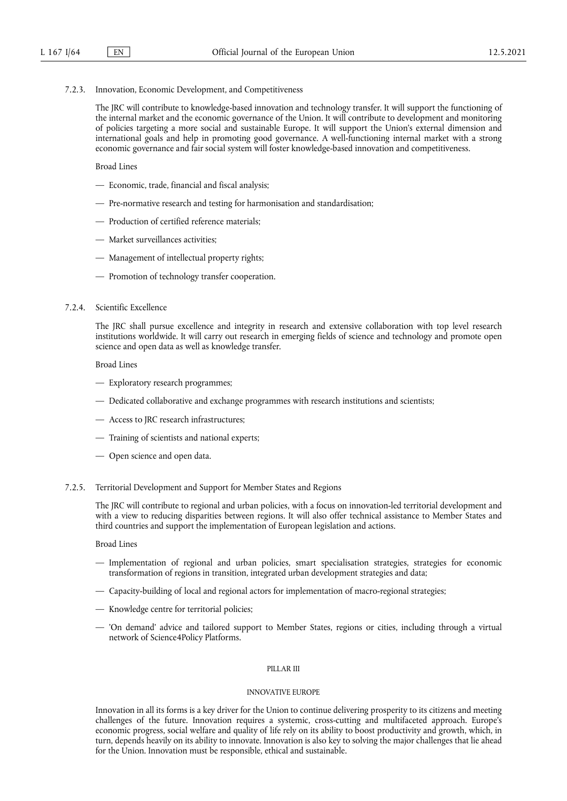7.2.3. Innovation, Economic Development, and Competitiveness

The JRC will contribute to knowledge-based innovation and technology transfer. It will support the functioning of the internal market and the economic governance of the Union. It will contribute to development and monitoring of policies targeting a more social and sustainable Europe. It will support the Union's external dimension and international goals and help in promoting good governance. A well-functioning internal market with a strong economic governance and fair social system will foster knowledge-based innovation and competitiveness.

Broad Lines

- Economic, trade, financial and fiscal analysis;
- Pre-normative research and testing for harmonisation and standardisation;
- Production of certified reference materials;
- Market surveillances activities;
- Management of intellectual property rights;
- Promotion of technology transfer cooperation.

# 7.2.4. Scientific Excellence

The JRC shall pursue excellence and integrity in research and extensive collaboration with top level research institutions worldwide. It will carry out research in emerging fields of science and technology and promote open science and open data as well as knowledge transfer.

Broad Lines

- Exploratory research programmes;
- Dedicated collaborative and exchange programmes with research institutions and scientists;
- Access to JRC research infrastructures;
- Training of scientists and national experts;
- Open science and open data.
- 7.2.5. Territorial Development and Support for Member States and Regions

The JRC will contribute to regional and urban policies, with a focus on innovation-led territorial development and with a view to reducing disparities between regions. It will also offer technical assistance to Member States and third countries and support the implementation of European legislation and actions.

#### Broad Lines

- Implementation of regional and urban policies, smart specialisation strategies, strategies for economic transformation of regions in transition, integrated urban development strategies and data;
- Capacity-building of local and regional actors for implementation of macro-regional strategies;
- Knowledge centre for territorial policies;
- 'On demand' advice and tailored support to Member States, regions or cities, including through a virtual network of Science4Policy Platforms.

### PILL AR III

# INNOVATIVE EUROPE

Innovation in all its forms is a key driver for the Union to continue delivering prosperity to its citizens and meeting challenges of the future. Innovation requires a systemic, cross-cutting and multifaceted approach. Europe's economic progress, social welfare and quality of life rely on its ability to boost productivity and growth, which, in turn, depends heavily on its ability to innovate. Innovation is also key to solving the major challenges that lie ahead for the Union. Innovation must be responsible, ethical and sustainable.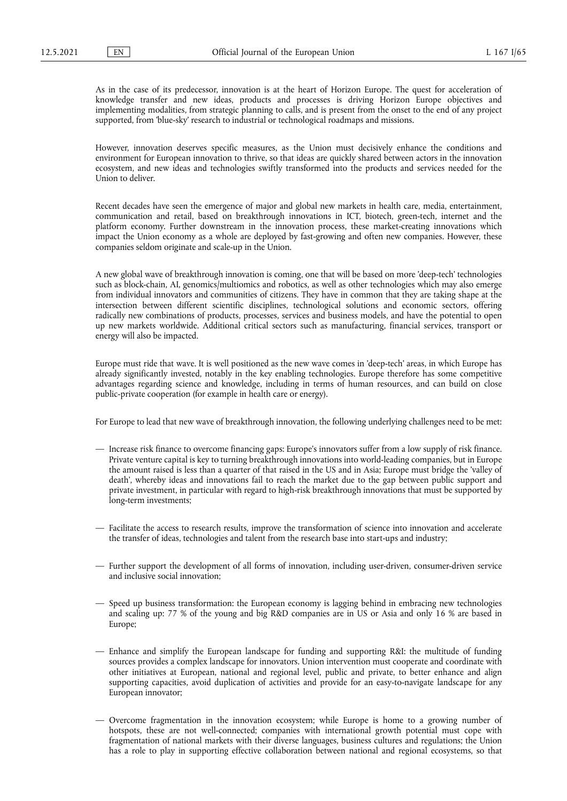As in the case of its predecessor, innovation is at the heart of Horizon Europe. The quest for acceleration of knowledge transfer and new ideas, products and processes is driving Horizon Europe objectives and implementing modalities, from strategic planning to calls, and is present from the onset to the end of any project supported, from 'blue-sky' research to industrial or technological roadmaps and missions.

However, innovation deserves specific measures, as the Union must decisively enhance the conditions and environment for European innovation to thrive, so that ideas are quickly shared between actors in the innovation ecosystem, and new ideas and technologies swiftly transformed into the products and services needed for the Union to deliver.

Recent decades have seen the emergence of major and global new markets in health care, media, entertainment, communication and retail, based on breakthrough innovations in ICT, biotech, green-tech, internet and the platform economy. Further downstream in the innovation process, these market-creating innovations which impact the Union economy as a whole are deployed by fast-growing and often new companies. However, these companies seldom originate and scale-up in the Union.

A new global wave of breakthrough innovation is coming, one that will be based on more 'deep-tech' technologies such as block-chain, AI, genomics/multiomics and robotics, as well as other technologies which may also emerge from individual innovators and communities of citizens. They have in common that they are taking shape at the intersection between different scientific disciplines, technological solutions and economic sectors, offering radically new combinations of products, processes, services and business models, and have the potential to open up new markets worldwide. Additional critical sectors such as manufacturing, financial services, transport or energy will also be impacted.

Europe must ride that wave. It is well positioned as the new wave comes in 'deep-tech' areas, in which Europe has already significantly invested, notably in the key enabling technologies. Europe therefore has some competitive advantages regarding science and knowledge, including in terms of human resources, and can build on close public-private cooperation (for example in health care or energy).

For Europe to lead that new wave of breakthrough innovation, the following underlying challenges need to be met:

- Increase risk finance to overcome financing gaps: Europe's innovators suffer from a low supply of risk finance. Private venture capital is key to turning breakthrough innovations into world-leading companies, but in Europe the amount raised is less than a quarter of that raised in the US and in Asia; Europe must bridge the 'valley of death', whereby ideas and innovations fail to reach the market due to the gap between public support and private investment, in particular with regard to high-risk breakthrough innovations that must be supported by long-term investments;
- Facilitate the access to research results, improve the transformation of science into innovation and accelerate the transfer of ideas, technologies and talent from the research base into start-ups and industry;
- Further support the development of all forms of innovation, including user-driven, consumer-driven service and inclusive social innovation;
- Speed up business transformation: the European economy is lagging behind in embracing new technologies and scaling up: 77 % of the young and big R&D companies are in US or Asia and only 16 % are based in Europe;
- Enhance and simplify the European landscape for funding and supporting R&I: the multitude of funding sources provides a complex landscape for innovators. Union intervention must cooperate and coordinate with other initiatives at European, national and regional level, public and private, to better enhance and align supporting capacities, avoid duplication of activities and provide for an easy-to-navigate landscape for any European innovator;
- Overcome fragmentation in the innovation ecosystem; while Europe is home to a growing number of hotspots, these are not well-connected; companies with international growth potential must cope with fragmentation of national markets with their diverse languages, business cultures and regulations; the Union has a role to play in supporting effective collaboration between national and regional ecosystems, so that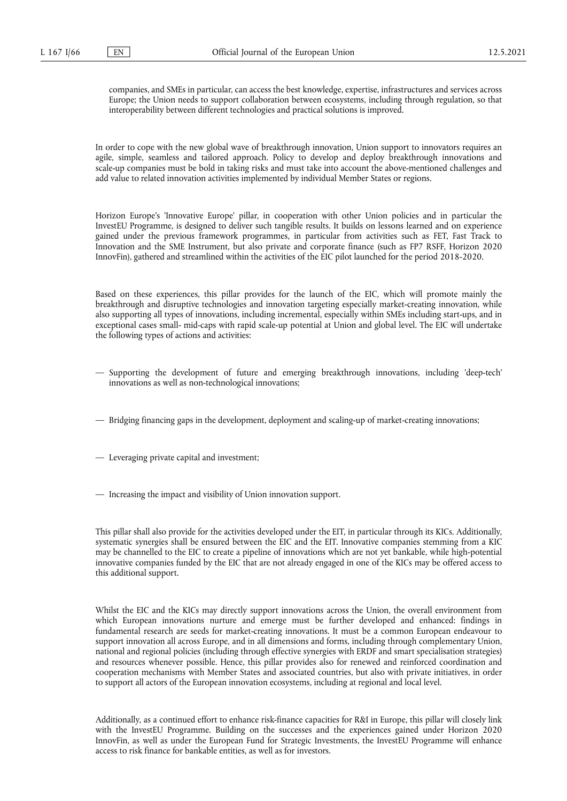companies, and SMEs in particular, can access the best knowledge, expertise, infrastructures and services across Europe; the Union needs to support collaboration between ecosystems, including through regulation, so that interoperability between different technologies and practical solutions is improved.

In order to cope with the new global wave of breakthrough innovation, Union support to innovators requires an agile, simple, seamless and tailored approach. Policy to develop and deploy breakthrough innovations and scale-up companies must be bold in taking risks and must take into account the above-mentioned challenges and add value to related innovation activities implemented by individual Member States or regions.

Horizon Europe's 'Innovative Europe' pillar, in cooperation with other Union policies and in particular the InvestEU Programme, is designed to deliver such tangible results. It builds on lessons learned and on experience gained under the previous framework programmes, in particular from activities such as FET, Fast Track to Innovation and the SME Instrument, but also private and corporate finance (such as FP7 RSFF, Horizon 2020 InnovFin), gathered and streamlined within the activities of the EIC pilot launched for the period 2018-2020.

Based on these experiences, this pillar provides for the launch of the EIC, which will promote mainly the breakthrough and disruptive technologies and innovation targeting especially market-creating innovation, while also supporting all types of innovations, including incremental, especially within SMEs including start-ups, and in exceptional cases small- mid-caps with rapid scale-up potential at Union and global level. The EIC will undertake the following types of actions and activities:

- Supporting the development of future and emerging breakthrough innovations, including 'deep-tech' innovations as well as non-technological innovations;
- Bridging financing gaps in the development, deployment and scaling-up of market-creating innovations;
- Leveraging private capital and investment;
- Increasing the impact and visibility of Union innovation support.

This pillar shall also provide for the activities developed under the EIT, in particular through its KICs. Additionally, systematic synergies shall be ensured between the EIC and the EIT. Innovative companies stemming from a KIC may be channelled to the EIC to create a pipeline of innovations which are not yet bankable, while high-potential innovative companies funded by the EIC that are not already engaged in one of the KICs may be offered access to this additional support.

Whilst the EIC and the KICs may directly support innovations across the Union, the overall environment from which European innovations nurture and emerge must be further developed and enhanced: findings in fundamental research are seeds for market-creating innovations. It must be a common European endeavour to support innovation all across Europe, and in all dimensions and forms, including through complementary Union, national and regional policies (including through effective synergies with ERDF and smart specialisation strategies) and resources whenever possible. Hence, this pillar provides also for renewed and reinforced coordination and cooperation mechanisms with Member States and associated countries, but also with private initiatives, in order to support all actors of the European innovation ecosystems, including at regional and local level.

Additionally, as a continued effort to enhance risk-finance capacities for R&I in Europe, this pillar will closely link with the InvestEU Programme. Building on the successes and the experiences gained under Horizon 2020 InnovFin, as well as under the European Fund for Strategic Investments, the InvestEU Programme will enhance access to risk finance for bankable entities, as well as for investors.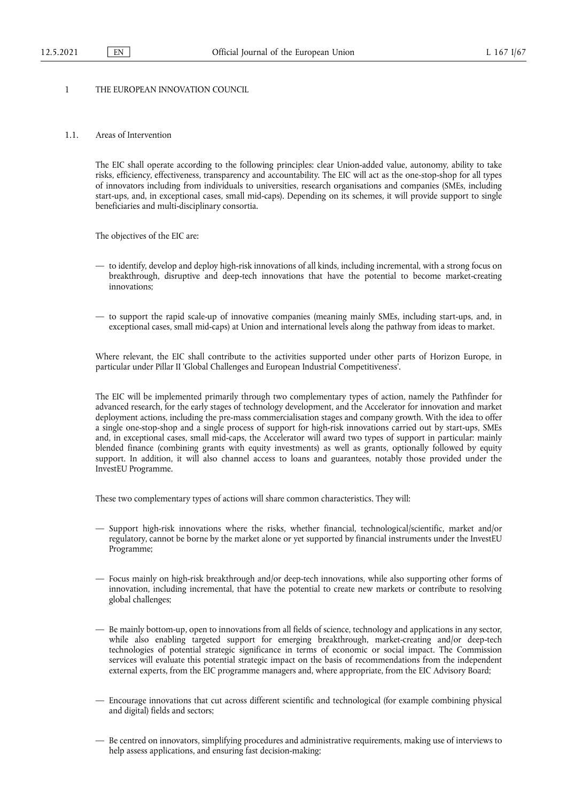# 1 THE EUROPEAN INNOVATION COUNCIL

### 1.1. Areas of Intervention

The EIC shall operate according to the following principles: clear Union-added value, autonomy, ability to take risks, efficiency, effectiveness, transparency and accountability. The EIC will act as the one-stop-shop for all types of innovators including from individuals to universities, research organisations and companies (SMEs, including start-ups, and, in exceptional cases, small mid-caps). Depending on its schemes, it will provide support to single beneficiaries and multi-disciplinary consortia.

The objectives of the EIC are:

- to identify, develop and deploy high-risk innovations of all kinds, including incremental, with a strong focus on breakthrough, disruptive and deep-tech innovations that have the potential to become market-creating innovations;
- to support the rapid scale-up of innovative companies (meaning mainly SMEs, including start-ups, and, in exceptional cases, small mid-caps) at Union and international levels along the pathway from ideas to market.

Where relevant, the EIC shall contribute to the activities supported under other parts of Horizon Europe, in particular under Pillar II 'Global Challenges and European Industrial Competitiveness'.

The EIC will be implemented primarily through two complementary types of action, namely the Pathfinder for advanced research, for the early stages of technology development, and the Accelerator for innovation and market deployment actions, including the pre-mass commercialisation stages and company growth. With the idea to offer a single one-stop-shop and a single process of support for high-risk innovations carried out by start-ups, SMEs and, in exceptional cases, small mid-caps, the Accelerator will award two types of support in particular: mainly blended finance (combining grants with equity investments) as well as grants, optionally followed by equity support. In addition, it will also channel access to loans and guarantees, notably those provided under the InvestEU Programme.

These two complementary types of actions will share common characteristics. They will:

- Support high-risk innovations where the risks, whether financial, technological/scientific, market and/or regulatory, cannot be borne by the market alone or yet supported by financial instruments under the InvestEU Programme;
- Focus mainly on high-risk breakthrough and/or deep-tech innovations, while also supporting other forms of innovation, including incremental, that have the potential to create new markets or contribute to resolving global challenges;
- Be mainly bottom-up, open to innovations from all fields of science, technology and applications in any sector, while also enabling targeted support for emerging breakthrough, market-creating and/or deep-tech technologies of potential strategic significance in terms of economic or social impact. The Commission services will evaluate this potential strategic impact on the basis of recommendations from the independent external experts, from the EIC programme managers and, where appropriate, from the EIC Advisory Board;
- Encourage innovations that cut across different scientific and technological (for example combining physical and digital) fields and sectors;
- Be centred on innovators, simplifying procedures and administrative requirements, making use of interviews to help assess applications, and ensuring fast decision-making;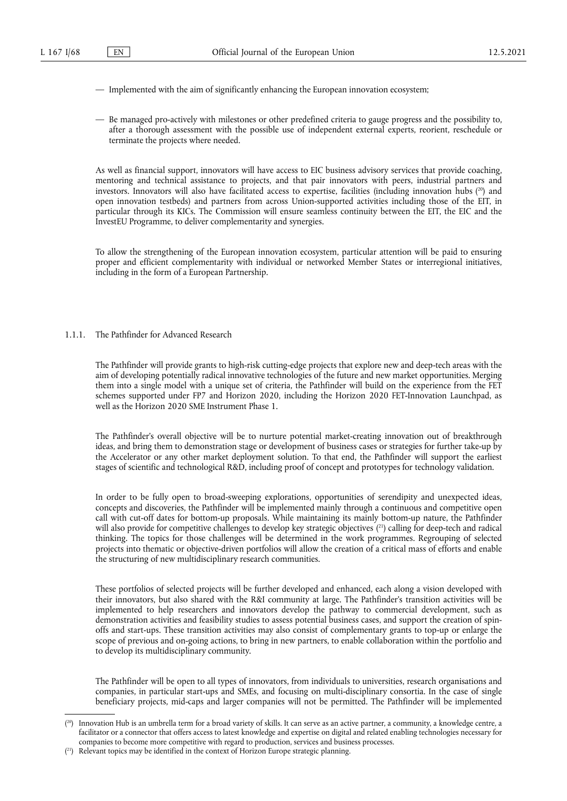- Implemented with the aim of significantly enhancing the European innovation ecosystem;
- Be managed pro-actively with milestones or other predefined criteria to gauge progress and the possibility to, after a thorough assessment with the possible use of independent external experts, reorient, reschedule or terminate the projects where needed.

<span id="page-67-2"></span>As well as financial support, innovators will have access to EIC business advisory services that provide coaching, mentoring and technical assistance to projects, and that pair innovators with peers, industrial partners and investors. Innovators will also have facilitated access to expertise, facilities (including innovation hubs  $(^{20})$  and open innovation testbeds) and partners from across Union-supported activities including those of the EIT, in particular through its KICs. The Commission will ensure seamless continuity between the EIT, the EIC and the InvestEU Programme, to deliver complementarity and synergies.

To allow the strengthening of the European innovation ecosystem, particular attention will be paid to ensuring proper and efficient complementarity with individual or networked Member States or interregional initiatives, including in the form of a European Partnership.

## 1.1.1. The Pathfinder for Advanced Research

The Pathfinder will provide grants to high-risk cutting-edge projects that explore new and deep-tech areas with the aim of developing potentially radical innovative technologies of the future and new market opportunities. Merging them into a single model with a unique set of criteria, the Pathfinder will build on the experience from the FET schemes supported under FP7 and Horizon 2020, including the Horizon 2020 FET-Innovation Launchpad, as well as the Horizon 2020 SME Instrument Phase 1.

The Pathfinder's overall objective will be to nurture potential market-creating innovation out of breakthrough ideas, and bring them to demonstration stage or development of business cases or strategies for further take-up by the Accelerator or any other market deployment solution. To that end, the Pathfinder will support the earliest stages of scientific and technological R&D, including proof of concept and prototypes for technology validation.

<span id="page-67-3"></span>In order to be fully open to broad-sweeping explorations, opportunities of serendipity and unexpected ideas, concepts and discoveries, the Pathfinder will be implemented mainly through a continuous and competitive open call with cut-off dates for bottom-up proposals. While maintaining its mainly bottom-up nature, the Pathfinder will also provide for competitive challenges to develop key strategic objectives ( [21\)](#page-67-1) calling for deep-tech and radical thinking. The topics for those challenges will be determined in the work programmes. Regrouping of selected projects into thematic or objective-driven portfolios will allow the creation of a critical mass of efforts and enable the structuring of new multidisciplinary research communities.

These portfolios of selected projects will be further developed and enhanced, each along a vision developed with their innovators, but also shared with the R&I community at large. The Pathfinder's transition activities will be implemented to help researchers and innovators develop the pathway to commercial development, such as demonstration activities and feasibility studies to assess potential business cases, and support the creation of spinoffs and start-ups. These transition activities may also consist of complementary grants to top-up or enlarge the scope of previous and on-going actions, to bring in new partners, to enable collaboration within the portfolio and to develop its multidisciplinary community.

The Pathfinder will be open to all types of innovators, from individuals to universities, research organisations and companies, in particular start-ups and SMEs, and focusing on multi-disciplinary consortia. In the case of single beneficiary projects, mid-caps and larger companies will not be permitted. The Pathfinder will be implemented

<span id="page-67-0"></span><sup>(</sup> [20\)](#page-67-2) Innovation Hub is an umbrella term for a broad variety of skills. It can serve as an active partner, a community, a knowledge centre, a facilitator or a connector that offers access to latest knowledge and expertise on digital and related enabling technologies necessary for companies to become more competitive with regard to production, services and business processes.

<span id="page-67-1"></span><sup>(</sup> [21\)](#page-67-3) Relevant topics may be identified in the context of Horizon Europe strategic planning.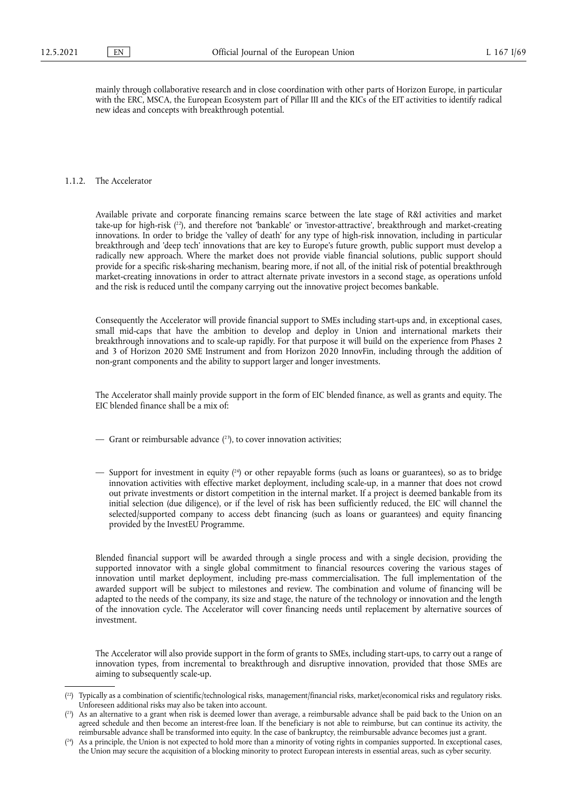mainly through collaborative research and in close coordination with other parts of Horizon Europe, in particular with the ERC, MSCA, the European Ecosystem part of Pillar III and the KICs of the EIT activities to identify radical new ideas and concepts with breakthrough potential.

# 1.1.2. The Accelerator

<span id="page-68-3"></span>Available private and corporate financing remains scarce between the late stage of R&I activities and market take-up for high-risk ( [22\),](#page-68-0) and therefore not 'bankable' or 'investor-attractive', breakthrough and market-creating innovations. In order to bridge the 'valley of death' for any type of high-risk innovation, including in particular breakthrough and 'deep tech' innovations that are key to Europe's future growth, public support must develop a radically new approach. Where the market does not provide viable financial solutions, public support should provide for a specific risk-sharing mechanism, bearing more, if not all, of the initial risk of potential breakthrough market-creating innovations in order to attract alternate private investors in a second stage, as operations unfold and the risk is reduced until the company carrying out the innovative project becomes bankable.

Consequently the Accelerator will provide financial support to SMEs including start-ups and, in exceptional cases, small mid-caps that have the ambition to develop and deploy in Union and international markets their breakthrough innovations and to scale-up rapidly. For that purpose it will build on the experience from Phases 2 and 3 of Horizon 2020 SME Instrument and from Horizon 2020 InnovFin, including through the addition of non-grant components and the ability to support larger and longer investments.

The Accelerator shall mainly provide support in the form of EIC blended finance, as well as grants and equity. The EIC blended finance shall be a mix of:

- <span id="page-68-4"></span> $-$  Grant or reimbursable advance  $(2^3)$ , to cover innovation activities;
- <span id="page-68-5"></span>— Support for investment in equity ( [24\)](#page-68-2) or other repayable forms (such as loans or guarantees), so as to bridge innovation activities with effective market deployment, including scale-up, in a manner that does not crowd out private investments or distort competition in the internal market. If a project is deemed bankable from its initial selection (due diligence), or if the level of risk has been sufficiently reduced, the EIC will channel the selected/supported company to access debt financing (such as loans or guarantees) and equity financing provided by the InvestEU Programme.

Blended financial support will be awarded through a single process and with a single decision, providing the supported innovator with a single global commitment to financial resources covering the various stages of innovation until market deployment, including pre-mass commercialisation. The full implementation of the awarded support will be subject to milestones and review. The combination and volume of financing will be adapted to the needs of the company, its size and stage, the nature of the technology or innovation and the length of the innovation cycle. The Accelerator will cover financing needs until replacement by alternative sources of investment.

The Accelerator will also provide support in the form of grants to SMEs, including start-ups, to carry out a range of innovation types, from incremental to breakthrough and disruptive innovation, provided that those SMEs are aiming to subsequently scale-up.

<span id="page-68-0"></span><sup>(</sup> [22\)](#page-68-3) Typically as a combination of scientific/technological risks, management/financial risks, market/economical risks and regulatory risks. Unforeseen additional risks may also be taken into account.

<span id="page-68-1"></span> $({}^{23})$  As an alternative to a grant when risk is deemed lower than average, a reimbursable advance shall be paid back to the Union on an agreed schedule and then become an interest-free loan. If the beneficiary is not able to reimburse, but can continue its activity, the reimbursable advance shall be transformed into equity. In the case of bankruptcy, the reimbursable advance becomes just a grant.

<span id="page-68-2"></span><sup>(</sup> [24\)](#page-68-5) As a principle, the Union is not expected to hold more than a minority of voting rights in companies supported. In exceptional cases, the Union may secure the acquisition of a blocking minority to protect European interests in essential areas, such as cyber security.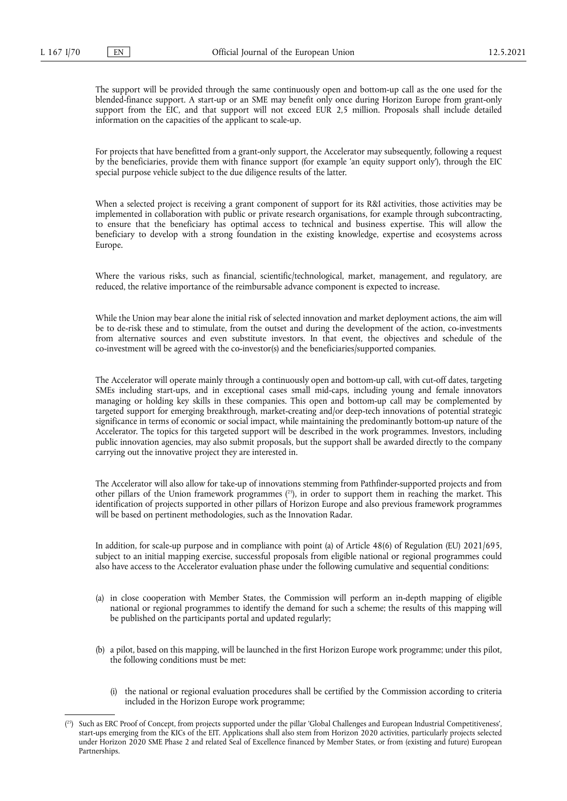The support will be provided through the same continuously open and bottom-up call as the one used for the blended-finance support. A start-up or an SME may benefit only once during Horizon Europe from grant-only support from the EIC, and that support will not exceed EUR 2,5 million. Proposals shall include detailed information on the capacities of the applicant to scale-up.

For projects that have benefitted from a grant-only support, the Accelerator may subsequently, following a request by the beneficiaries, provide them with finance support (for example 'an equity support only'), through the EIC special purpose vehicle subject to the due diligence results of the latter.

When a selected project is receiving a grant component of support for its R&I activities, those activities may be implemented in collaboration with public or private research organisations, for example through subcontracting, to ensure that the beneficiary has optimal access to technical and business expertise. This will allow the beneficiary to develop with a strong foundation in the existing knowledge, expertise and ecosystems across Europe.

Where the various risks, such as financial, scientific/technological, market, management, and regulatory, are reduced, the relative importance of the reimbursable advance component is expected to increase.

While the Union may bear alone the initial risk of selected innovation and market deployment actions, the aim will be to de-risk these and to stimulate, from the outset and during the development of the action, co-investments from alternative sources and even substitute investors. In that event, the objectives and schedule of the co-investment will be agreed with the co-investor(s) and the beneficiaries/supported companies.

The Accelerator will operate mainly through a continuously open and bottom-up call, with cut-off dates, targeting SMEs including start-ups, and in exceptional cases small mid-caps, including young and female innovators managing or holding key skills in these companies. This open and bottom-up call may be complemented by targeted support for emerging breakthrough, market-creating and/or deep-tech innovations of potential strategic significance in terms of economic or social impact, while maintaining the predominantly bottom-up nature of the Accelerator. The topics for this targeted support will be described in the work programmes. Investors, including public innovation agencies, may also submit proposals, but the support shall be awarded directly to the company carrying out the innovative project they are interested in.

<span id="page-69-1"></span>The Accelerator will also allow for take-up of innovations stemming from Pathfinder-supported projects and from other pillars of the Union framework programmes ( [25\),](#page-69-0) in order to support them in reaching the market. This identification of projects supported in other pillars of Horizon Europe and also previous framework programmes will be based on pertinent methodologies, such as the Innovation Radar.

In addition, for scale-up purpose and in compliance with point (a) of Article 48(6) of Regulation (EU) 2021/695, subject to an initial mapping exercise, successful proposals from eligible national or regional programmes could also have access to the Accelerator evaluation phase under the following cumulative and sequential conditions:

- (a) in close cooperation with Member States, the Commission will perform an in-depth mapping of eligible national or regional programmes to identify the demand for such a scheme; the results of this mapping will be published on the participants portal and updated regularly;
- (b) a pilot, based on this mapping, will be launched in the first Horizon Europe work programme; under this pilot, the following conditions must be met:
	- (i) the national or regional evaluation procedures shall be certified by the Commission according to criteria included in the Horizon Europe work programme;

<span id="page-69-0"></span><sup>(</sup> [25\)](#page-69-1) Such as ERC Proof of Concept, from projects supported under the pillar 'Global Challenges and European Industrial Competitiveness', start-ups emerging from the KICs of the EIT. Applications shall also stem from Horizon 2020 activities, particularly projects selected under Horizon 2020 SME Phase 2 and related Seal of Excellence financed by Member States, or from (existing and future) European Partnerships.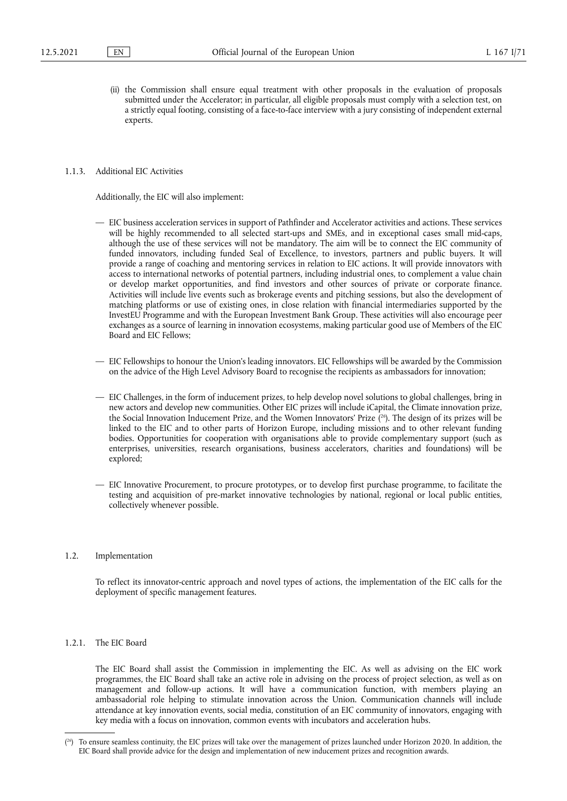(ii) the Commission shall ensure equal treatment with other proposals in the evaluation of proposals submitted under the Accelerator; in particular, all eligible proposals must comply with a selection test, on a strictly equal footing, consisting of a face-to-face interview with a jury consisting of independent external experts.

## 1.1.3. Additional EIC Activities

Additionally, the EIC will also implement:

- EIC business acceleration services in support of Pathfinder and Accelerator activities and actions. These services will be highly recommended to all selected start-ups and SMEs, and in exceptional cases small mid-caps, although the use of these services will not be mandatory. The aim will be to connect the EIC community of funded innovators, including funded Seal of Excellence, to investors, partners and public buyers. It will provide a range of coaching and mentoring services in relation to EIC actions. It will provide innovators with access to international networks of potential partners, including industrial ones, to complement a value chain or develop market opportunities, and find investors and other sources of private or corporate finance. Activities will include live events such as brokerage events and pitching sessions, but also the development of matching platforms or use of existing ones, in close relation with financial intermediaries supported by the InvestEU Programme and with the European Investment Bank Group. These activities will also encourage peer exchanges as a source of learning in innovation ecosystems, making particular good use of Members of the EIC Board and EIC Fellows;
- EIC Fellowships to honour the Union's leading innovators. EIC Fellowships will be awarded by the Commission on the advice of the High Level Advisory Board to recognise the recipients as ambassadors for innovation;
- <span id="page-70-1"></span>— EIC Challenges, in the form of inducement prizes, to help develop novel solutions to global challenges, bring in new actors and develop new communities. Other EIC prizes will include iCapital, the Climate innovation prize, the Social Innovation Inducement Prize, and the Women Innovators' Prize ( [26\)](#page-70-0). The design of its prizes will be linked to the EIC and to other parts of Horizon Europe, including missions and to other relevant funding bodies. Opportunities for cooperation with organisations able to provide complementary support (such as enterprises, universities, research organisations, business accelerators, charities and foundations) will be explored;
- EIC Innovative Procurement, to procure prototypes, or to develop first purchase programme, to facilitate the testing and acquisition of pre-market innovative technologies by national, regional or local public entities, collectively whenever possible.
- 1.2. Implementation

To reflect its innovator-centric approach and novel types of actions, the implementation of the EIC calls for the deployment of specific management features.

1.2.1. The EIC Board

The EIC Board shall assist the Commission in implementing the EIC. As well as advising on the EIC work programmes, the EIC Board shall take an active role in advising on the process of project selection, as well as on management and follow-up actions. It will have a communication function, with members playing an ambassadorial role helping to stimulate innovation across the Union. Communication channels will include attendance at key innovation events, social media, constitution of an EIC community of innovators, engaging with key media with a focus on innovation, common events with incubators and acceleration hubs.

<span id="page-70-0"></span><sup>(</sup> [26\)](#page-70-1) To ensure seamless continuity, the EIC prizes will take over the management of prizes launched under Horizon 2020. In addition, the EIC Board shall provide advice for the design and implementation of new inducement prizes and recognition awards.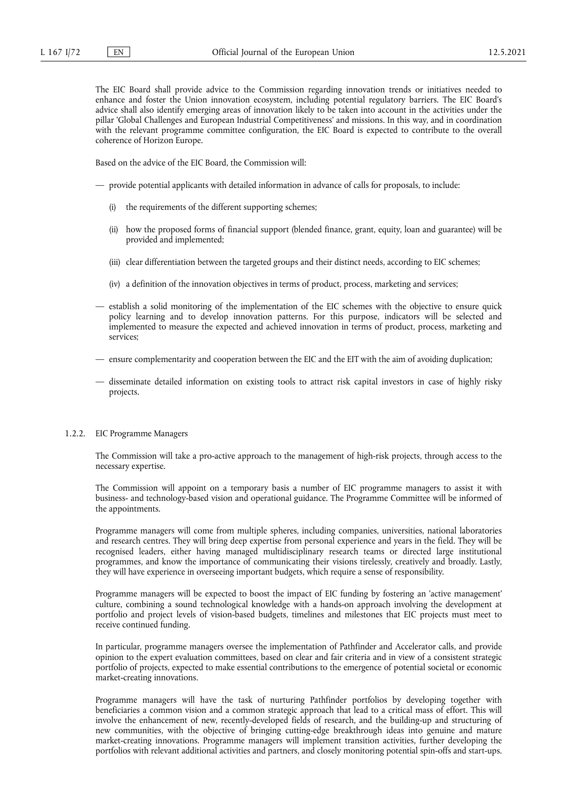The EIC Board shall provide advice to the Commission regarding innovation trends or initiatives needed to enhance and foster the Union innovation ecosystem, including potential regulatory barriers. The EIC Board's advice shall also identify emerging areas of innovation likely to be taken into account in the activities under the pillar 'Global Challenges and European Industrial Competitiveness' and missions. In this way, and in coordination with the relevant programme committee configuration, the EIC Board is expected to contribute to the overall coherence of Horizon Europe.

Based on the advice of the EIC Board, the Commission will:

- provide potential applicants with detailed information in advance of calls for proposals, to include:
	- (i) the requirements of the different supporting schemes;
	- (ii) how the proposed forms of financial support (blended finance, grant, equity, loan and guarantee) will be provided and implemented;
	- (iii) clear differentiation between the targeted groups and their distinct needs, according to EIC schemes;
	- (iv) a definition of the innovation objectives in terms of product, process, marketing and services;
- establish a solid monitoring of the implementation of the EIC schemes with the objective to ensure quick policy learning and to develop innovation patterns. For this purpose, indicators will be selected and implemented to measure the expected and achieved innovation in terms of product, process, marketing and services;
- ensure complementarity and cooperation between the EIC and the EIT with the aim of avoiding duplication;
- disseminate detailed information on existing tools to attract risk capital investors in case of highly risky projects.

# 1.2.2. EIC Programme Managers

The Commission will take a pro-active approach to the management of high-risk projects, through access to the necessary expertise.

The Commission will appoint on a temporary basis a number of EIC programme managers to assist it with business- and technology-based vision and operational guidance. The Programme Committee will be informed of the appointments.

Programme managers will come from multiple spheres, including companies, universities, national laboratories and research centres. They will bring deep expertise from personal experience and years in the field. They will be recognised leaders, either having managed multidisciplinary research teams or directed large institutional programmes, and know the importance of communicating their visions tirelessly, creatively and broadly. Lastly, they will have experience in overseeing important budgets, which require a sense of responsibility.

Programme managers will be expected to boost the impact of EIC funding by fostering an 'active management' culture, combining a sound technological knowledge with a hands-on approach involving the development at portfolio and project levels of vision-based budgets, timelines and milestones that EIC projects must meet to receive continued funding.

In particular, programme managers oversee the implementation of Pathfinder and Accelerator calls, and provide opinion to the expert evaluation committees, based on clear and fair criteria and in view of a consistent strategic portfolio of projects, expected to make essential contributions to the emergence of potential societal or economic market-creating innovations.

Programme managers will have the task of nurturing Pathfinder portfolios by developing together with beneficiaries a common vision and a common strategic approach that lead to a critical mass of effort. This will involve the enhancement of new, recently-developed fields of research, and the building-up and structuring of new communities, with the objective of bringing cutting-edge breakthrough ideas into genuine and mature market-creating innovations. Programme managers will implement transition activities, further developing the portfolios with relevant additional activities and partners, and closely monitoring potential spin-offs and start-ups.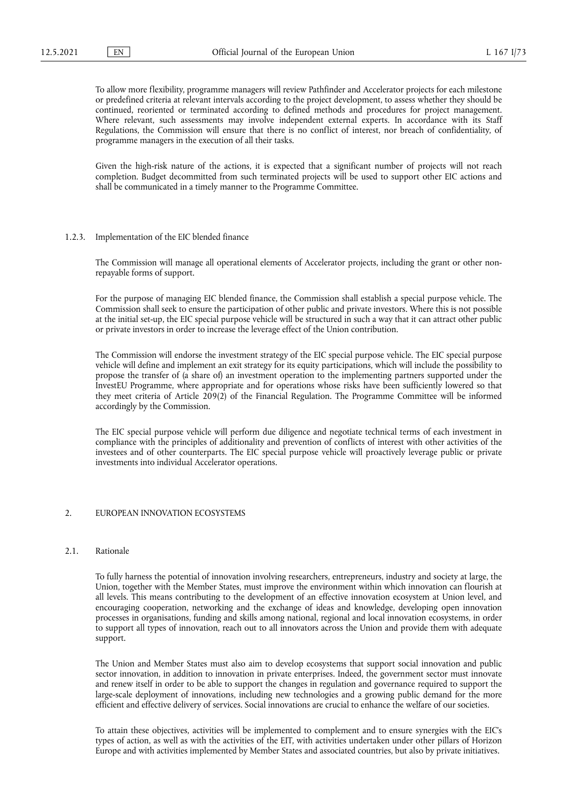To allow more flexibility, programme managers will review Pathfinder and Accelerator projects for each milestone or predefined criteria at relevant intervals according to the project development, to assess whether they should be continued, reoriented or terminated according to defined methods and procedures for project management. Where relevant, such assessments may involve independent external experts. In accordance with its Staff Regulations, the Commission will ensure that there is no conflict of interest, nor breach of confidentiality, of programme managers in the execution of all their tasks.

Given the high-risk nature of the actions, it is expected that a significant number of projects will not reach completion. Budget decommitted from such terminated projects will be used to support other EIC actions and shall be communicated in a timely manner to the Programme Committee.

## 1.2.3. Implementation of the EIC blended finance

The Commission will manage all operational elements of Accelerator projects, including the grant or other nonrepayable forms of support.

For the purpose of managing EIC blended finance, the Commission shall establish a special purpose vehicle. The Commission shall seek to ensure the participation of other public and private investors. Where this is not possible at the initial set-up, the EIC special purpose vehicle will be structured in such a way that it can attract other public or private investors in order to increase the leverage effect of the Union contribution.

The Commission will endorse the investment strategy of the EIC special purpose vehicle. The EIC special purpose vehicle will define and implement an exit strategy for its equity participations, which will include the possibility to propose the transfer of (a share of) an investment operation to the implementing partners supported under the InvestEU Programme, where appropriate and for operations whose risks have been sufficiently lowered so that they meet criteria of Article 209(2) of the Financial Regulation. The Programme Committee will be informed accordingly by the Commission.

The EIC special purpose vehicle will perform due diligence and negotiate technical terms of each investment in compliance with the principles of additionality and prevention of conflicts of interest with other activities of the investees and of other counterparts. The EIC special purpose vehicle will proactively leverage public or private investments into individual Accelerator operations.

#### 2. EUROPEAN INNOVATION ECOSYSTEMS

#### 2.1. Rationale

To fully harness the potential of innovation involving researchers, entrepreneurs, industry and society at large, the Union, together with the Member States, must improve the environment within which innovation can flourish at all levels. This means contributing to the development of an effective innovation ecosystem at Union level, and encouraging cooperation, networking and the exchange of ideas and knowledge, developing open innovation processes in organisations, funding and skills among national, regional and local innovation ecosystems, in order to support all types of innovation, reach out to all innovators across the Union and provide them with adequate support.

The Union and Member States must also aim to develop ecosystems that support social innovation and public sector innovation, in addition to innovation in private enterprises. Indeed, the government sector must innovate and renew itself in order to be able to support the changes in regulation and governance required to support the large-scale deployment of innovations, including new technologies and a growing public demand for the more efficient and effective delivery of services. Social innovations are crucial to enhance the welfare of our societies.

To attain these objectives, activities will be implemented to complement and to ensure synergies with the EIC's types of action, as well as with the activities of the EIT, with activities undertaken under other pillars of Horizon Europe and with activities implemented by Member States and associated countries, but also by private initiatives.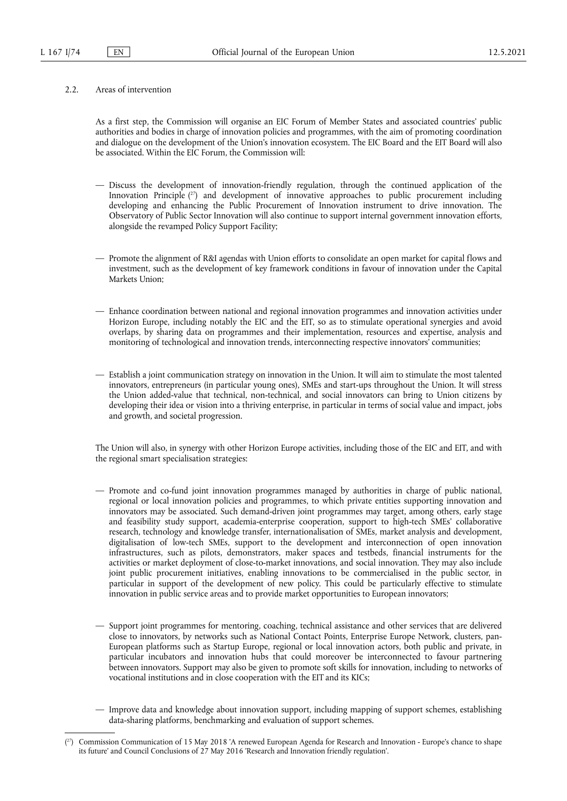## 2.2. Areas of intervention

As a first step, the Commission will organise an EIC Forum of Member States and associated countries' public authorities and bodies in charge of innovation policies and programmes, with the aim of promoting coordination and dialogue on the development of the Union's innovation ecosystem. The EIC Board and the EIT Board will also be associated. Within the EIC Forum, the Commission will:

- <span id="page-73-1"></span>— Discuss the development of innovation-friendly regulation, through the continued application of the Innovation Principle ( [27\)](#page-73-0) and development of innovative approaches to public procurement including developing and enhancing the Public Procurement of Innovation instrument to drive innovation. The Observatory of Public Sector Innovation will also continue to support internal government innovation efforts, alongside the revamped Policy Support Facility;
- Promote the alignment of R&I agendas with Union efforts to consolidate an open market for capital flows and investment, such as the development of key framework conditions in favour of innovation under the Capital Markets Union;
- Enhance coordination between national and regional innovation programmes and innovation activities under Horizon Europe, including notably the EIC and the EIT, so as to stimulate operational synergies and avoid overlaps, by sharing data on programmes and their implementation, resources and expertise, analysis and monitoring of technological and innovation trends, interconnecting respective innovators' communities;
- Establish a joint communication strategy on innovation in the Union. It will aim to stimulate the most talented innovators, entrepreneurs (in particular young ones), SMEs and start-ups throughout the Union. It will stress the Union added-value that technical, non-technical, and social innovators can bring to Union citizens by developing their idea or vision into a thriving enterprise, in particular in terms of social value and impact, jobs and growth, and societal progression.

The Union will also, in synergy with other Horizon Europe activities, including those of the EIC and EIT, and with the regional smart specialisation strategies:

- Promote and co-fund joint innovation programmes managed by authorities in charge of public national, regional or local innovation policies and programmes, to which private entities supporting innovation and innovators may be associated. Such demand-driven joint programmes may target, among others, early stage and feasibility study support, academia-enterprise cooperation, support to high-tech SMEs' collaborative research, technology and knowledge transfer, internationalisation of SMEs, market analysis and development, digitalisation of low-tech SMEs, support to the development and interconnection of open innovation infrastructures, such as pilots, demonstrators, maker spaces and testbeds, financial instruments for the activities or market deployment of close-to-market innovations, and social innovation. They may also include joint public procurement initiatives, enabling innovations to be commercialised in the public sector, in particular in support of the development of new policy. This could be particularly effective to stimulate innovation in public service areas and to provide market opportunities to European innovators;
- Support joint programmes for mentoring, coaching, technical assistance and other services that are delivered close to innovators, by networks such as National Contact Points, Enterprise Europe Network, clusters, pan-European platforms such as Startup Europe, regional or local innovation actors, both public and private, in particular incubators and innovation hubs that could moreover be interconnected to favour partnering between innovators. Support may also be given to promote soft skills for innovation, including to networks of vocational institutions and in close cooperation with the EIT and its KICs;
- Improve data and knowledge about innovation support, including mapping of support schemes, establishing data-sharing platforms, benchmarking and evaluation of support schemes.

<span id="page-73-0"></span><sup>(</sup> [27\)](#page-73-1) Commission Communication of 15 May 2018 'A renewed European Agenda for Research and Innovation - Europe's chance to shape its future' and Council Conclusions of 27 May 2016 'Research and Innovation friendly regulation'.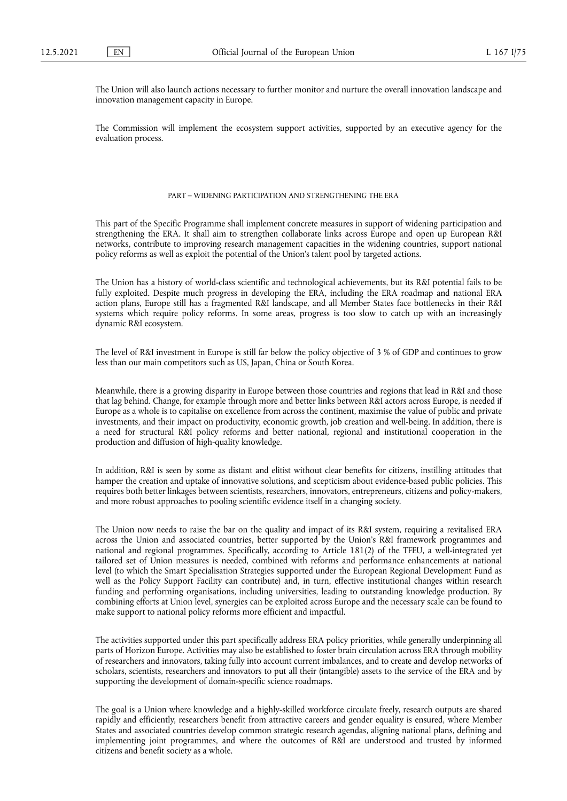The Union will also launch actions necessary to further monitor and nurture the overall innovation landscape and innovation management capacity in Europe.

The Commission will implement the ecosystem support activities, supported by an executive agency for the evaluation process.

# PART – WIDENING PARTICIPATION AND STRENGTHENING THE ERA

This part of the Specific Programme shall implement concrete measures in support of widening participation and strengthening the ERA. It shall aim to strengthen collaborate links across Europe and open up European R&I networks, contribute to improving research management capacities in the widening countries, support national policy reforms as well as exploit the potential of the Union's talent pool by targeted actions.

The Union has a history of world-class scientific and technological achievements, but its R&I potential fails to be fully exploited. Despite much progress in developing the ERA, including the ERA roadmap and national ERA action plans, Europe still has a fragmented R&I landscape, and all Member States face bottlenecks in their R&I systems which require policy reforms. In some areas, progress is too slow to catch up with an increasingly dynamic R&I ecosystem.

The level of R&I investment in Europe is still far below the policy objective of 3 % of GDP and continues to grow less than our main competitors such as US, Japan, China or South Korea.

Meanwhile, there is a growing disparity in Europe between those countries and regions that lead in R&I and those that lag behind. Change, for example through more and better links between R&I actors across Europe, is needed if Europe as a whole is to capitalise on excellence from across the continent, maximise the value of public and private investments, and their impact on productivity, economic growth, job creation and well-being. In addition, there is a need for structural R&I policy reforms and better national, regional and institutional cooperation in the production and diffusion of high-quality knowledge.

In addition, R&I is seen by some as distant and elitist without clear benefits for citizens, instilling attitudes that hamper the creation and uptake of innovative solutions, and scepticism about evidence-based public policies. This requires both better linkages between scientists, researchers, innovators, entrepreneurs, citizens and policy-makers, and more robust approaches to pooling scientific evidence itself in a changing society.

The Union now needs to raise the bar on the quality and impact of its R&I system, requiring a revitalised ERA across the Union and associated countries, better supported by the Union's R&I framework programmes and national and regional programmes. Specifically, according to Article 181(2) of the TFEU, a well-integrated yet tailored set of Union measures is needed, combined with reforms and performance enhancements at national level (to which the Smart Specialisation Strategies supported under the European Regional Development Fund as well as the Policy Support Facility can contribute) and, in turn, effective institutional changes within research funding and performing organisations, including universities, leading to outstanding knowledge production. By combining efforts at Union level, synergies can be exploited across Europe and the necessary scale can be found to make support to national policy reforms more efficient and impactful.

The activities supported under this part specifically address ERA policy priorities, while generally underpinning all parts of Horizon Europe. Activities may also be established to foster brain circulation across ERA through mobility of researchers and innovators, taking fully into account current imbalances, and to create and develop networks of scholars, scientists, researchers and innovators to put all their (intangible) assets to the service of the ERA and by supporting the development of domain-specific science roadmaps.

The goal is a Union where knowledge and a highly-skilled workforce circulate freely, research outputs are shared rapidly and efficiently, researchers benefit from attractive careers and gender equality is ensured, where Member States and associated countries develop common strategic research agendas, aligning national plans, defining and implementing joint programmes, and where the outcomes of R&I are understood and trusted by informed citizens and benefit society as a whole.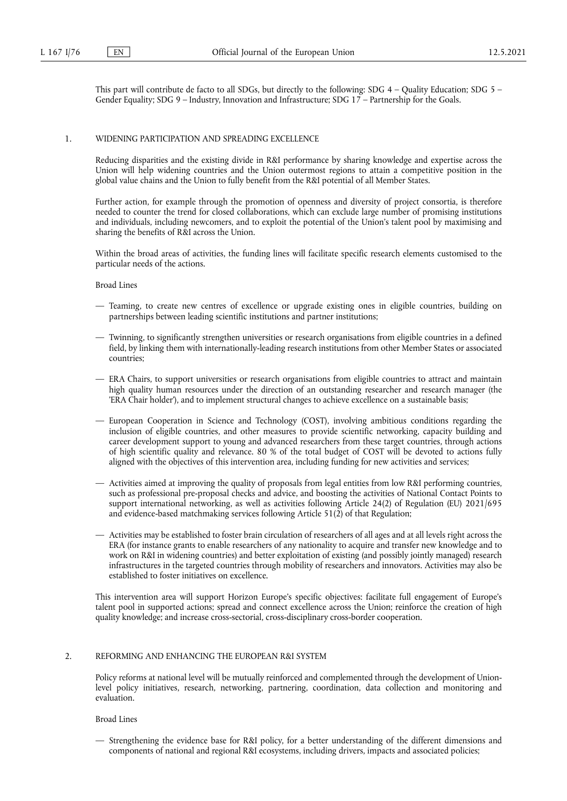This part will contribute de facto to all SDGs, but directly to the following: SDG 4 – Quality Education; SDG 5 – Gender Equality; SDG 9 – Industry, Innovation and Infrastructure; SDG 17 – Partnership for the Goals.

#### 1. WIDENING PARTICIPATION AND SPREADING EXCELLENCE

Reducing disparities and the existing divide in R&I performance by sharing knowledge and expertise across the Union will help widening countries and the Union outermost regions to attain a competitive position in the global value chains and the Union to fully benefit from the R&I potential of all Member States.

Further action, for example through the promotion of openness and diversity of project consortia, is therefore needed to counter the trend for closed collaborations, which can exclude large number of promising institutions and individuals, including newcomers, and to exploit the potential of the Union's talent pool by maximising and sharing the benefits of R&I across the Union.

Within the broad areas of activities, the funding lines will facilitate specific research elements customised to the particular needs of the actions.

#### Broad Lines

- Teaming, to create new centres of excellence or upgrade existing ones in eligible countries, building on partnerships between leading scientific institutions and partner institutions;
- Twinning, to significantly strengthen universities or research organisations from eligible countries in a defined field, by linking them with internationally-leading research institutions from other Member States or associated countries;
- ERA Chairs, to support universities or research organisations from eligible countries to attract and maintain high quality human resources under the direction of an outstanding researcher and research manager (the 'ERA Chair holder'), and to implement structural changes to achieve excellence on a sustainable basis;
- European Cooperation in Science and Technology (COST), involving ambitious conditions regarding the inclusion of eligible countries, and other measures to provide scientific networking, capacity building and career development support to young and advanced researchers from these target countries, through actions of high scientific quality and relevance. 80 % of the total budget of COST will be devoted to actions fully aligned with the objectives of this intervention area, including funding for new activities and services;
- Activities aimed at improving the quality of proposals from legal entities from low R&I performing countries, such as professional pre-proposal checks and advice, and boosting the activities of National Contact Points to support international networking, as well as activities following Article 24(2) of Regulation (EU) 2021/695 and evidence-based matchmaking services following Article 51(2) of that Regulation;
- Activities may be established to foster brain circulation of researchers of all ages and at all levels right across the ERA (for instance grants to enable researchers of any nationality to acquire and transfer new knowledge and to work on R&I in widening countries) and better exploitation of existing (and possibly jointly managed) research infrastructures in the targeted countries through mobility of researchers and innovators. Activities may also be established to foster initiatives on excellence.

This intervention area will support Horizon Europe's specific objectives: facilitate full engagement of Europe's talent pool in supported actions; spread and connect excellence across the Union; reinforce the creation of high quality knowledge; and increase cross-sectorial, cross-disciplinary cross-border cooperation.

## 2. REFORMING AND ENHANCING THE EUROPEAN R&I SYSTEM

Policy reforms at national level will be mutually reinforced and complemented through the development of Unionlevel policy initiatives, research, networking, partnering, coordination, data collection and monitoring and evaluation.

# Broad Lines

— Strengthening the evidence base for R&I policy, for a better understanding of the different dimensions and components of national and regional R&I ecosystems, including drivers, impacts and associated policies;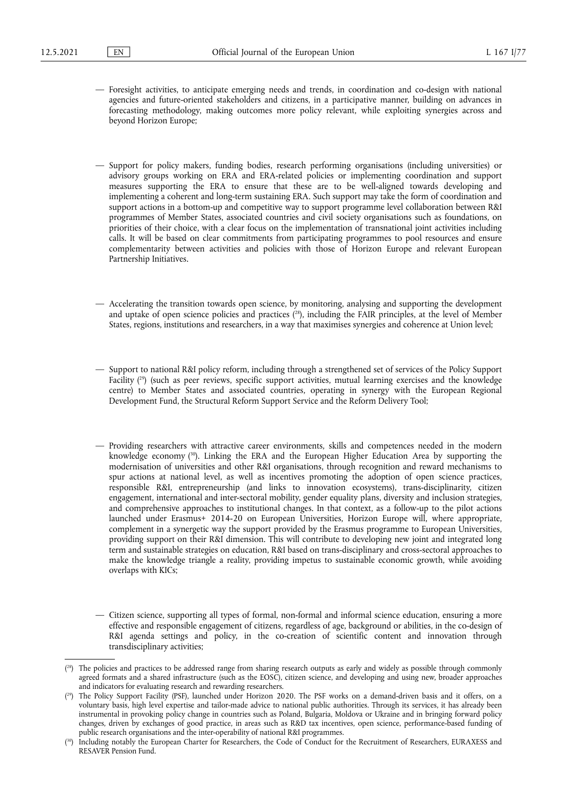- Foresight activities, to anticipate emerging needs and trends, in coordination and co-design with national agencies and future-oriented stakeholders and citizens, in a participative manner, building on advances in forecasting methodology, making outcomes more policy relevant, while exploiting synergies across and beyond Horizon Europe;
- Support for policy makers, funding bodies, research performing organisations (including universities) or advisory groups working on ERA and ERA-related policies or implementing coordination and support measures supporting the ERA to ensure that these are to be well-aligned towards developing and implementing a coherent and long-term sustaining ERA. Such support may take the form of coordination and support actions in a bottom-up and competitive way to support programme level collaboration between R&I programmes of Member States, associated countries and civil society organisations such as foundations, on priorities of their choice, with a clear focus on the implementation of transnational joint activities including calls. It will be based on clear commitments from participating programmes to pool resources and ensure complementarity between activities and policies with those of Horizon Europe and relevant European Partnership Initiatives.
- <span id="page-76-3"></span>— Accelerating the transition towards open science, by monitoring, analysing and supporting the development and uptake of open science policies and practices ( [28\)](#page-76-0), including the FAIR principles, at the level of Member States, regions, institutions and researchers, in a way that maximises synergies and coherence at Union level;
- <span id="page-76-4"></span>— Support to national R&I policy reform, including through a strengthened set of services of the Policy Support Facility ( [29\)](#page-76-1) (such as peer reviews, specific support activities, mutual learning exercises and the knowledge centre) to Member States and associated countries, operating in synergy with the European Regional Development Fund, the Structural Reform Support Service and the Reform Delivery Tool;
- <span id="page-76-5"></span>— Providing researchers with attractive career environments, skills and competences needed in the modern knowledge economy ( [30\).](#page-76-2) Linking the ERA and the European Higher Education Area by supporting the modernisation of universities and other R&I organisations, through recognition and reward mechanisms to spur actions at national level, as well as incentives promoting the adoption of open science practices, responsible R&I, entrepreneurship (and links to innovation ecosystems), trans-disciplinarity, citizen engagement, international and inter-sectoral mobility, gender equality plans, diversity and inclusion strategies, and comprehensive approaches to institutional changes. In that context, as a follow-up to the pilot actions launched under Erasmus+ 2014-20 on European Universities, Horizon Europe will, where appropriate, complement in a synergetic way the support provided by the Erasmus programme to European Universities, providing support on their R&I dimension. This will contribute to developing new joint and integrated long term and sustainable strategies on education, R&I based on trans-disciplinary and cross-sectoral approaches to make the knowledge triangle a reality, providing impetus to sustainable economic growth, while avoiding overlaps with KICs;

<sup>—</sup> Citizen science, supporting all types of formal, non-formal and informal science education, ensuring a more effective and responsible engagement of citizens, regardless of age, background or abilities, in the co-design of R&I agenda settings and policy, in the co-creation of scientific content and innovation through transdisciplinary activities;

<span id="page-76-0"></span><sup>(&</sup>lt;sup>28</sup>) The policies and practices to be addressed range from sharing research outputs as early and widely as possible through commonly agreed formats and a shared infrastructure (such as the EOSC), citizen science, and developing and using new, broader approaches and indicators for evaluating research and rewarding researchers.

<span id="page-76-1"></span><sup>(</sup> [29\)](#page-76-4) The Policy Support Facility (PSF), launched under Horizon 2020. The PSF works on a demand-driven basis and it offers, on a voluntary basis, high level expertise and tailor-made advice to national public authorities. Through its services, it has already been instrumental in provoking policy change in countries such as Poland, Bulgaria, Moldova or Ukraine and in bringing forward policy changes, driven by exchanges of good practice, in areas such as R&D tax incentives, open science, performance-based funding of public research organisations and the inter-operability of national R&I programmes.

<span id="page-76-2"></span><sup>(</sup> Including notably the European Charter for Researchers, the Code of Conduct for the Recruitment of Researchers, EURAXESS and RESAVER Pension Fund.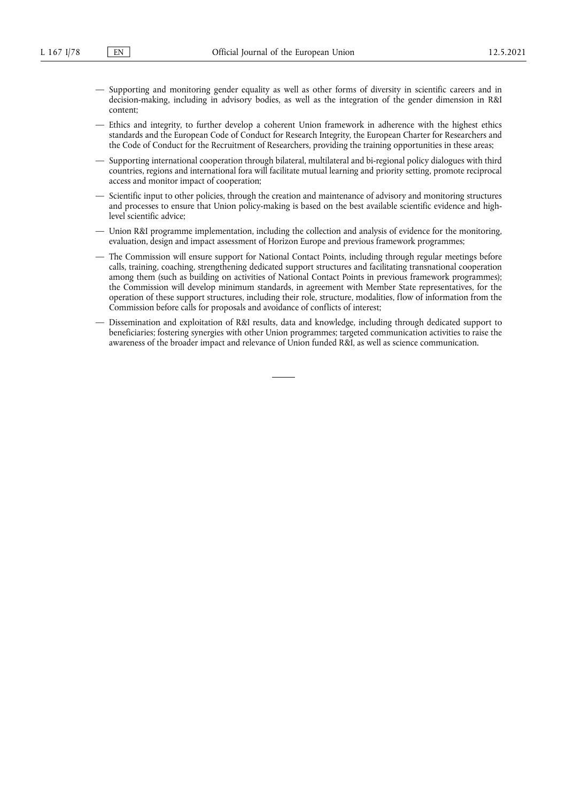- Supporting and monitoring gender equality as well as other forms of diversity in scientific careers and in decision-making, including in advisory bodies, as well as the integration of the gender dimension in R&I content;
- Ethics and integrity, to further develop a coherent Union framework in adherence with the highest ethics standards and the European Code of Conduct for Research Integrity, the European Charter for Researchers and the Code of Conduct for the Recruitment of Researchers, providing the training opportunities in these areas;
- Supporting international cooperation through bilateral, multilateral and bi-regional policy dialogues with third countries, regions and international fora will facilitate mutual learning and priority setting, promote reciprocal access and monitor impact of cooperation;
- Scientific input to other policies, through the creation and maintenance of advisory and monitoring structures and processes to ensure that Union policy-making is based on the best available scientific evidence and highlevel scientific advice;
- Union R&I programme implementation, including the collection and analysis of evidence for the monitoring, evaluation, design and impact assessment of Horizon Europe and previous framework programmes;
- The Commission will ensure support for National Contact Points, including through regular meetings before calls, training, coaching, strengthening dedicated support structures and facilitating transnational cooperation among them (such as building on activities of National Contact Points in previous framework programmes); the Commission will develop minimum standards, in agreement with Member State representatives, for the operation of these support structures, including their role, structure, modalities, flow of information from the Commission before calls for proposals and avoidance of conflicts of interest;
- Dissemination and exploitation of R&I results, data and knowledge, including through dedicated support to beneficiaries; fostering synergies with other Union programmes; targeted communication activities to raise the awareness of the broader impact and relevance of Union funded R&I, as well as science communication.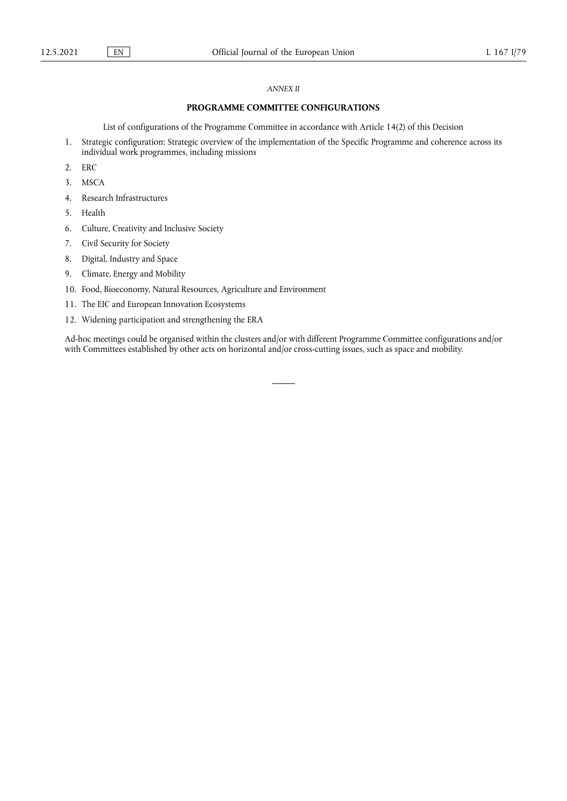# *ANNEX II*

# **PROGRAMME COMMITTEE CONFIGURATIONS**

List of configurations of the Programme Committee in accordance with Article 14(2) of this Decision

- 1. Strategic configuration: Strategic overview of the implementation of the Specific Programme and coherence across its individual work programmes, including missions
- 2. ERC
- 3. MSCA
- 4. Research Infrastructures
- 5. Health
- 6. Culture, Creativity and Inclusive Society
- 7. Civil Security for Society
- 8. Digital, Industry and Space
- 9. Climate, Energy and Mobility
- 10. Food, Bioeconomy, Natural Resources, Agriculture and Environment
- 11. The EIC and European Innovation Ecosystems
- 12. Widening participation and strengthening the ERA

Ad-hoc meetings could be organised within the clusters and/or with different Programme Committee configurations and/or with Committees established by other acts on horizontal and/or cross-cutting issues, such as space and mobility.